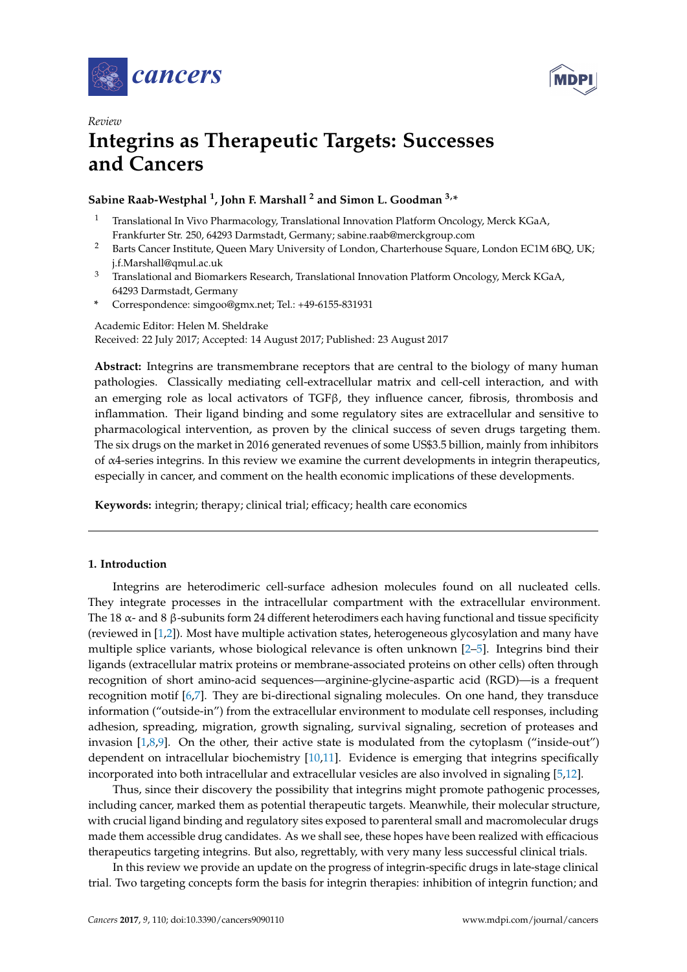



# *Review* **Integrins as Therapeutic Targets: Successes and Cancers**

## **Sabine Raab-Westphal <sup>1</sup> , John F. Marshall <sup>2</sup> and Simon L. Goodman 3,\***

- <sup>1</sup> Translational In Vivo Pharmacology, Translational Innovation Platform Oncology, Merck KGaA, Frankfurter Str. 250, 64293 Darmstadt, Germany; sabine.raab@merckgroup.com
- <sup>2</sup> Barts Cancer Institute, Queen Mary University of London, Charterhouse Square, London EC1M 6BQ, UK; j.f.Marshall@qmul.ac.uk
- <sup>3</sup> Translational and Biomarkers Research, Translational Innovation Platform Oncology, Merck KGaA, 64293 Darmstadt, Germany
- **\*** Correspondence: simgoo@gmx.net; Tel.: +49-6155-831931

Academic Editor: Helen M. Sheldrake Received: 22 July 2017; Accepted: 14 August 2017; Published: 23 August 2017

**Abstract:** Integrins are transmembrane receptors that are central to the biology of many human pathologies. Classically mediating cell-extracellular matrix and cell-cell interaction, and with an emerging role as local activators of TGFβ, they influence cancer, fibrosis, thrombosis and inflammation. Their ligand binding and some regulatory sites are extracellular and sensitive to pharmacological intervention, as proven by the clinical success of seven drugs targeting them. The six drugs on the market in 2016 generated revenues of some US\$3.5 billion, mainly from inhibitors of α4-series integrins. In this review we examine the current developments in integrin therapeutics, especially in cancer, and comment on the health economic implications of these developments.

**Keywords:** integrin; therapy; clinical trial; efficacy; health care economics

## **1. Introduction**

Integrins are heterodimeric cell-surface adhesion molecules found on all nucleated cells. They integrate processes in the intracellular compartment with the extracellular environment. The 18  $\alpha$ - and 8  $\beta$ -subunits form 24 different heterodimers each having functional and tissue specificity (reviewed in [\[1](#page-15-0)[,2\]](#page-15-1)). Most have multiple activation states, heterogeneous glycosylation and many have multiple splice variants, whose biological relevance is often unknown [\[2](#page-15-1)[–5\]](#page-15-2). Integrins bind their ligands (extracellular matrix proteins or membrane-associated proteins on other cells) often through recognition of short amino-acid sequences—arginine-glycine-aspartic acid (RGD)—is a frequent recognition motif [\[6,](#page-15-3)[7\]](#page-15-4). They are bi-directional signaling molecules. On one hand, they transduce information ("outside-in") from the extracellular environment to modulate cell responses, including adhesion, spreading, migration, growth signaling, survival signaling, secretion of proteases and invasion [\[1,](#page-15-0)[8,](#page-16-0)[9\]](#page-16-1). On the other, their active state is modulated from the cytoplasm ("inside-out") dependent on intracellular biochemistry [\[10](#page-16-2)[,11\]](#page-16-3). Evidence is emerging that integrins specifically incorporated into both intracellular and extracellular vesicles are also involved in signaling [\[5](#page-15-2)[,12\]](#page-16-4).

Thus, since their discovery the possibility that integrins might promote pathogenic processes, including cancer, marked them as potential therapeutic targets. Meanwhile, their molecular structure, with crucial ligand binding and regulatory sites exposed to parenteral small and macromolecular drugs made them accessible drug candidates. As we shall see, these hopes have been realized with efficacious therapeutics targeting integrins. But also, regrettably, with very many less successful clinical trials.

In this review we provide an update on the progress of integrin-specific drugs in late-stage clinical trial. Two targeting concepts form the basis for integrin therapies: inhibition of integrin function; and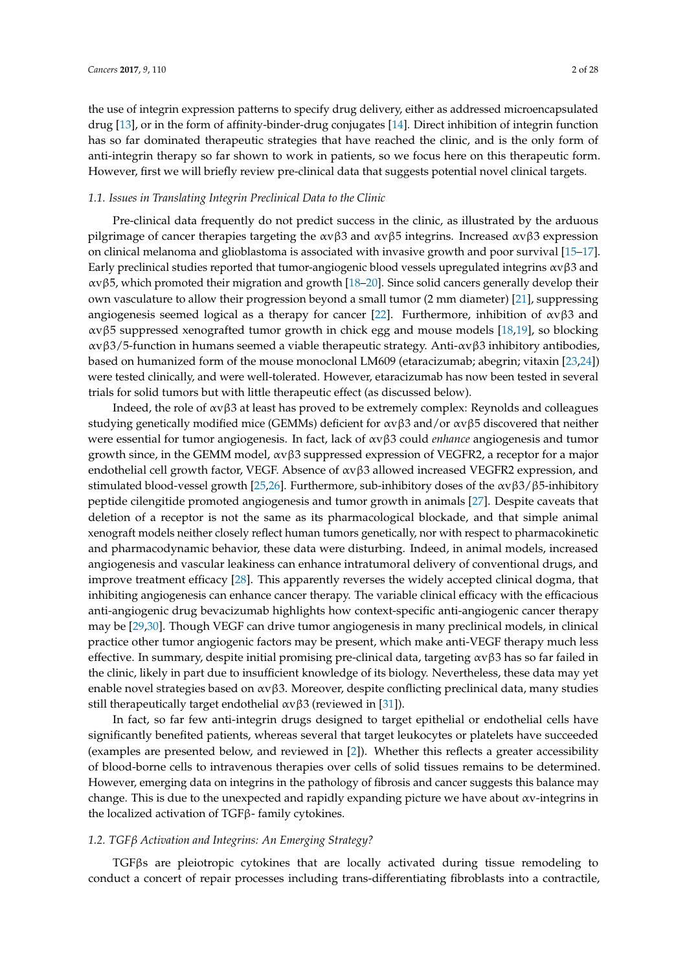the use of integrin expression patterns to specify drug delivery, either as addressed microencapsulated drug [\[13\]](#page-16-5), or in the form of affinity-binder-drug conjugates [\[14\]](#page-16-6). Direct inhibition of integrin function has so far dominated therapeutic strategies that have reached the clinic, and is the only form of anti-integrin therapy so far shown to work in patients, so we focus here on this therapeutic form. However, first we will briefly review pre-clinical data that suggests potential novel clinical targets.

## *1.1. Issues in Translating Integrin Preclinical Data to the Clinic*

Pre-clinical data frequently do not predict success in the clinic, as illustrated by the arduous pilgrimage of cancer therapies targeting the  $\alpha v \beta 3$  and  $\alpha v \beta 5$  integrins. Increased  $\alpha v \beta 3$  expression on clinical melanoma and glioblastoma is associated with invasive growth and poor survival [\[15–](#page-16-7)[17\]](#page-16-8). Early preclinical studies reported that tumor-angiogenic blood vessels upregulated integrins  $\alpha v \beta 3$  and αvβ5, which promoted their migration and growth [\[18](#page-16-9)[–20\]](#page-16-10). Since solid cancers generally develop their own vasculature to allow their progression beyond a small tumor (2 mm diameter) [\[21\]](#page-16-11), suppressing angiogenesis seemed logical as a therapy for cancer [\[22\]](#page-16-12). Furthermore, inhibition of  $\alpha v\beta 3$  and αvβ5 suppressed xenografted tumor growth in chick egg and mouse models [\[18](#page-16-9)[,19\]](#page-16-13), so blocking αvβ3/5-function in humans seemed a viable therapeutic strategy. Anti-αvβ3 inhibitory antibodies, based on humanized form of the mouse monoclonal LM609 (etaracizumab; abegrin; vitaxin [\[23](#page-16-14)[,24\]](#page-16-15)) were tested clinically, and were well-tolerated. However, etaracizumab has now been tested in several trials for solid tumors but with little therapeutic effect (as discussed below).

Indeed, the role of  $\alpha v \beta 3$  at least has proved to be extremely complex: Reynolds and colleagues studying genetically modified mice (GEMMs) deficient for  $\alpha v \beta 3$  and/or  $\alpha v \beta 5$  discovered that neither were essential for tumor angiogenesis. In fact, lack of αvβ3 could *enhance* angiogenesis and tumor growth since, in the GEMM model,  $\alpha v \beta 3$  suppressed expression of VEGFR2, a receptor for a major endothelial cell growth factor, VEGF. Absence of  $\alpha v\beta 3$  allowed increased VEGFR2 expression, and stimulated blood-vessel growth [\[25](#page-16-16)[,26\]](#page-16-17). Furthermore, sub-inhibitory doses of the  $\alpha \alpha \beta 3/\beta 5$ -inhibitory peptide cilengitide promoted angiogenesis and tumor growth in animals [\[27\]](#page-16-18). Despite caveats that deletion of a receptor is not the same as its pharmacological blockade, and that simple animal xenograft models neither closely reflect human tumors genetically, nor with respect to pharmacokinetic and pharmacodynamic behavior, these data were disturbing. Indeed, in animal models, increased angiogenesis and vascular leakiness can enhance intratumoral delivery of conventional drugs, and improve treatment efficacy [\[28\]](#page-17-0). This apparently reverses the widely accepted clinical dogma, that inhibiting angiogenesis can enhance cancer therapy. The variable clinical efficacy with the efficacious anti-angiogenic drug bevacizumab highlights how context-specific anti-angiogenic cancer therapy may be [\[29,](#page-17-1)[30\]](#page-17-2). Though VEGF can drive tumor angiogenesis in many preclinical models, in clinical practice other tumor angiogenic factors may be present, which make anti-VEGF therapy much less effective. In summary, despite initial promising pre-clinical data, targeting  $\alpha v \beta 3$  has so far failed in the clinic, likely in part due to insufficient knowledge of its biology. Nevertheless, these data may yet enable novel strategies based on  $\alpha v \beta 3$ . Moreover, despite conflicting preclinical data, many studies still therapeutically target endothelial  $\alpha v \beta 3$  (reviewed in [\[31\]](#page-17-3)).

In fact, so far few anti-integrin drugs designed to target epithelial or endothelial cells have significantly benefited patients, whereas several that target leukocytes or platelets have succeeded (examples are presented below, and reviewed in [\[2\]](#page-15-1)). Whether this reflects a greater accessibility of blood-borne cells to intravenous therapies over cells of solid tissues remains to be determined. However, emerging data on integrins in the pathology of fibrosis and cancer suggests this balance may change. This is due to the unexpected and rapidly expanding picture we have about αv-integrins in the localized activation of TGFβ- family cytokines.

## *1.2. TGFβ Activation and Integrins: An Emerging Strategy?*

TGFβs are pleiotropic cytokines that are locally activated during tissue remodeling to conduct a concert of repair processes including trans-differentiating fibroblasts into a contractile,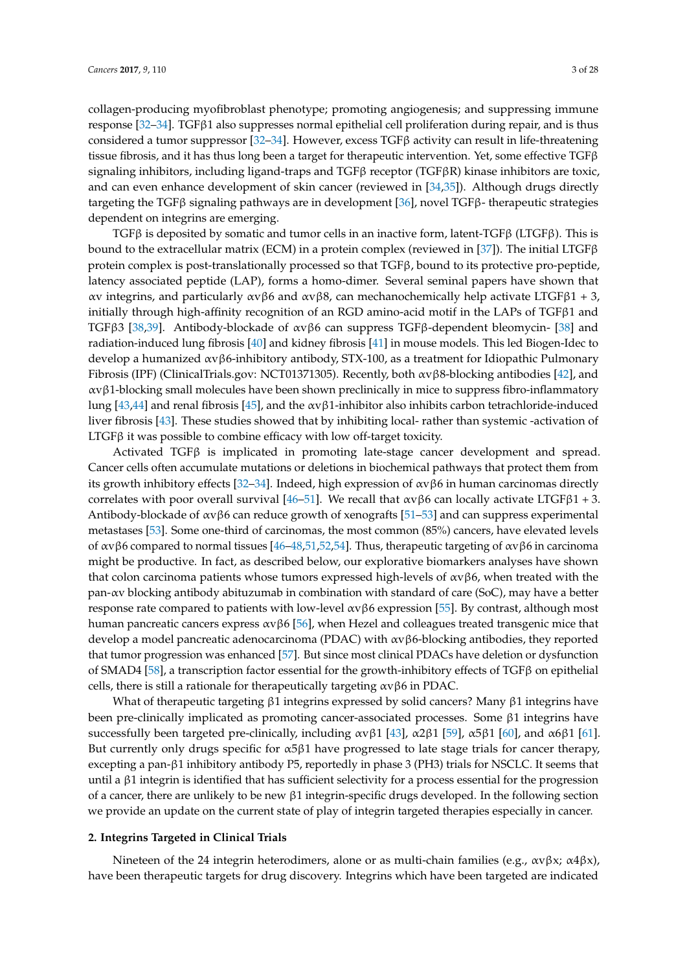collagen-producing myofibroblast phenotype; promoting angiogenesis; and suppressing immune response [\[32–](#page-17-4)[34\]](#page-17-5). TGFβ1 also suppresses normal epithelial cell proliferation during repair, and is thus considered a tumor suppressor [\[32–](#page-17-4)[34\]](#page-17-5). However, excess  $TGF\beta$  activity can result in life-threatening tissue fibrosis, and it has thus long been a target for therapeutic intervention. Yet, some effective  $TGF\beta$ signaling inhibitors, including ligand-traps and TGFβ receptor (TGFβR) kinase inhibitors are toxic, and can even enhance development of skin cancer (reviewed in [\[34](#page-17-5)[,35\]](#page-17-6)). Although drugs directly targeting the TGFβ signaling pathways are in development [\[36\]](#page-17-7), novel TGFβ- therapeutic strategies dependent on integrins are emerging.

TGFβ is deposited by somatic and tumor cells in an inactive form, latent-TGFβ (LTGFβ). This is bound to the extracellular matrix (ECM) in a protein complex (reviewed in [\[37\]](#page-17-8)). The initial LTGFβ protein complex is post-translationally processed so that TGFβ, bound to its protective pro-peptide, latency associated peptide (LAP), forms a homo-dimer. Several seminal papers have shown that αv integrins, and particularly αvβ6 and αvβ8, can mechanochemically help activate LTGFβ1 + 3, initially through high-affinity recognition of an RGD amino-acid motif in the LAPs of TGFβ1 and TGFβ3 [\[38](#page-17-9)[,39\]](#page-17-10). Antibody-blockade of αvβ6 can suppress TGFβ-dependent bleomycin- [\[38\]](#page-17-9) and radiation-induced lung fibrosis [\[40\]](#page-17-11) and kidney fibrosis [\[41\]](#page-17-12) in mouse models. This led Biogen-Idec to develop a humanized αvβ6-inhibitory antibody, STX-100, as a treatment for Idiopathic Pulmonary Fibrosis (IPF) (ClinicalTrials.gov: NCT01371305). Recently, both αvβ8-blocking antibodies [\[42\]](#page-17-13), and  $\alpha \nu \beta$ 1-blocking small molecules have been shown preclinically in mice to suppress fibro-inflammatory lung [\[43,](#page-17-14)[44\]](#page-17-15) and renal fibrosis [\[45\]](#page-17-16), and the αvβ1-inhibitor also inhibits carbon tetrachloride-induced liver fibrosis [\[43\]](#page-17-14). These studies showed that by inhibiting local- rather than systemic -activation of LTGFβ it was possible to combine efficacy with low off-target toxicity.

Activated TGFβ is implicated in promoting late-stage cancer development and spread. Cancer cells often accumulate mutations or deletions in biochemical pathways that protect them from its growth inhibitory effects [\[32–](#page-17-4)[34\]](#page-17-5). Indeed, high expression of αvβ6 in human carcinomas directly correlates with poor overall survival [\[46–](#page-18-0)[51\]](#page-18-1). We recall that  $\alpha \nu \beta 6$  can locally activate LTGF $\beta$ 1 + 3. Antibody-blockade of αvβ6 can reduce growth of xenografts [\[51–](#page-18-1)[53\]](#page-18-2) and can suppress experimental metastases [\[53\]](#page-18-2). Some one-third of carcinomas, the most common (85%) cancers, have elevated levels of αvβ6 compared to normal tissues [\[46](#page-18-0)[–48,](#page-18-3)[51](#page-18-1)[,52](#page-18-4)[,54\]](#page-18-5). Thus, therapeutic targeting of αvβ6 in carcinoma might be productive. In fact, as described below, our explorative biomarkers analyses have shown that colon carcinoma patients whose tumors expressed high-levels of αvβ6, when treated with the pan-αv blocking antibody abituzumab in combination with standard of care (SoC), may have a better response rate compared to patients with low-level  $ανβ6$  expression [\[55\]](#page-18-6). By contrast, although most human pancreatic cancers express αvβ6 [\[56\]](#page-18-7), when Hezel and colleagues treated transgenic mice that develop a model pancreatic adenocarcinoma (PDAC) with αvβ6-blocking antibodies, they reported that tumor progression was enhanced [\[57\]](#page-18-8). But since most clinical PDACs have deletion or dysfunction of SMAD4 [\[58\]](#page-18-9), a transcription factor essential for the growth-inhibitory effects of  $TGF\beta$  on epithelial cells, there is still a rationale for therapeutically targeting αvβ6 in PDAC.

What of therapeutic targeting β1 integrins expressed by solid cancers? Many β1 integrins have been pre-clinically implicated as promoting cancer-associated processes. Some β1 integrins have successfully been targeted pre-clinically, including  $\alpha$ vβ1 [\[43\]](#page-17-14),  $\alpha$ 2β1 [\[59\]](#page-18-10),  $\alpha$ 5β1 [\[60\]](#page-18-11), and  $\alpha$ 6β1 [\[61\]](#page-18-12). But currently only drugs specific for  $\alpha$ 5 $\beta$ 1 have progressed to late stage trials for cancer therapy, excepting a pan-β1 inhibitory antibody P5, reportedly in phase 3 (PH3) trials for NSCLC. It seems that until a β1 integrin is identified that has sufficient selectivity for a process essential for the progression of a cancer, there are unlikely to be new β1 integrin-specific drugs developed. In the following section we provide an update on the current state of play of integrin targeted therapies especially in cancer.

## **2. Integrins Targeted in Clinical Trials**

Nineteen of the 24 integrin heterodimers, alone or as multi-chain families (e.g.,  $\alpha \varphi \beta x$ ;  $\alpha 4\beta x$ ), have been therapeutic targets for drug discovery. Integrins which have been targeted are indicated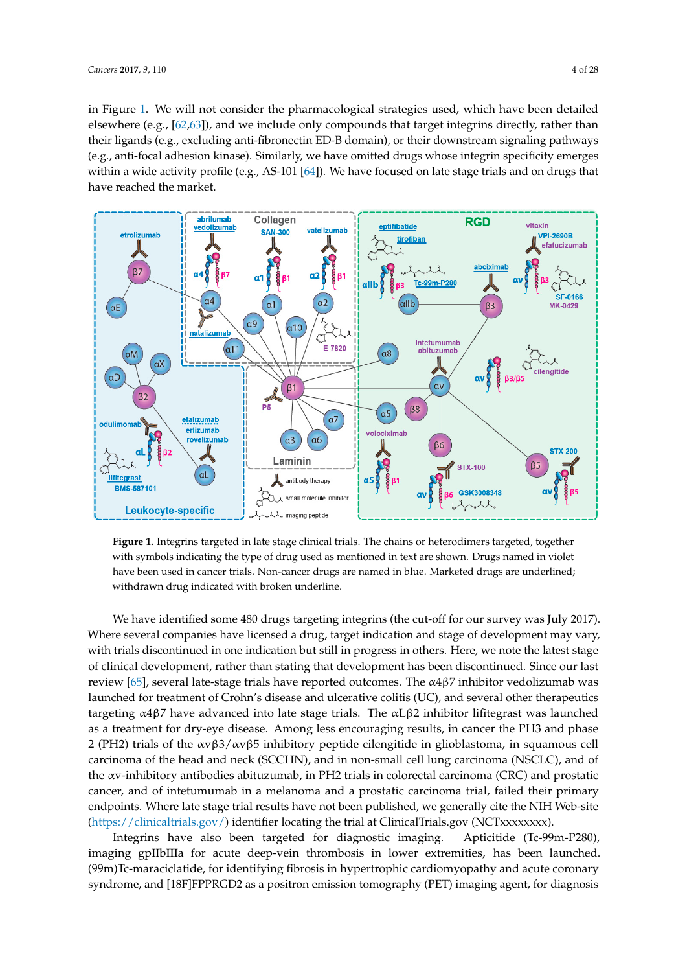in Figure 1. We will not consider the pharmacological strategies used, which have been detailed in Figure [1](#page-3-0). We will not consider the pharmacological strategies used, which have been detailed elsewhere (e.g., [\[62](#page-19-0)[,63\]](#page-19-1)), and we include only compounds that target integrins directly, rather than elsewhere (e.g., [62,63]), and we include only compounds that target integrins directly, rather than their ligands (e.g., excluding anti-fibronectin ED-B domain), or their downstream signaling pathways their ligands (e.g., excluding anti-fibronectin ED-B domain), or their downstream signaling pathways (e.g., anti-focal adhesion kinase). Similarly, we have omitted drugs whose integrin specificity emerges (e.g., anti-focal adhesion kinase). Similarly, we have omitted drugs whose integrin specificity within a wide activity profile (e.g., AS-101 [\[64\]](#page-19-2)). We have focused on late stage trials and on drugs that have reached the market.

<span id="page-3-0"></span>

Figure 1. Integrins targeted in late stage clinical trials. The chains or heterodimers targeted, together with symbols indicating the type of drug used as mentioned in text are shown. Drugs named in violet with symbols indicating the type of drug used as mentioned in text are shown. Drugs named in violet have been used in cancer trials. Non-cancer drugs are named in blue. Marketed drugs are underlined; have been used in cancer trials. Non-cancer drugs are named in blue. Marketed drugs are underlined; withdrawn drug indicated with broken underline. withdrawn drug indicated with broken underline.

We have identified some 480 drugs targeting integrins (the cut-off for our survey was July 2017). We have identified some 480 drugs targeting integrins (the cut-off for our survey was July 2017). Where several companies have licensed a drug, target indication and stage of development may vary, we note the latest stage indication and stage of development may vary, with trials discontinued in one indication but still in progress in others. Here, we note the latest stage variation but still in progress in others. Here, we note the latest stage of clinical development, rather than stating that development has been discontinued. Since our last was the computation of clinical development has been discontinued. Since our last review [\[65\]](#page-19-3), several late-stage trials have reported outcomes. The α4β7 inhibitor vedolizumab was<br>  $\frac{1}{2}$ launched for treatment of Crohn's disease and ulcerative colitis (UC), and several other therapeutics was launched as a collection of the as a collection of the antitargeting α4β7 have advanced into late stage trials. The αLβ2 inhibitor lifitegrast was launched  $\frac{1}{2}$ as a treatment for dry-eye disease. Among less encouraging results, in cancer the PH3 and phase<br>a (BIS) in the Calcinoma of the Carcinoma of the care in the care in the care in the care in the care in the c 2 (PH2) trials of the αvβ3/αvβ5 inhibitory peptide cilengitide in glioblastoma, in squamous cell in  $(1.82 \times 10^{-14})$ carcinoma of the head and neck (SCCHN), and in non-small cell lung carcinoma (NSCLC), and of the head and neck (SCCHN), and in non-small cell lung carcinoma (NSCLC), and of the αv-inhibitory antibodies abituzumab, in PH2 trials in colorectal carcinoma (CRC) and prostatic the αv-inhibitory antibodies abituzumab, in PH2 trials in colorectal carcinoma (CRC) and prostatic late stragger trial results have not been published and a problem, we get the NIH WEB-site that  $y = kT$ (https://clinicaltrials.gov/) identifier locating the trial at ClinicalTrials.gov (NCTxxxxxxxx). endpoints. Where late stage trial results have not been published, we generally cite the NIH Web-site [\(https://clinicaltrials.gov/\)](https://clinicaltrials.gov/) identifier locating the trial at ClinicalTrials.gov (NCTxxxxxxxx).<br>
The Second Clinical Trials.gov/) identifier locating the trial at ClinicalTrials.gov (NCTxxxxxxx). cancer, and of intetumumab in a melanoma and a prostatic carcinoma trial, failed their primary

might have also been targeted for diagnosite maging. Therefore (10-7711-1200), maging generacie acute accepted informed fit here exitended, has been addition. Integrins have also been targeted for diagnostic imaging. Apticitide (Tc-99m-P280), imaging gpIIbIIIa for acute deep-vein thrombosis in lower extremities, has been launched. (99m)Tc-maraciclatide, for identifying fibrosis in hypertrophic cardiomyopathy and acute coronary syndrome, and [18F]FPPRGD2 as a positron emission tomography (PET) imaging agent, for diagnosis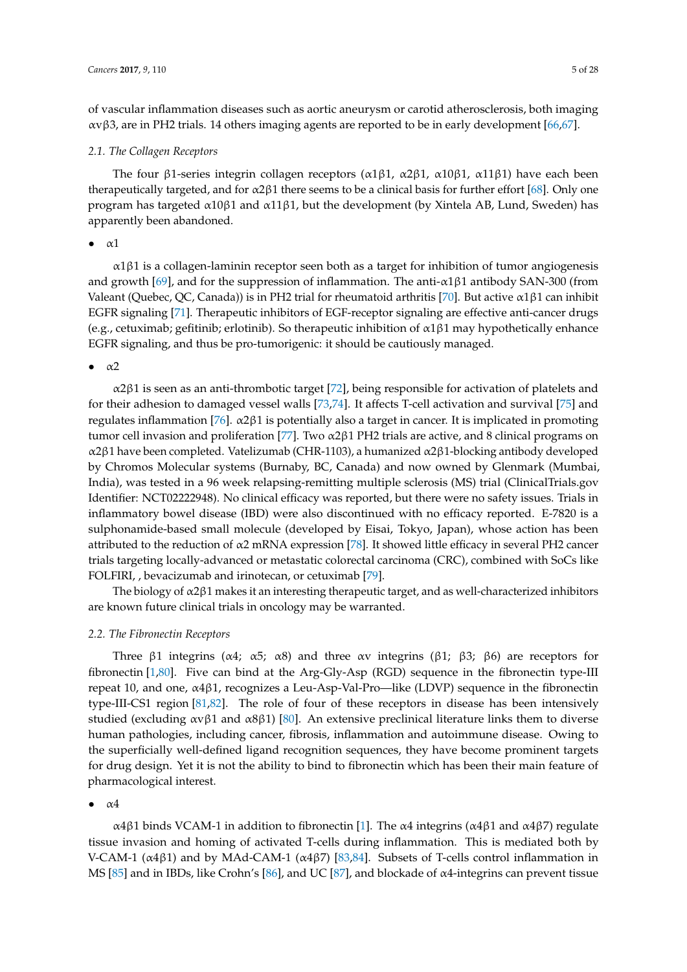of vascular inflammation diseases such as aortic aneurysm or carotid atherosclerosis, both imaging αvβ3, are in PH2 trials. 14 others imaging agents are reported to be in early development [\[66,](#page-19-4)[67\]](#page-19-5).

#### <span id="page-4-0"></span>*2.1. The Collagen Receptors*

The four β1-series integrin collagen receptors ( $\alpha$ 1β1,  $\alpha$ 2β1,  $\alpha$ 10β1,  $\alpha$ 11β1) have each been therapeutically targeted, and for  $\alpha$ 2 $\beta$ 1 there seems to be a clinical basis for further effort [\[68\]](#page-19-6). Only one program has targeted α10β1 and α11β1, but the development (by Xintela AB, Lund, Sweden) has apparently been abandoned.

 $\bullet$   $\alpha$ 1

α1β1 is a collagen-laminin receptor seen both as a target for inhibition of tumor angiogenesis and growth [\[69\]](#page-19-7), and for the suppression of inflammation. The anti- $\alpha$ 1 $\beta$ 1 antibody SAN-300 (from Valeant (Quebec, QC, Canada)) is in PH2 trial for rheumatoid arthritis [\[70\]](#page-19-8). But active  $\alpha$ 1 $\beta$ 1 can inhibit EGFR signaling [\[71\]](#page-19-9). Therapeutic inhibitors of EGF-receptor signaling are effective anti-cancer drugs (e.g., cetuximab; gefitinib; erlotinib). So therapeutic inhibition of  $\alpha$ 1 $\beta$ 1 may hypothetically enhance EGFR signaling, and thus be pro-tumorigenic: it should be cautiously managed.

 $\bullet$   $\alpha$ 2

α2β1 is seen as an anti-thrombotic target [\[72\]](#page-19-10), being responsible for activation of platelets and for their adhesion to damaged vessel walls [\[73](#page-19-11)[,74\]](#page-19-12). It affects T-cell activation and survival [\[75\]](#page-19-13) and regulates inflammation [\[76\]](#page-19-14). α2β1 is potentially also a target in cancer. It is implicated in promoting tumor cell invasion and proliferation [\[77\]](#page-19-15). Two  $α2β1$  PH2 trials are active, and 8 clinical programs on α2β1 have been completed. Vatelizumab (CHR-1103), a humanized α2β1-blocking antibody developed by Chromos Molecular systems (Burnaby, BC, Canada) and now owned by Glenmark (Mumbai, India), was tested in a 96 week relapsing-remitting multiple sclerosis (MS) trial (ClinicalTrials.gov Identifier: NCT02222948). No clinical efficacy was reported, but there were no safety issues. Trials in inflammatory bowel disease (IBD) were also discontinued with no efficacy reported. E-7820 is a sulphonamide-based small molecule (developed by Eisai, Tokyo, Japan), whose action has been attributed to the reduction of α2 mRNA expression [\[78\]](#page-19-16). It showed little efficacy in several PH2 cancer trials targeting locally-advanced or metastatic colorectal carcinoma (CRC), combined with SoCs like FOLFIRI, , bevacizumab and irinotecan, or cetuximab [\[79\]](#page-19-17).

The biology of  $\alpha$ 2 $\beta$ 1 makes it an interesting therapeutic target, and as well-characterized inhibitors are known future clinical trials in oncology may be warranted.

#### *2.2. The Fibronectin Receptors*

Three β1 integrins ( $\alpha$ 4;  $\alpha$ 5;  $\alpha$ 8) and three  $\alpha$ v integrins (β1; β3; β6) are receptors for fibronectin [\[1](#page-15-0)[,80\]](#page-19-18). Five can bind at the Arg-Gly-Asp (RGD) sequence in the fibronectin type-III repeat 10, and one, α4β1, recognizes a Leu-Asp-Val-Pro—like (LDVP) sequence in the fibronectin type-III-CS1 region [\[81,](#page-19-19)[82\]](#page-20-0). The role of four of these receptors in disease has been intensively studied (excluding  $\alpha v \beta 1$  and  $\alpha \beta \beta 1$ ) [\[80\]](#page-19-18). An extensive preclinical literature links them to diverse human pathologies, including cancer, fibrosis, inflammation and autoimmune disease. Owing to the superficially well-defined ligand recognition sequences, they have become prominent targets for drug design. Yet it is not the ability to bind to fibronectin which has been their main feature of pharmacological interest.

## $\bullet$   $\alpha$ 4

α4β1 binds VCAM-1 in addition to fibronectin [\[1\]](#page-15-0). The α4 integrins (α4β1 and α4β7) regulate tissue invasion and homing of activated T-cells during inflammation. This is mediated both by V-CAM-1 ( $\alpha$ 4β1) and by MAd-CAM-1 ( $\alpha$ 4β7) [\[83,](#page-20-1)[84\]](#page-20-2). Subsets of T-cells control inflammation in MS [\[85\]](#page-20-3) and in IBDs, like Crohn's [\[86\]](#page-20-4), and UC [\[87\]](#page-20-5), and blockade of α4-integrins can prevent tissue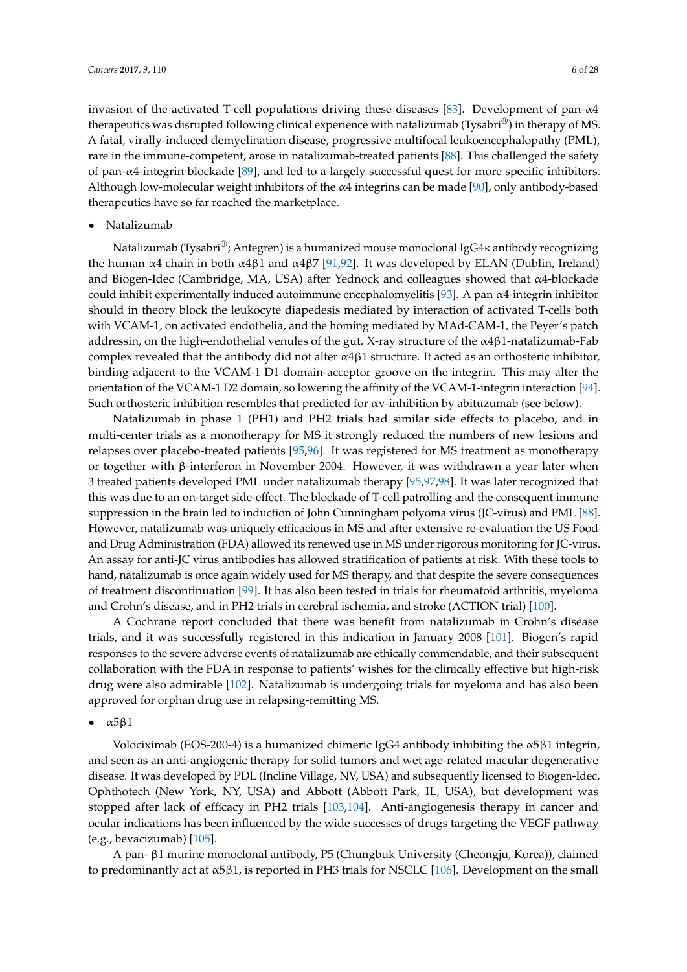invasion of the activated T-cell populations driving these diseases [\[83\]](#page-20-1). Development of pan- $\alpha$ 4 therapeutics was disrupted following clinical experience with natalizumab (Tysabri®) in therapy of MS. A fatal, virally-induced demyelination disease, progressive multifocal leukoencephalopathy (PML), rare in the immune-competent, arose in natalizumab-treated patients [\[88\]](#page-20-6). This challenged the safety of pan-α4-integrin blockade [\[89\]](#page-20-7), and led to a largely successful quest for more specific inhibitors. Although low-molecular weight inhibitors of the  $\alpha$ 4 integrins can be made [\[90\]](#page-20-8), only antibody-based therapeutics have so far reached the marketplace.

• Natalizumab

Natalizumab (Tysabri®; Antegren) is a humanized mouse monoclonal IgG4 $\kappa$  antibody recognizing the human α4 chain in both α4β1 and α4β7 [\[91](#page-20-9)[,92\]](#page-20-10). It was developed by ELAN (Dublin, Ireland) and Biogen-Idec (Cambridge, MA, USA) after Yednock and colleagues showed that α4-blockade could inhibit experimentally induced autoimmune encephalomyelitis [\[93\]](#page-20-11). A pan α4-integrin inhibitor should in theory block the leukocyte diapedesis mediated by interaction of activated T-cells both with VCAM-1, on activated endothelia, and the homing mediated by MAd-CAM-1, the Peyer's patch addressin, on the high-endothelial venules of the gut. X-ray structure of the α4β1-natalizumab-Fab complex revealed that the antibody did not alter  $\alpha$ 4 $\beta$ 1 structure. It acted as an orthosteric inhibitor, binding adjacent to the VCAM-1 D1 domain-acceptor groove on the integrin. This may alter the orientation of the VCAM-1 D2 domain, so lowering the affinity of the VCAM-1-integrin interaction [\[94\]](#page-20-12). Such orthosteric inhibition resembles that predicted for  $\alpha v$ -inhibition by abituzumab (see below).

Natalizumab in phase 1 (PH1) and PH2 trials had similar side effects to placebo, and in multi-center trials as a monotherapy for MS it strongly reduced the numbers of new lesions and relapses over placebo-treated patients [\[95](#page-20-13)[,96\]](#page-20-14). It was registered for MS treatment as monotherapy or together with β-interferon in November 2004. However, it was withdrawn a year later when 3 treated patients developed PML under natalizumab therapy [\[95,](#page-20-13)[97,](#page-20-15)[98\]](#page-20-16). It was later recognized that this was due to an on-target side-effect. The blockade of T-cell patrolling and the consequent immune suppression in the brain led to induction of John Cunningham polyoma virus (JC-virus) and PML [\[88\]](#page-20-6). However, natalizumab was uniquely efficacious in MS and after extensive re-evaluation the US Food and Drug Administration (FDA) allowed its renewed use in MS under rigorous monitoring for JC-virus. An assay for anti-JC virus antibodies has allowed stratification of patients at risk. With these tools to hand, natalizumab is once again widely used for MS therapy, and that despite the severe consequences of treatment discontinuation [\[99\]](#page-20-17). It has also been tested in trials for rheumatoid arthritis, myeloma and Crohn's disease, and in PH2 trials in cerebral ischemia, and stroke (ACTION trial) [\[100\]](#page-20-18).

A Cochrane report concluded that there was benefit from natalizumab in Crohn's disease trials, and it was successfully registered in this indication in January 2008 [\[101\]](#page-20-19). Biogen's rapid responses to the severe adverse events of natalizumab are ethically commendable, and their subsequent collaboration with the FDA in response to patients' wishes for the clinically effective but high-risk drug were also admirable [\[102\]](#page-20-20). Natalizumab is undergoing trials for myeloma and has also been approved for orphan drug use in relapsing-remitting MS.

#### $\bullet$   $\alpha$ 5 $\beta$ 1

Volociximab (EOS-200-4) is a humanized chimeric IgG4 antibody inhibiting the α5β1 integrin, and seen as an anti-angiogenic therapy for solid tumors and wet age-related macular degenerative disease. It was developed by PDL (Incline Village, NV, USA) and subsequently licensed to Biogen-Idec, Ophthotech (New York, NY, USA) and Abbott (Abbott Park, IL, USA), but development was stopped after lack of efficacy in PH2 trials [\[103](#page-21-0)[,104\]](#page-21-1). Anti-angiogenesis therapy in cancer and ocular indications has been influenced by the wide successes of drugs targeting the VEGF pathway (e.g., bevacizumab) [\[105\]](#page-21-2).

A pan- β1 murine monoclonal antibody, P5 (Chungbuk University (Cheongju, Korea)), claimed to predominantly act at  $\alpha$ 5 $\beta$ 1, is reported in PH3 trials for NSCLC [\[106\]](#page-21-3). Development on the small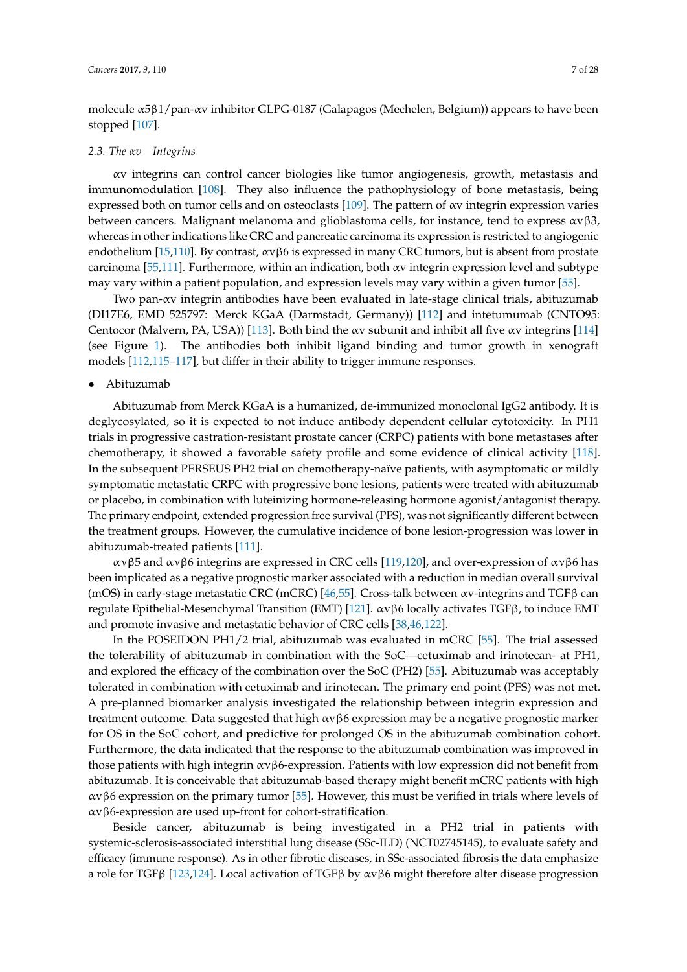molecule α5β1/pan-αv inhibitor GLPG-0187 (Galapagos (Mechelen, Belgium)) appears to have been stopped [\[107\]](#page-21-4).

### *2.3. The αv—Integrins*

αv integrins can control cancer biologies like tumor angiogenesis, growth, metastasis and immunomodulation [\[108\]](#page-21-5). They also influence the pathophysiology of bone metastasis, being expressed both on tumor cells and on osteoclasts [\[109\]](#page-21-6). The pattern of  $\alpha v$  integrin expression varies between cancers. Malignant melanoma and glioblastoma cells, for instance, tend to express  $\alpha v \beta 3$ , whereas in other indications like CRC and pancreatic carcinoma its expression is restricted to angiogenic endothelium [\[15,](#page-16-7)[110\]](#page-21-7). By contrast,  $\alpha v \beta 6$  is expressed in many CRC tumors, but is absent from prostate carcinoma [\[55](#page-18-6)[,111\]](#page-21-8). Furthermore, within an indication, both αv integrin expression level and subtype may vary within a patient population, and expression levels may vary within a given tumor [\[55\]](#page-18-6).

Two pan-αv integrin antibodies have been evaluated in late-stage clinical trials, abituzumab (DI17E6, EMD 525797: Merck KGaA (Darmstadt, Germany)) [\[112\]](#page-21-9) and intetumumab (CNTO95: Centocor (Malvern, PA, USA)) [\[113\]](#page-21-10). Both bind the  $\alpha v$  subunit and inhibit all five  $\alpha v$  integrins [\[114\]](#page-21-11) (see Figure [1\)](#page-3-0). The antibodies both inhibit ligand binding and tumor growth in xenograft models [\[112,](#page-21-9)[115–](#page-21-12)[117\]](#page-21-13), but differ in their ability to trigger immune responses.

#### • Abituzumab

Abituzumab from Merck KGaA is a humanized, de-immunized monoclonal IgG2 antibody. It is deglycosylated, so it is expected to not induce antibody dependent cellular cytotoxicity. In PH1 trials in progressive castration-resistant prostate cancer (CRPC) patients with bone metastases after chemotherapy, it showed a favorable safety profile and some evidence of clinical activity [\[118\]](#page-21-14). In the subsequent PERSEUS PH2 trial on chemotherapy-naïve patients, with asymptomatic or mildly symptomatic metastatic CRPC with progressive bone lesions, patients were treated with abituzumab or placebo, in combination with luteinizing hormone-releasing hormone agonist/antagonist therapy. The primary endpoint, extended progression free survival (PFS), was not significantly different between the treatment groups. However, the cumulative incidence of bone lesion-progression was lower in abituzumab-treated patients [\[111\]](#page-21-8).

ανβ5 and ανβ6 integrins are expressed in CRC cells [\[119](#page-21-15)[,120\]](#page-22-0), and over-expression of ανβ6 has been implicated as a negative prognostic marker associated with a reduction in median overall survival (mOS) in early-stage metastatic CRC (mCRC) [\[46,](#page-18-0)[55\]](#page-18-6). Cross-talk between  $\alpha v$ -integrins and TGF $\beta$  can regulate Epithelial-Mesenchymal Transition (EMT) [\[121\]](#page-22-1). αvβ6 locally activates TGFβ, to induce EMT and promote invasive and metastatic behavior of CRC cells [\[38](#page-17-9)[,46,](#page-18-0)[122\]](#page-22-2).

In the POSEIDON PH1/2 trial, abituzumab was evaluated in mCRC [\[55\]](#page-18-6). The trial assessed the tolerability of abituzumab in combination with the SoC—cetuximab and irinotecan- at PH1, and explored the efficacy of the combination over the SoC (PH2) [\[55\]](#page-18-6). Abituzumab was acceptably tolerated in combination with cetuximab and irinotecan. The primary end point (PFS) was not met. A pre-planned biomarker analysis investigated the relationship between integrin expression and treatment outcome. Data suggested that high  $\alpha v \beta \delta$  expression may be a negative prognostic marker for OS in the SoC cohort, and predictive for prolonged OS in the abituzumab combination cohort. Furthermore, the data indicated that the response to the abituzumab combination was improved in those patients with high integrin  $\alpha \nu \beta 6$ -expression. Patients with low expression did not benefit from abituzumab. It is conceivable that abituzumab-based therapy might benefit mCRC patients with high αvβ6 expression on the primary tumor [\[55\]](#page-18-6). However, this must be verified in trials where levels of αvβ6-expression are used up-front for cohort-stratification.

Beside cancer, abituzumab is being investigated in a PH2 trial in patients with systemic-sclerosis-associated interstitial lung disease (SSc-ILD) (NCT02745145), to evaluate safety and efficacy (immune response). As in other fibrotic diseases, in SSc-associated fibrosis the data emphasize a role for TGFβ [\[123](#page-22-3)[,124\]](#page-22-4). Local activation of TGFβ by αvβ6 might therefore alter disease progression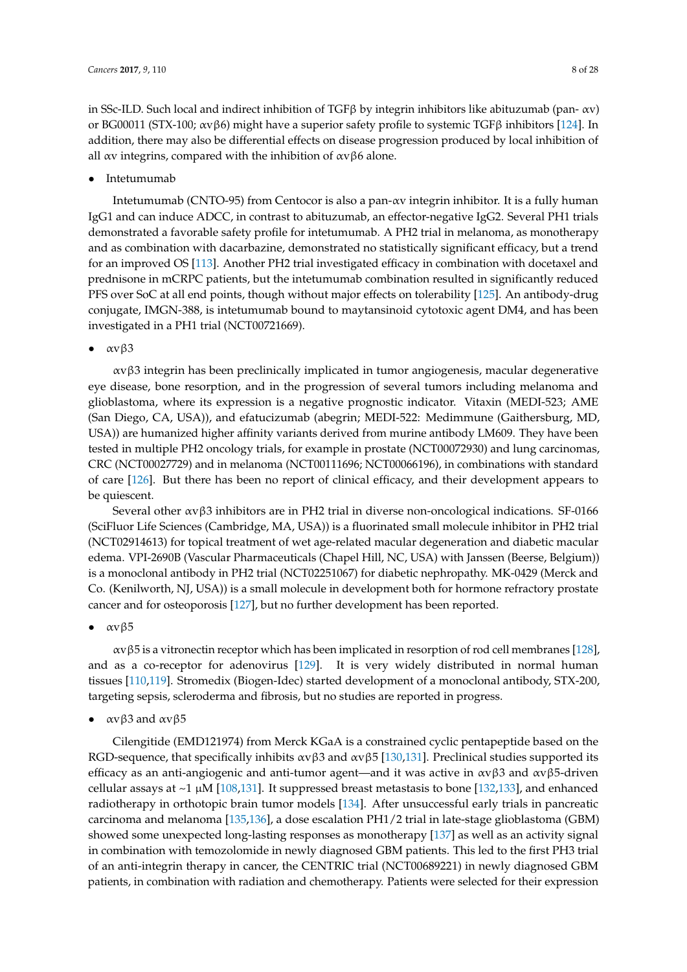in SSc-ILD. Such local and indirect inhibition of TGFβ by integrin inhibitors like abituzumab (pan- αv) or BG00011 (STX-100;  $\alpha v \beta 6$ ) might have a superior safety profile to systemic TGF $\beta$  inhibitors [\[124\]](#page-22-4). In addition, there may also be differential effects on disease progression produced by local inhibition of all  $\alpha v$  integrins, compared with the inhibition of  $\alpha v \beta 6$  alone.

• Intetumumab

Intetumumab (CNTO-95) from Centocor is also a pan-αv integrin inhibitor. It is a fully human IgG1 and can induce ADCC, in contrast to abituzumab, an effector-negative IgG2. Several PH1 trials demonstrated a favorable safety profile for intetumumab. A PH2 trial in melanoma, as monotherapy and as combination with dacarbazine, demonstrated no statistically significant efficacy, but a trend for an improved OS [\[113\]](#page-21-10). Another PH2 trial investigated efficacy in combination with docetaxel and prednisone in mCRPC patients, but the intetumumab combination resulted in significantly reduced PFS over SoC at all end points, though without major effects on tolerability [\[125\]](#page-22-5). An antibody-drug conjugate, IMGN-388, is intetumumab bound to maytansinoid cytotoxic agent DM4, and has been investigated in a PH1 trial (NCT00721669).

 $\bullet$   $\alpha \nu \beta 3$ 

αvβ3 integrin has been preclinically implicated in tumor angiogenesis, macular degenerative eye disease, bone resorption, and in the progression of several tumors including melanoma and glioblastoma, where its expression is a negative prognostic indicator. Vitaxin (MEDI-523; AME (San Diego, CA, USA)), and efatucizumab (abegrin; MEDI-522: Medimmune (Gaithersburg, MD, USA)) are humanized higher affinity variants derived from murine antibody LM609. They have been tested in multiple PH2 oncology trials, for example in prostate (NCT00072930) and lung carcinomas, CRC (NCT00027729) and in melanoma (NCT00111696; NCT00066196), in combinations with standard of care [\[126\]](#page-22-6). But there has been no report of clinical efficacy, and their development appears to be quiescent.

Several other  $ανβ3$  inhibitors are in PH2 trial in diverse non-oncological indications. SF-0166 (SciFluor Life Sciences (Cambridge, MA, USA)) is a fluorinated small molecule inhibitor in PH2 trial (NCT02914613) for topical treatment of wet age-related macular degeneration and diabetic macular edema. VPI-2690B (Vascular Pharmaceuticals (Chapel Hill, NC, USA) with Janssen (Beerse, Belgium)) is a monoclonal antibody in PH2 trial (NCT02251067) for diabetic nephropathy. MK-0429 (Merck and Co. (Kenilworth, NJ, USA)) is a small molecule in development both for hormone refractory prostate cancer and for osteoporosis [\[127\]](#page-22-7), but no further development has been reported.

## $\bullet$   $\alpha \nu \beta 5$

αvβ5 is a vitronectin receptor which has been implicated in resorption of rod cell membranes [\[128\]](#page-22-8), and as a co-receptor for adenovirus [\[129\]](#page-22-9). It is very widely distributed in normal human tissues [\[110](#page-21-7)[,119\]](#page-21-15). Stromedix (Biogen-Idec) started development of a monoclonal antibody, STX-200, targeting sepsis, scleroderma and fibrosis, but no studies are reported in progress.

•  $\alpha v \beta 3$  and  $\alpha v \beta 5$ 

Cilengitide (EMD121974) from Merck KGaA is a constrained cyclic pentapeptide based on the RGD-sequence, that specifically inhibits  $\alpha v \beta 3$  and  $\alpha v \beta 5$  [\[130,](#page-22-10)[131\]](#page-22-11). Preclinical studies supported its efficacy as an anti-angiogenic and anti-tumor agent—and it was active in  $\alpha v \beta$ 3 and  $\alpha v \beta$ 5-driven cellular assays at  $\sim$ 1  $\mu$ M [\[108](#page-21-5)[,131\]](#page-22-11). It suppressed breast metastasis to bone [\[132](#page-22-12)[,133\]](#page-22-13), and enhanced radiotherapy in orthotopic brain tumor models [\[134\]](#page-22-14). After unsuccessful early trials in pancreatic carcinoma and melanoma [\[135,](#page-22-15)[136\]](#page-22-16), a dose escalation PH1/2 trial in late-stage glioblastoma (GBM) showed some unexpected long-lasting responses as monotherapy [\[137\]](#page-23-0) as well as an activity signal in combination with temozolomide in newly diagnosed GBM patients. This led to the first PH3 trial of an anti-integrin therapy in cancer, the CENTRIC trial (NCT00689221) in newly diagnosed GBM patients, in combination with radiation and chemotherapy. Patients were selected for their expression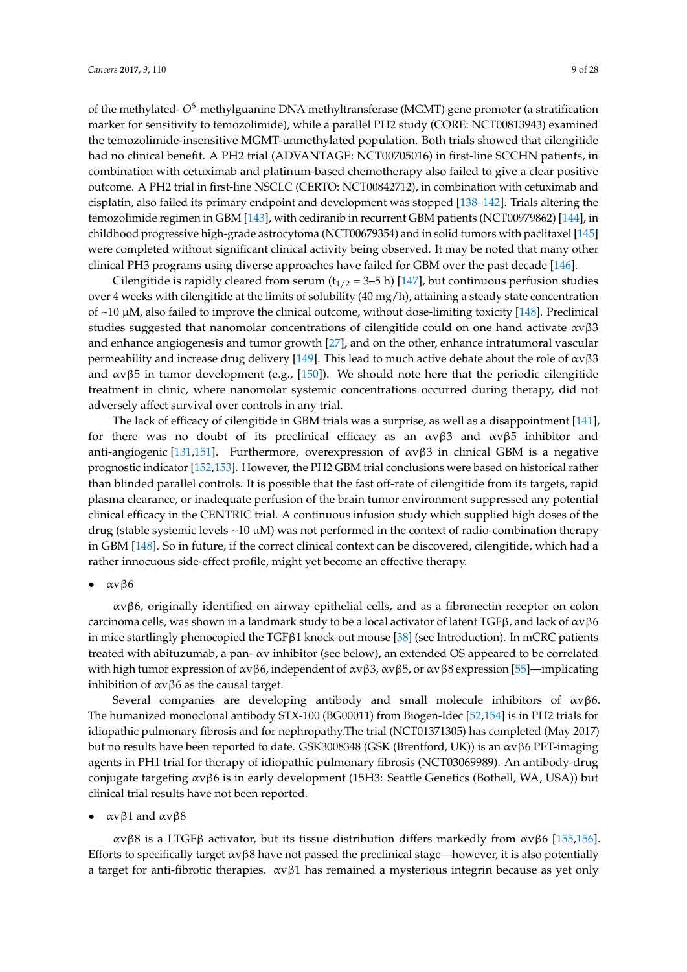of the methylated- O<sup>6</sup>-methylguanine DNA methyltransferase (MGMT) gene promoter (a stratification marker for sensitivity to temozolimide), while a parallel PH2 study (CORE: NCT00813943) examined the temozolimide-insensitive MGMT-unmethylated population. Both trials showed that cilengitide had no clinical benefit. A PH2 trial (ADVANTAGE: NCT00705016) in first-line SCCHN patients, in combination with cetuximab and platinum-based chemotherapy also failed to give a clear positive outcome. A PH2 trial in first-line NSCLC (CERTO: NCT00842712), in combination with cetuximab and cisplatin, also failed its primary endpoint and development was stopped [\[138–](#page-23-1)[142\]](#page-23-2). Trials altering the temozolimide regimen in GBM [\[143\]](#page-23-3), with cediranib in recurrent GBM patients (NCT00979862) [\[144\]](#page-23-4), in childhood progressive high-grade astrocytoma (NCT00679354) and in solid tumors with paclitaxel [\[145\]](#page-23-5) were completed without significant clinical activity being observed. It may be noted that many other

clinical PH3 programs using diverse approaches have failed for GBM over the past decade [\[146\]](#page-23-6). Cilengitide is rapidly cleared from serum ( $t_{1/2}$  = 3–5 h) [\[147\]](#page-23-7), but continuous perfusion studies over 4 weeks with cilengitide at the limits of solubility (40 mg/h), attaining a steady state concentration of  $\sim$ 10  $\mu$ M, also failed to improve the clinical outcome, without dose-limiting toxicity [\[148\]](#page-23-8). Preclinical studies suggested that nanomolar concentrations of cilengitide could on one hand activate αvβ3 and enhance angiogenesis and tumor growth [\[27\]](#page-16-18), and on the other, enhance intratumoral vascular permeability and increase drug delivery [\[149\]](#page-23-9). This lead to much active debate about the role of  $\alpha v \beta 3$ and  $\alpha \nu \beta$ 5 in tumor development (e.g., [\[150\]](#page-23-10)). We should note here that the periodic cilengitide treatment in clinic, where nanomolar systemic concentrations occurred during therapy, did not adversely affect survival over controls in any trial.

The lack of efficacy of cilengitide in GBM trials was a surprise, as well as a disappointment [\[141\]](#page-23-11), for there was no doubt of its preclinical efficacy as an  $\alpha v \beta 3$  and  $\alpha v \beta 5$  inhibitor and anti-angiogenic [\[131,](#page-22-11)[151\]](#page-23-12). Furthermore, overexpression of  $\alpha v \beta 3$  in clinical GBM is a negative prognostic indicator [\[152](#page-23-13)[,153\]](#page-24-0). However, the PH2 GBM trial conclusions were based on historical rather than blinded parallel controls. It is possible that the fast off-rate of cilengitide from its targets, rapid plasma clearance, or inadequate perfusion of the brain tumor environment suppressed any potential clinical efficacy in the CENTRIC trial. A continuous infusion study which supplied high doses of the drug (stable systemic levels  $\sim$ 10  $\mu$ M) was not performed in the context of radio-combination therapy in GBM [\[148\]](#page-23-8). So in future, if the correct clinical context can be discovered, cilengitide, which had a rather innocuous side-effect profile, might yet become an effective therapy.

## • αvβ6

αvβ6, originally identified on airway epithelial cells, and as a fibronectin receptor on colon carcinoma cells, was shown in a landmark study to be a local activator of latent TGF $\beta$ , and lack of  $\alpha v \beta \delta$ in mice startlingly phenocopied the TGF $\beta$ 1 knock-out mouse [\[38\]](#page-17-9) (see Introduction). In mCRC patients treated with abituzumab, a pan- αv inhibitor (see below), an extended OS appeared to be correlated with high tumor expression of  $\alpha v \beta \delta$ , independent of  $\alpha v \beta \delta$ ,  $\alpha v \beta \delta$ , or  $\alpha v \beta \delta$  expression [\[55\]](#page-18-6)—implicating inhibition of  $αvβ6$  as the causal target.

Several companies are developing antibody and small molecule inhibitors of  $\alpha v \beta 6$ . The humanized monoclonal antibody STX-100 (BG00011) from Biogen-Idec [\[52,](#page-18-4)[154\]](#page-24-1) is in PH2 trials for idiopathic pulmonary fibrosis and for nephropathy.The trial (NCT01371305) has completed (May 2017) but no results have been reported to date. GSK3008348 (GSK (Brentford, UK)) is an αvβ6 PET-imaging agents in PH1 trial for therapy of idiopathic pulmonary fibrosis (NCT03069989). An antibody-drug conjugate targeting αvβ6 is in early development (15H3: Seattle Genetics (Bothell, WA, USA)) but clinical trial results have not been reported.

αν $β1$  and αν $β8$ 

αvβ8 is a LTGFβ activator, but its tissue distribution differs markedly from αvβ6 [\[155,](#page-24-2)[156\]](#page-24-3). Efforts to specifically target  $\alpha v \beta \delta$  have not passed the preclinical stage—however, it is also potentially a target for anti-fibrotic therapies.  $\alpha v \beta$ 1 has remained a mysterious integrin because as yet only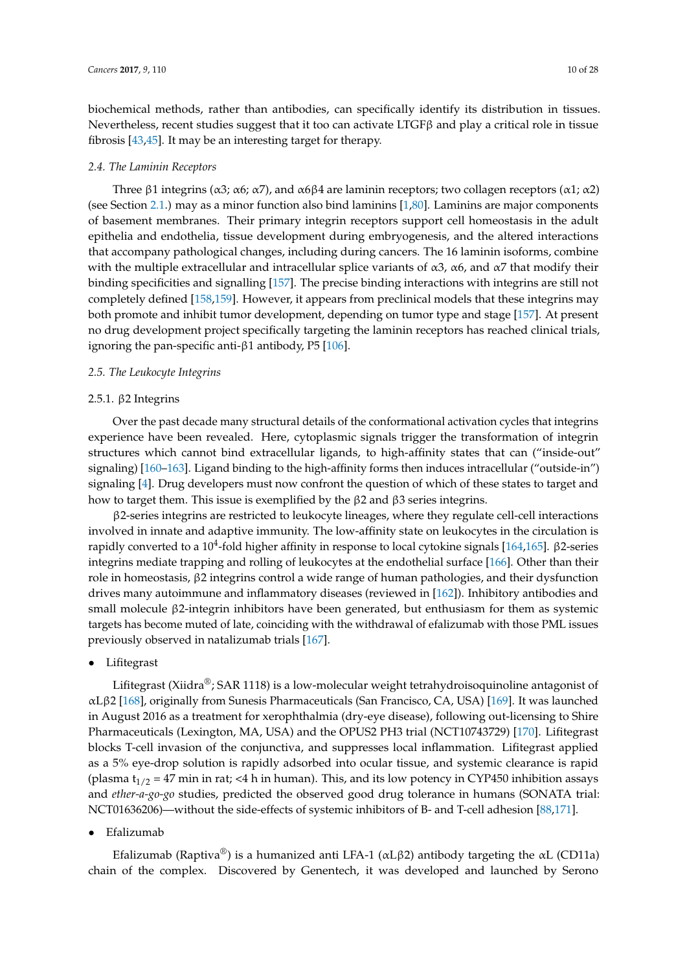biochemical methods, rather than antibodies, can specifically identify its distribution in tissues. Nevertheless, recent studies suggest that it too can activate LTGFβ and play a critical role in tissue fibrosis [\[43](#page-17-14)[,45\]](#page-17-16). It may be an interesting target for therapy.

### *2.4. The Laminin Receptors*

Three β1 integrins (α3; α6; α7), and α6β4 are laminin receptors; two collagen receptors (α1; α2) (see Section [2.1.](#page-4-0)) may as a minor function also bind laminins [\[1,](#page-15-0)[80\]](#page-19-18). Laminins are major components of basement membranes. Their primary integrin receptors support cell homeostasis in the adult epithelia and endothelia, tissue development during embryogenesis, and the altered interactions that accompany pathological changes, including during cancers. The 16 laminin isoforms, combine with the multiple extracellular and intracellular splice variants of  $\alpha$ 3,  $\alpha$ 6, and  $\alpha$ 7 that modify their binding specificities and signalling [\[157\]](#page-24-4). The precise binding interactions with integrins are still not completely defined [\[158,](#page-24-5)[159\]](#page-24-6). However, it appears from preclinical models that these integrins may both promote and inhibit tumor development, depending on tumor type and stage [\[157\]](#page-24-4). At present no drug development project specifically targeting the laminin receptors has reached clinical trials, ignoring the pan-specific anti- $\beta$ 1 antibody, P5 [\[106\]](#page-21-3).

## *2.5. The Leukocyte Integrins*

## 2.5.1. β2 Integrins

Over the past decade many structural details of the conformational activation cycles that integrins experience have been revealed. Here, cytoplasmic signals trigger the transformation of integrin structures which cannot bind extracellular ligands, to high-affinity states that can ("inside-out" signaling) [\[160–](#page-24-7)[163\]](#page-24-8). Ligand binding to the high-affinity forms then induces intracellular ("outside-in") signaling [\[4\]](#page-15-5). Drug developers must now confront the question of which of these states to target and how to target them. This issue is exemplified by the β2 and β3 series integrins.

β2-series integrins are restricted to leukocyte lineages, where they regulate cell-cell interactions involved in innate and adaptive immunity. The low-affinity state on leukocytes in the circulation is rapidly converted to a 10<sup>4</sup>-fold higher affinity in response to local cytokine signals [\[164](#page-24-9)[,165\]](#page-24-10). β2-series integrins mediate trapping and rolling of leukocytes at the endothelial surface [\[166\]](#page-24-11). Other than their role in homeostasis, β2 integrins control a wide range of human pathologies, and their dysfunction drives many autoimmune and inflammatory diseases (reviewed in [\[162\]](#page-24-12)). Inhibitory antibodies and small molecule β2-integrin inhibitors have been generated, but enthusiasm for them as systemic targets has become muted of late, coinciding with the withdrawal of efalizumab with those PML issues previously observed in natalizumab trials [\[167\]](#page-24-13).

• Lifitegrast

Lifitegrast (Xiidra $\mathbb{S}$ ; SAR 1118) is a low-molecular weight tetrahydroisoquinoline antagonist of αLβ2 [\[168\]](#page-24-14), originally from Sunesis Pharmaceuticals (San Francisco, CA, USA) [\[169\]](#page-24-15). It was launched in August 2016 as a treatment for xerophthalmia (dry-eye disease), following out-licensing to Shire Pharmaceuticals (Lexington, MA, USA) and the OPUS2 PH3 trial (NCT10743729) [\[170\]](#page-24-16). Lifitegrast blocks T-cell invasion of the conjunctiva, and suppresses local inflammation. Lifitegrast applied as a 5% eye-drop solution is rapidly adsorbed into ocular tissue, and systemic clearance is rapid (plasma  $t_{1/2}$  = 47 min in rat; <4 h in human). This, and its low potency in CYP450 inhibition assays and *ether-a-go-go* studies, predicted the observed good drug tolerance in humans (SONATA trial: NCT01636206)—without the side-effects of systemic inhibitors of B- and T-cell adhesion [\[88,](#page-20-6)[171\]](#page-24-17).

• Efalizumab

Efalizumab (Raptiva®) is a humanized anti LFA-1 ( $\alpha$ L $\beta$ 2) antibody targeting the  $\alpha$ L (CD11a) chain of the complex. Discovered by Genentech, it was developed and launched by Serono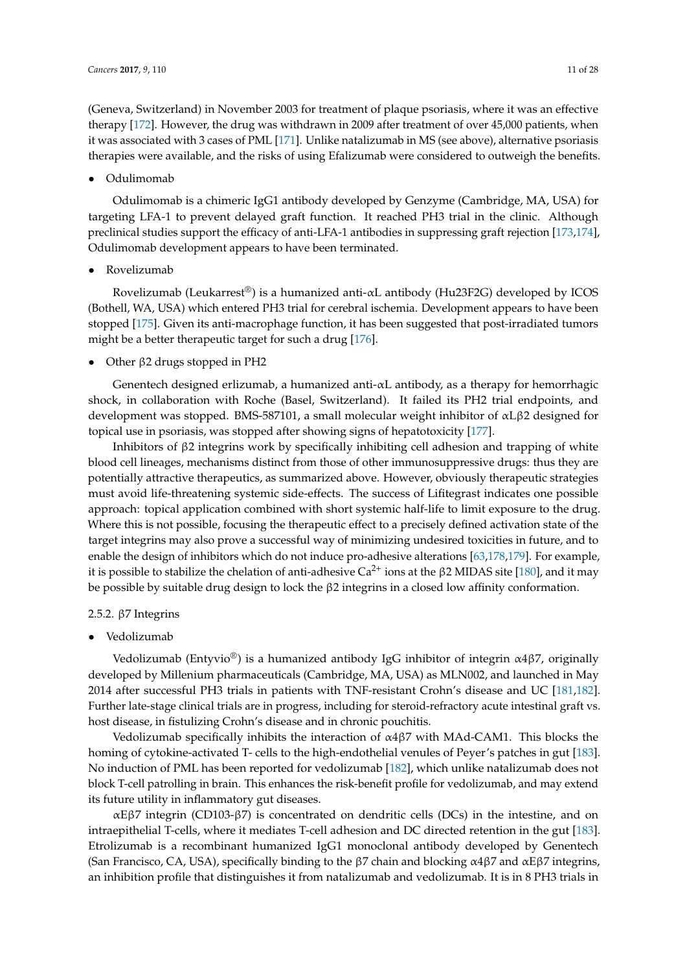(Geneva, Switzerland) in November 2003 for treatment of plaque psoriasis, where it was an effective therapy [\[172\]](#page-24-18). However, the drug was withdrawn in 2009 after treatment of over 45,000 patients, when it was associated with 3 cases of PML [\[171\]](#page-24-17). Unlike natalizumab in MS (see above), alternative psoriasis therapies were available, and the risks of using Efalizumab were considered to outweigh the benefits.

## • Odulimomab

Odulimomab is a chimeric IgG1 antibody developed by Genzyme (Cambridge, MA, USA) for targeting LFA-1 to prevent delayed graft function. It reached PH3 trial in the clinic. Although preclinical studies support the efficacy of anti-LFA-1 antibodies in suppressing graft rejection [\[173](#page-24-19)[,174\]](#page-25-0), Odulimomab development appears to have been terminated.

• Rovelizumab

Rovelizumab (Leukarrest®) is a humanized anti-αL antibody (Hu23F2G) developed by ICOS (Bothell, WA, USA) which entered PH3 trial for cerebral ischemia. Development appears to have been stopped [\[175\]](#page-25-1). Given its anti-macrophage function, it has been suggested that post-irradiated tumors might be a better therapeutic target for such a drug [\[176\]](#page-25-2).

• Other β2 drugs stopped in PH2

Genentech designed erlizumab, a humanized anti-αL antibody, as a therapy for hemorrhagic shock, in collaboration with Roche (Basel, Switzerland). It failed its PH2 trial endpoints, and development was stopped. BMS-587101, a small molecular weight inhibitor of αLβ2 designed for topical use in psoriasis, was stopped after showing signs of hepatotoxicity [\[177\]](#page-25-3).

Inhibitors of β2 integrins work by specifically inhibiting cell adhesion and trapping of white blood cell lineages, mechanisms distinct from those of other immunosuppressive drugs: thus they are potentially attractive therapeutics, as summarized above. However, obviously therapeutic strategies must avoid life-threatening systemic side-effects. The success of Lifitegrast indicates one possible approach: topical application combined with short systemic half-life to limit exposure to the drug. Where this is not possible, focusing the therapeutic effect to a precisely defined activation state of the target integrins may also prove a successful way of minimizing undesired toxicities in future, and to enable the design of inhibitors which do not induce pro-adhesive alterations [\[63](#page-19-1)[,178](#page-25-4)[,179\]](#page-25-5). For example, it is possible to stabilize the chelation of anti-adhesive  $Ca<sup>2+</sup>$  ions at the β2 MIDAS site [\[180\]](#page-25-6), and it may be possible by suitable drug design to lock the β2 integrins in a closed low affinity conformation.

## 2.5.2. β7 Integrins

• Vedolizumab

Vedolizumab (Entyvio®) is a humanized antibody IgG inhibitor of integrin  $\alpha$ 4 $\beta$ 7, originally developed by Millenium pharmaceuticals (Cambridge, MA, USA) as MLN002, and launched in May 2014 after successful PH3 trials in patients with TNF-resistant Crohn's disease and UC [\[181,](#page-25-7)[182\]](#page-25-8). Further late-stage clinical trials are in progress, including for steroid-refractory acute intestinal graft vs. host disease, in fistulizing Crohn's disease and in chronic pouchitis.

Vedolizumab specifically inhibits the interaction of α4β7 with MAd-CAM1. This blocks the homing of cytokine-activated T- cells to the high-endothelial venules of Peyer's patches in gut [\[183\]](#page-25-9). No induction of PML has been reported for vedolizumab [\[182\]](#page-25-8), which unlike natalizumab does not block T-cell patrolling in brain. This enhances the risk-benefit profile for vedolizumab, and may extend its future utility in inflammatory gut diseases.

αEβ7 integrin (CD103-β7) is concentrated on dendritic cells (DCs) in the intestine, and on intraepithelial T-cells, where it mediates T-cell adhesion and DC directed retention in the gut [\[183\]](#page-25-9). Etrolizumab is a recombinant humanized IgG1 monoclonal antibody developed by Genentech (San Francisco, CA, USA), specifically binding to the β7 chain and blocking  $\alpha$ 4β7 and  $\alpha$ Eβ7 integrins, an inhibition profile that distinguishes it from natalizumab and vedolizumab. It is in 8 PH3 trials in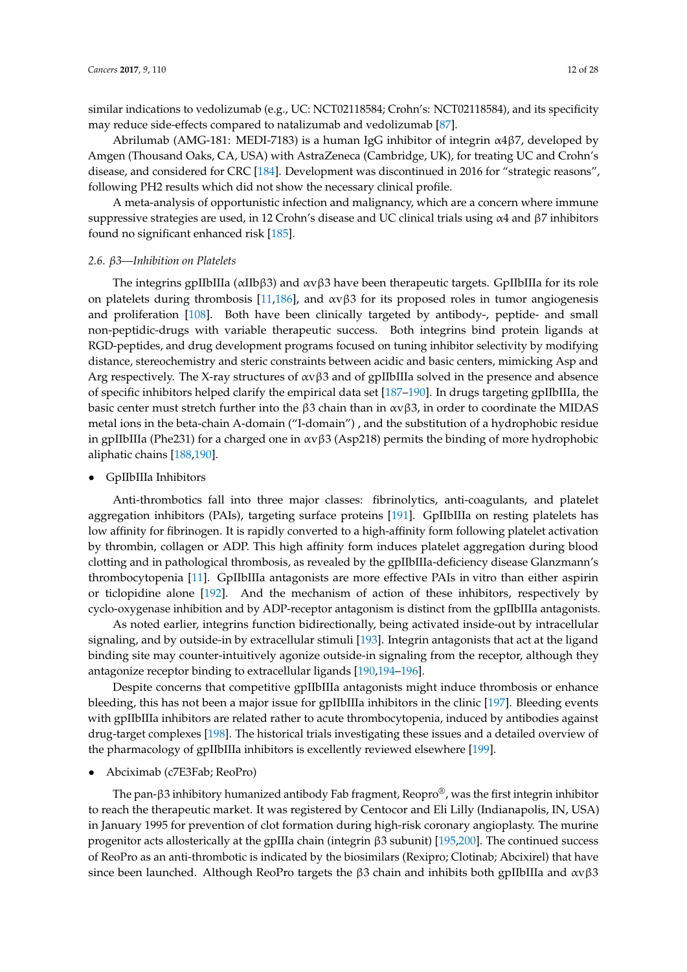similar indications to vedolizumab (e.g., UC: NCT02118584; Crohn's: NCT02118584), and its specificity may reduce side-effects compared to natalizumab and vedolizumab [\[87\]](#page-20-5).

Abrilumab (AMG-181: MEDI-7183) is a human IgG inhibitor of integrin α4β7, developed by Amgen (Thousand Oaks, CA, USA) with AstraZeneca (Cambridge, UK), for treating UC and Crohn's disease, and considered for CRC [\[184\]](#page-25-10). Development was discontinued in 2016 for "strategic reasons", following PH2 results which did not show the necessary clinical profile.

A meta-analysis of opportunistic infection and malignancy, which are a concern where immune suppressive strategies are used, in 12 Crohn's disease and UC clinical trials using α4 and β7 inhibitors found no significant enhanced risk [\[185\]](#page-25-11).

## *2.6. β3—Inhibition on Platelets*

The integrins gpIIbIIIa (αIIbβ3) and αvβ3 have been therapeutic targets. GpIIbIIIa for its role on platelets during thrombosis [\[11,](#page-16-3)[186\]](#page-25-12), and  $\alpha \nu \beta$ 3 for its proposed roles in tumor angiogenesis and proliferation [\[108\]](#page-21-5). Both have been clinically targeted by antibody-, peptide- and small non-peptidic-drugs with variable therapeutic success. Both integrins bind protein ligands at RGD-peptides, and drug development programs focused on tuning inhibitor selectivity by modifying distance, stereochemistry and steric constraints between acidic and basic centers, mimicking Asp and Arg respectively. The X-ray structures of  $\alpha v \beta 3$  and of gpIIbIIIa solved in the presence and absence of specific inhibitors helped clarify the empirical data set [\[187–](#page-25-13)[190\]](#page-25-14). In drugs targeting gpIIbIIIa, the basic center must stretch further into the β3 chain than in  $\alpha$ vβ3, in order to coordinate the MIDAS metal ions in the beta-chain A-domain ("I-domain") , and the substitution of a hydrophobic residue in gpIIbIIIa (Phe231) for a charged one in αvβ3 (Asp218) permits the binding of more hydrophobic aliphatic chains [\[188,](#page-25-15)[190\]](#page-25-14).

• GpIIbIIIa Inhibitors

Anti-thrombotics fall into three major classes: fibrinolytics, anti-coagulants, and platelet aggregation inhibitors (PAIs), targeting surface proteins [\[191\]](#page-25-16). GpIIbIIIa on resting platelets has low affinity for fibrinogen. It is rapidly converted to a high-affinity form following platelet activation by thrombin, collagen or ADP. This high affinity form induces platelet aggregation during blood clotting and in pathological thrombosis, as revealed by the gpIIbIIIa-deficiency disease Glanzmann's thrombocytopenia [\[11\]](#page-16-3). GpIIbIIIa antagonists are more effective PAIs in vitro than either aspirin or ticlopidine alone [\[192\]](#page-25-17). And the mechanism of action of these inhibitors, respectively by cyclo-oxygenase inhibition and by ADP-receptor antagonism is distinct from the gpIIbIIIa antagonists.

As noted earlier, integrins function bidirectionally, being activated inside-out by intracellular signaling, and by outside-in by extracellular stimuli [\[193\]](#page-25-18). Integrin antagonists that act at the ligand binding site may counter-intuitively agonize outside-in signaling from the receptor, although they antagonize receptor binding to extracellular ligands [\[190,](#page-25-14)[194](#page-26-0)[–196\]](#page-26-1).

Despite concerns that competitive gpIIbIIIa antagonists might induce thrombosis or enhance bleeding, this has not been a major issue for gpIIbIIIa inhibitors in the clinic [\[197\]](#page-26-2). Bleeding events with gpIIbIIIa inhibitors are related rather to acute thrombocytopenia, induced by antibodies against drug-target complexes [\[198\]](#page-26-3). The historical trials investigating these issues and a detailed overview of the pharmacology of gpIIbIIIa inhibitors is excellently reviewed elsewhere [\[199\]](#page-26-4).

• Abciximab (c7E3Fab; ReoPro)

The pan- $\beta$ 3 inhibitory humanized antibody Fab fragment, Reopro®, was the first integrin inhibitor to reach the therapeutic market. It was registered by Centocor and Eli Lilly (Indianapolis, IN, USA) in January 1995 for prevention of clot formation during high-risk coronary angioplasty. The murine progenitor acts allosterically at the gpIIIa chain (integrin β3 subunit) [\[195,](#page-26-5)[200\]](#page-26-6). The continued success of ReoPro as an anti-thrombotic is indicated by the biosimilars (Rexipro; Clotinab; Abcixirel) that have since been launched. Although ReoPro targets the β3 chain and inhibits both gpIIbIIIa and  $ανβ3$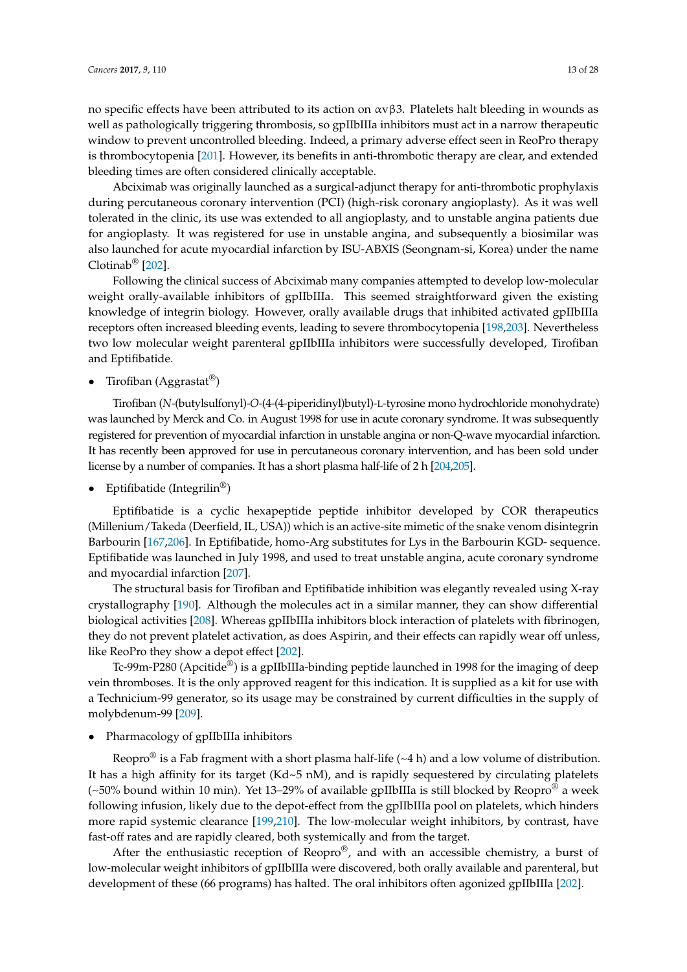no specific effects have been attributed to its action on  $ανβ3$ . Platelets halt bleeding in wounds as well as pathologically triggering thrombosis, so gpIIbIIIa inhibitors must act in a narrow therapeutic window to prevent uncontrolled bleeding. Indeed, a primary adverse effect seen in ReoPro therapy is thrombocytopenia [\[201\]](#page-26-7). However, its benefits in anti-thrombotic therapy are clear, and extended bleeding times are often considered clinically acceptable.

Abciximab was originally launched as a surgical-adjunct therapy for anti-thrombotic prophylaxis during percutaneous coronary intervention (PCI) (high-risk coronary angioplasty). As it was well tolerated in the clinic, its use was extended to all angioplasty, and to unstable angina patients due for angioplasty. It was registered for use in unstable angina, and subsequently a biosimilar was also launched for acute myocardial infarction by ISU-ABXIS (Seongnam-si, Korea) under the name Clotinab® [\[202\]](#page-26-8).

Following the clinical success of Abciximab many companies attempted to develop low-molecular weight orally-available inhibitors of gpIIbIIIa. This seemed straightforward given the existing knowledge of integrin biology. However, orally available drugs that inhibited activated gpIIbIIIa receptors often increased bleeding events, leading to severe thrombocytopenia [\[198,](#page-26-3)[203\]](#page-26-9). Nevertheless two low molecular weight parenteral gpIIbIIIa inhibitors were successfully developed, Tirofiban and Eptifibatide.

• Tirofiban (Aggrastat<sup>®</sup>)

Tirofiban (*N*-(butylsulfonyl)-*O*-(4-(4-piperidinyl)butyl)-L-tyrosine mono hydrochloride monohydrate) was launched by Merck and Co. in August 1998 for use in acute coronary syndrome. It was subsequently registered for prevention of myocardial infarction in unstable angina or non-Q-wave myocardial infarction. It has recently been approved for use in percutaneous coronary intervention, and has been sold under license by a number of companies. It has a short plasma half-life of 2 h [\[204,](#page-26-10)[205\]](#page-26-11).

• Eptifibatide (Integrilin<sup>®</sup>)

Eptifibatide is a cyclic hexapeptide peptide inhibitor developed by COR therapeutics (Millenium/Takeda (Deerfield, IL, USA)) which is an active-site mimetic of the snake venom disintegrin Barbourin [\[167](#page-24-13)[,206\]](#page-26-12). In Eptifibatide, homo-Arg substitutes for Lys in the Barbourin KGD- sequence. Eptifibatide was launched in July 1998, and used to treat unstable angina, acute coronary syndrome and myocardial infarction [\[207\]](#page-26-13).

The structural basis for Tirofiban and Eptifibatide inhibition was elegantly revealed using X-ray crystallography [\[190\]](#page-25-14). Although the molecules act in a similar manner, they can show differential biological activities [\[208\]](#page-26-14). Whereas gpIIbIIIa inhibitors block interaction of platelets with fibrinogen, they do not prevent platelet activation, as does Aspirin, and their effects can rapidly wear off unless, like ReoPro they show a depot effect [\[202\]](#page-26-8).

Tc-99m-P280 (Apcitide<sup>®</sup>) is a gpIIbIIIa-binding peptide launched in 1998 for the imaging of deep vein thromboses. It is the only approved reagent for this indication. It is supplied as a kit for use with a Technicium-99 generator, so its usage may be constrained by current difficulties in the supply of molybdenum-99 [\[209\]](#page-26-15).

• Pharmacology of gpIIbIIIa inhibitors

Reopro<sup>®</sup> is a Fab fragment with a short plasma half-life ( $\sim$ 4 h) and a low volume of distribution. It has a high affinity for its target  $(Kd~5~nM)$ , and is rapidly sequestered by circulating platelets  $(-50\%$  bound within 10 min). Yet 13–29% of available gpIIbIIIa is still blocked by Reopro<sup>®</sup> a week following infusion, likely due to the depot-effect from the gpIIbIIIa pool on platelets, which hinders more rapid systemic clearance [\[199,](#page-26-4)[210\]](#page-26-16). The low-molecular weight inhibitors, by contrast, have fast-off rates and are rapidly cleared, both systemically and from the target.

After the enthusiastic reception of Reopro $\mathcal{O}_r$ , and with an accessible chemistry, a burst of low-molecular weight inhibitors of gpIIbIIIa were discovered, both orally available and parenteral, but development of these (66 programs) has halted. The oral inhibitors often agonized gpIIbIIIa [\[202\]](#page-26-8).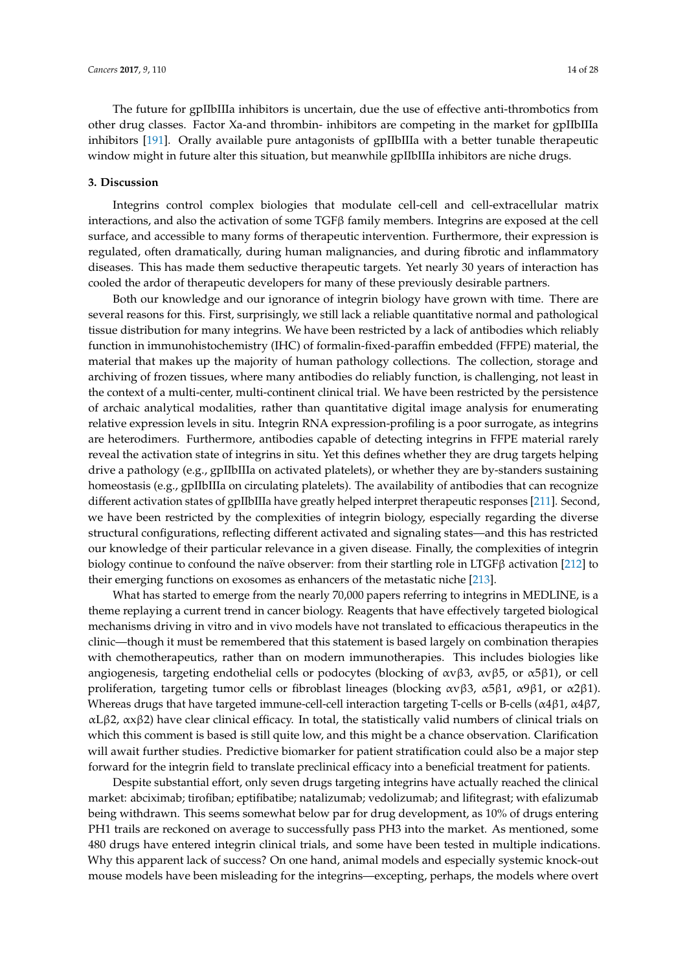The future for gpIIbIIIa inhibitors is uncertain, due the use of effective anti-thrombotics from other drug classes. Factor Xa-and thrombin- inhibitors are competing in the market for gpIIbIIIa inhibitors [\[191\]](#page-25-16). Orally available pure antagonists of gpIIbIIIa with a better tunable therapeutic window might in future alter this situation, but meanwhile gpIIbIIIa inhibitors are niche drugs.

### **3. Discussion**

Integrins control complex biologies that modulate cell-cell and cell-extracellular matrix interactions, and also the activation of some TGFβ family members. Integrins are exposed at the cell surface, and accessible to many forms of therapeutic intervention. Furthermore, their expression is regulated, often dramatically, during human malignancies, and during fibrotic and inflammatory diseases. This has made them seductive therapeutic targets. Yet nearly 30 years of interaction has cooled the ardor of therapeutic developers for many of these previously desirable partners.

Both our knowledge and our ignorance of integrin biology have grown with time. There are several reasons for this. First, surprisingly, we still lack a reliable quantitative normal and pathological tissue distribution for many integrins. We have been restricted by a lack of antibodies which reliably function in immunohistochemistry (IHC) of formalin-fixed-paraffin embedded (FFPE) material, the material that makes up the majority of human pathology collections. The collection, storage and archiving of frozen tissues, where many antibodies do reliably function, is challenging, not least in the context of a multi-center, multi-continent clinical trial. We have been restricted by the persistence of archaic analytical modalities, rather than quantitative digital image analysis for enumerating relative expression levels in situ. Integrin RNA expression-profiling is a poor surrogate, as integrins are heterodimers. Furthermore, antibodies capable of detecting integrins in FFPE material rarely reveal the activation state of integrins in situ. Yet this defines whether they are drug targets helping drive a pathology (e.g., gpIIbIIIa on activated platelets), or whether they are by-standers sustaining homeostasis (e.g., gpIIbIIIa on circulating platelets). The availability of antibodies that can recognize different activation states of gpIIbIIIa have greatly helped interpret therapeutic responses [\[211\]](#page-26-17). Second, we have been restricted by the complexities of integrin biology, especially regarding the diverse structural configurations, reflecting different activated and signaling states—and this has restricted our knowledge of their particular relevance in a given disease. Finally, the complexities of integrin biology continue to confound the naïve observer: from their startling role in LTGFβ activation [\[212\]](#page-26-18) to their emerging functions on exosomes as enhancers of the metastatic niche [\[213\]](#page-26-19).

What has started to emerge from the nearly 70,000 papers referring to integrins in MEDLINE, is a theme replaying a current trend in cancer biology. Reagents that have effectively targeted biological mechanisms driving in vitro and in vivo models have not translated to efficacious therapeutics in the clinic—though it must be remembered that this statement is based largely on combination therapies with chemotherapeutics, rather than on modern immunotherapies. This includes biologies like angiogenesis, targeting endothelial cells or podocytes (blocking of αvβ3, αvβ5, or α5β1), or cell proliferation, targeting tumor cells or fibroblast lineages (blocking  $\alpha \gamma \beta 3$ ,  $\alpha 5 \beta 1$ ,  $\alpha 9 \beta 1$ , or  $\alpha 2 \beta 1$ ). Whereas drugs that have targeted immune-cell-cell interaction targeting T-cells or B-cells ( $\alpha$ 4 $\beta$ 1,  $\alpha$ 4 $\beta$ 7, αLβ2, αxβ2) have clear clinical efficacy. In total, the statistically valid numbers of clinical trials on which this comment is based is still quite low, and this might be a chance observation. Clarification will await further studies. Predictive biomarker for patient stratification could also be a major step forward for the integrin field to translate preclinical efficacy into a beneficial treatment for patients.

Despite substantial effort, only seven drugs targeting integrins have actually reached the clinical market: abciximab; tirofiban; eptifibatibe; natalizumab; vedolizumab; and lifitegrast; with efalizumab being withdrawn. This seems somewhat below par for drug development, as 10% of drugs entering PH1 trails are reckoned on average to successfully pass PH3 into the market. As mentioned, some 480 drugs have entered integrin clinical trials, and some have been tested in multiple indications. Why this apparent lack of success? On one hand, animal models and especially systemic knock-out mouse models have been misleading for the integrins—excepting, perhaps, the models where overt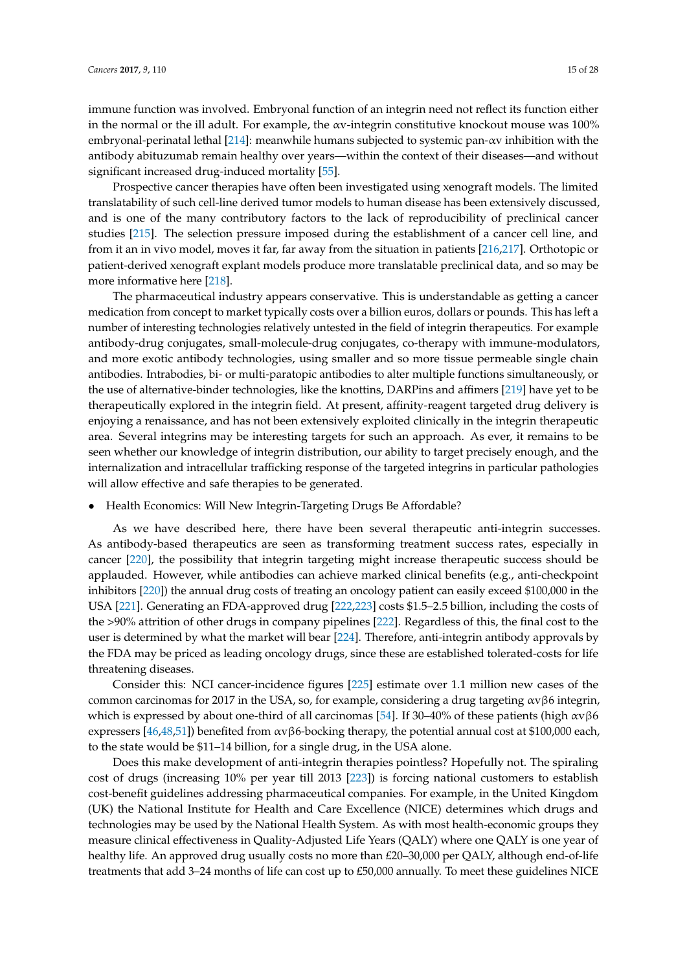immune function was involved. Embryonal function of an integrin need not reflect its function either in the normal or the ill adult. For example, the αv-integrin constitutive knockout mouse was 100% embryonal-perinatal lethal [\[214\]](#page-26-20): meanwhile humans subjected to systemic pan-αv inhibition with the antibody abituzumab remain healthy over years—within the context of their diseases—and without significant increased drug-induced mortality [\[55\]](#page-18-6).

Prospective cancer therapies have often been investigated using xenograft models. The limited translatability of such cell-line derived tumor models to human disease has been extensively discussed, and is one of the many contributory factors to the lack of reproducibility of preclinical cancer studies [\[215\]](#page-26-21). The selection pressure imposed during the establishment of a cancer cell line, and from it an in vivo model, moves it far, far away from the situation in patients [\[216](#page-26-22)[,217\]](#page-27-0). Orthotopic or patient-derived xenograft explant models produce more translatable preclinical data, and so may be more informative here [\[218\]](#page-27-1).

The pharmaceutical industry appears conservative. This is understandable as getting a cancer medication from concept to market typically costs over a billion euros, dollars or pounds. This has left a number of interesting technologies relatively untested in the field of integrin therapeutics. For example antibody-drug conjugates, small-molecule-drug conjugates, co-therapy with immune-modulators, and more exotic antibody technologies, using smaller and so more tissue permeable single chain antibodies. Intrabodies, bi- or multi-paratopic antibodies to alter multiple functions simultaneously, or the use of alternative-binder technologies, like the knottins, DARPins and affimers [\[219\]](#page-27-2) have yet to be therapeutically explored in the integrin field. At present, affinity-reagent targeted drug delivery is enjoying a renaissance, and has not been extensively exploited clinically in the integrin therapeutic area. Several integrins may be interesting targets for such an approach. As ever, it remains to be seen whether our knowledge of integrin distribution, our ability to target precisely enough, and the internalization and intracellular trafficking response of the targeted integrins in particular pathologies will allow effective and safe therapies to be generated.

## • Health Economics: Will New Integrin-Targeting Drugs Be Affordable?

As we have described here, there have been several therapeutic anti-integrin successes. As antibody-based therapeutics are seen as transforming treatment success rates, especially in cancer [\[220\]](#page-27-3), the possibility that integrin targeting might increase therapeutic success should be applauded. However, while antibodies can achieve marked clinical benefits (e.g., anti-checkpoint inhibitors [\[220\]](#page-27-3)) the annual drug costs of treating an oncology patient can easily exceed \$100,000 in the USA [\[221\]](#page-27-4). Generating an FDA-approved drug [\[222](#page-27-5)[,223\]](#page-27-6) costs \$1.5–2.5 billion, including the costs of the >90% attrition of other drugs in company pipelines [\[222\]](#page-27-5). Regardless of this, the final cost to the user is determined by what the market will bear [\[224\]](#page-27-7). Therefore, anti-integrin antibody approvals by the FDA may be priced as leading oncology drugs, since these are established tolerated-costs for life threatening diseases.

Consider this: NCI cancer-incidence figures [\[225\]](#page-27-8) estimate over 1.1 million new cases of the common carcinomas for 2017 in the USA, so, for example, considering a drug targeting  $\alpha v \beta 6$  integrin, which is expressed by about one-third of all carcinomas [\[54\]](#page-18-5). If 30–40% of these patients (high αvβ6 expressers [\[46](#page-18-0)[,48,](#page-18-3)[51\]](#page-18-1)) benefited from  $\alpha v \beta 6$ -bocking therapy, the potential annual cost at \$100,000 each, to the state would be \$11–14 billion, for a single drug, in the USA alone.

Does this make development of anti-integrin therapies pointless? Hopefully not. The spiraling cost of drugs (increasing 10% per year till 2013 [\[223\]](#page-27-6)) is forcing national customers to establish cost-benefit guidelines addressing pharmaceutical companies. For example, in the United Kingdom (UK) the National Institute for Health and Care Excellence (NICE) determines which drugs and technologies may be used by the National Health System. As with most health-economic groups they measure clinical effectiveness in Quality-Adjusted Life Years (QALY) where one QALY is one year of healthy life. An approved drug usually costs no more than £20–30,000 per QALY, although end-of-life treatments that add 3–24 months of life can cost up to £50,000 annually. To meet these guidelines NICE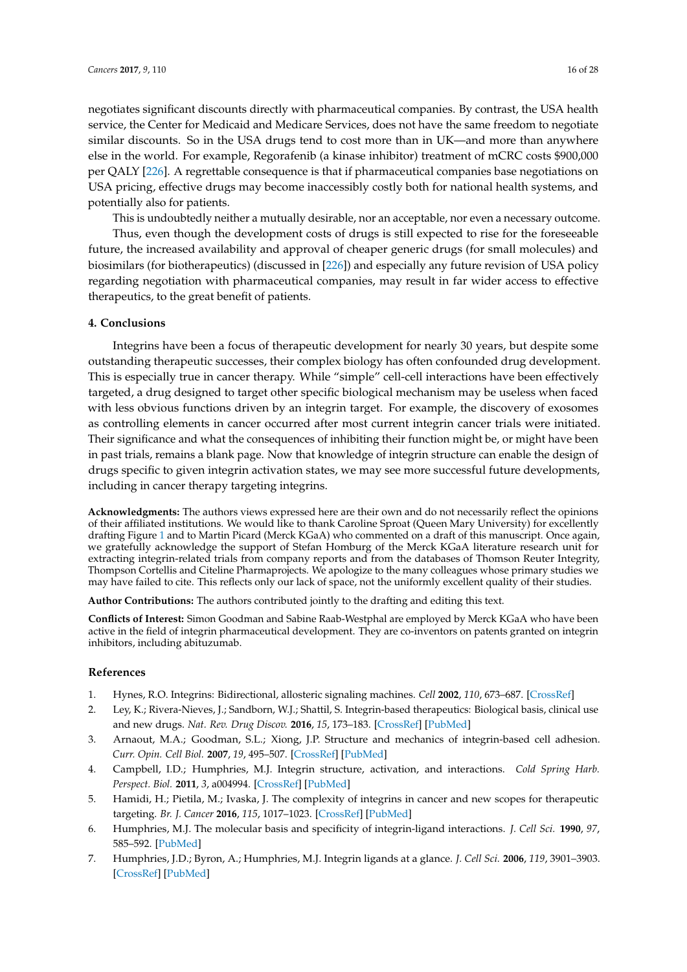negotiates significant discounts directly with pharmaceutical companies. By contrast, the USA health service, the Center for Medicaid and Medicare Services, does not have the same freedom to negotiate similar discounts. So in the USA drugs tend to cost more than in UK—and more than anywhere else in the world. For example, Regorafenib (a kinase inhibitor) treatment of mCRC costs \$900,000 per QALY [\[226\]](#page-27-9). A regrettable consequence is that if pharmaceutical companies base negotiations on USA pricing, effective drugs may become inaccessibly costly both for national health systems, and potentially also for patients.

This is undoubtedly neither a mutually desirable, nor an acceptable, nor even a necessary outcome.

Thus, even though the development costs of drugs is still expected to rise for the foreseeable future, the increased availability and approval of cheaper generic drugs (for small molecules) and biosimilars (for biotherapeutics) (discussed in [\[226\]](#page-27-9)) and especially any future revision of USA policy regarding negotiation with pharmaceutical companies, may result in far wider access to effective therapeutics, to the great benefit of patients.

## **4. Conclusions**

Integrins have been a focus of therapeutic development for nearly 30 years, but despite some outstanding therapeutic successes, their complex biology has often confounded drug development. This is especially true in cancer therapy. While "simple" cell-cell interactions have been effectively targeted, a drug designed to target other specific biological mechanism may be useless when faced with less obvious functions driven by an integrin target. For example, the discovery of exosomes as controlling elements in cancer occurred after most current integrin cancer trials were initiated. Their significance and what the consequences of inhibiting their function might be, or might have been in past trials, remains a blank page. Now that knowledge of integrin structure can enable the design of drugs specific to given integrin activation states, we may see more successful future developments, including in cancer therapy targeting integrins.

**Acknowledgments:** The authors views expressed here are their own and do not necessarily reflect the opinions of their affiliated institutions. We would like to thank Caroline Sproat (Queen Mary University) for excellently drafting Figure [1](#page-3-0) and to Martin Picard (Merck KGaA) who commented on a draft of this manuscript. Once again, we gratefully acknowledge the support of Stefan Homburg of the Merck KGaA literature research unit for extracting integrin-related trials from company reports and from the databases of Thomson Reuter Integrity, Thompson Cortellis and Citeline Pharmaprojects. We apologize to the many colleagues whose primary studies we may have failed to cite. This reflects only our lack of space, not the uniformly excellent quality of their studies.

**Author Contributions:** The authors contributed jointly to the drafting and editing this text.

**Conflicts of Interest:** Simon Goodman and Sabine Raab-Westphal are employed by Merck KGaA who have been active in the field of integrin pharmaceutical development. They are co-inventors on patents granted on integrin inhibitors, including abituzumab.

## **References**

- <span id="page-15-0"></span>1. Hynes, R.O. Integrins: Bidirectional, allosteric signaling machines. *Cell* **2002**, *110*, 673–687. [\[CrossRef\]](http://dx.doi.org/10.1016/S0092-8674(02)00971-6)
- <span id="page-15-1"></span>2. Ley, K.; Rivera-Nieves, J.; Sandborn, W.J.; Shattil, S. Integrin-based therapeutics: Biological basis, clinical use and new drugs. *Nat. Rev. Drug Discov.* **2016**, *15*, 173–183. [\[CrossRef\]](http://dx.doi.org/10.1038/nrd.2015.10) [\[PubMed\]](http://www.ncbi.nlm.nih.gov/pubmed/26822833)
- 3. Arnaout, M.A.; Goodman, S.L.; Xiong, J.P. Structure and mechanics of integrin-based cell adhesion. *Curr. Opin. Cell Biol.* **2007**, *19*, 495–507. [\[CrossRef\]](http://dx.doi.org/10.1016/j.ceb.2007.08.002) [\[PubMed\]](http://www.ncbi.nlm.nih.gov/pubmed/17928215)
- <span id="page-15-5"></span>4. Campbell, I.D.; Humphries, M.J. Integrin structure, activation, and interactions. *Cold Spring Harb. Perspect. Biol.* **2011**, *3*, a004994. [\[CrossRef\]](http://dx.doi.org/10.1101/cshperspect.a004994) [\[PubMed\]](http://www.ncbi.nlm.nih.gov/pubmed/21421922)
- <span id="page-15-2"></span>5. Hamidi, H.; Pietila, M.; Ivaska, J. The complexity of integrins in cancer and new scopes for therapeutic targeting. *Br. J. Cancer* **2016**, *115*, 1017–1023. [\[CrossRef\]](http://dx.doi.org/10.1038/bjc.2016.312) [\[PubMed\]](http://www.ncbi.nlm.nih.gov/pubmed/27685444)
- <span id="page-15-3"></span>6. Humphries, M.J. The molecular basis and specificity of integrin-ligand interactions. *J. Cell Sci.* **1990**, *97*, 585–592. [\[PubMed\]](http://www.ncbi.nlm.nih.gov/pubmed/2077034)
- <span id="page-15-4"></span>7. Humphries, J.D.; Byron, A.; Humphries, M.J. Integrin ligands at a glance. *J. Cell Sci.* **2006**, *119*, 3901–3903. [\[CrossRef\]](http://dx.doi.org/10.1242/jcs.03098) [\[PubMed\]](http://www.ncbi.nlm.nih.gov/pubmed/16988024)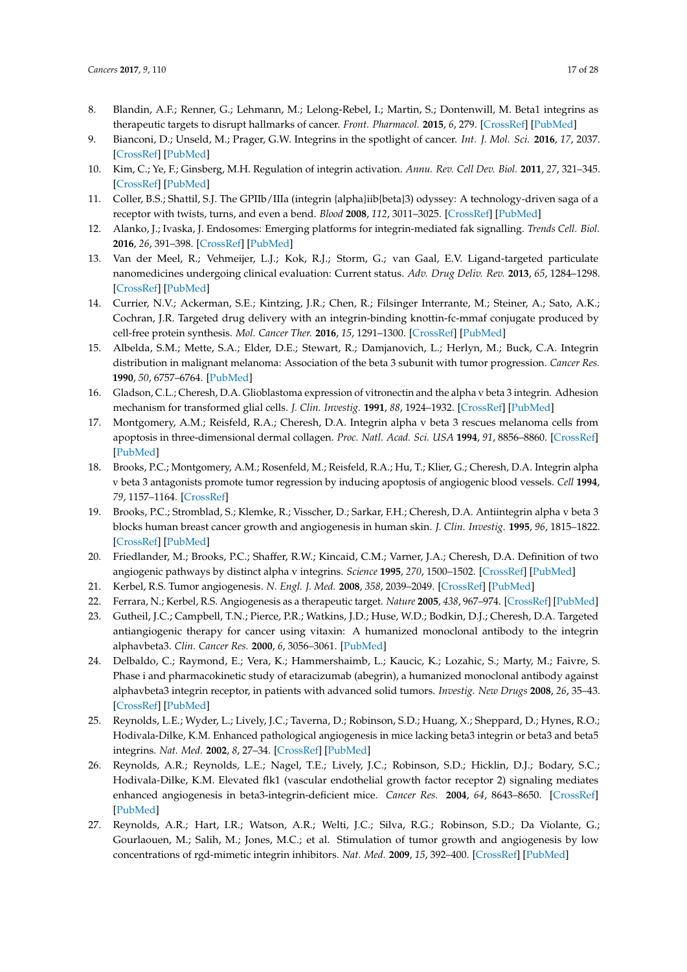- <span id="page-16-0"></span>8. Blandin, A.F.; Renner, G.; Lehmann, M.; Lelong-Rebel, I.; Martin, S.; Dontenwill, M. Beta1 integrins as therapeutic targets to disrupt hallmarks of cancer. *Front. Pharmacol.* **2015**, *6*, 279. [\[CrossRef\]](http://dx.doi.org/10.3389/fphar.2015.00279) [\[PubMed\]](http://www.ncbi.nlm.nih.gov/pubmed/26635609)
- <span id="page-16-1"></span>9. Bianconi, D.; Unseld, M.; Prager, G.W. Integrins in the spotlight of cancer. *Int. J. Mol. Sci.* **2016**, *17*, 2037. [\[CrossRef\]](http://dx.doi.org/10.3390/ijms17122037) [\[PubMed\]](http://www.ncbi.nlm.nih.gov/pubmed/27929432)
- <span id="page-16-2"></span>10. Kim, C.; Ye, F.; Ginsberg, M.H. Regulation of integrin activation. *Annu. Rev. Cell Dev. Biol.* **2011**, *27*, 321–345. [\[CrossRef\]](http://dx.doi.org/10.1146/annurev-cellbio-100109-104104) [\[PubMed\]](http://www.ncbi.nlm.nih.gov/pubmed/21663444)
- <span id="page-16-3"></span>11. Coller, B.S.; Shattil, S.J. The GPIIb/IIIa (integrin {alpha}iib{beta}3) odyssey: A technology-driven saga of a receptor with twists, turns, and even a bend. *Blood* **2008**, *112*, 3011–3025. [\[CrossRef\]](http://dx.doi.org/10.1182/blood-2008-06-077891) [\[PubMed\]](http://www.ncbi.nlm.nih.gov/pubmed/18840725)
- <span id="page-16-4"></span>12. Alanko, J.; Ivaska, J. Endosomes: Emerging platforms for integrin-mediated fak signalling. *Trends Cell. Biol.* **2016**, *26*, 391–398. [\[CrossRef\]](http://dx.doi.org/10.1016/j.tcb.2016.02.001) [\[PubMed\]](http://www.ncbi.nlm.nih.gov/pubmed/26944773)
- <span id="page-16-5"></span>13. Van der Meel, R.; Vehmeijer, L.J.; Kok, R.J.; Storm, G.; van Gaal, E.V. Ligand-targeted particulate nanomedicines undergoing clinical evaluation: Current status. *Adv. Drug Deliv. Rev.* **2013**, *65*, 1284–1298. [\[CrossRef\]](http://dx.doi.org/10.1016/j.addr.2013.08.012) [\[PubMed\]](http://www.ncbi.nlm.nih.gov/pubmed/24018362)
- <span id="page-16-6"></span>14. Currier, N.V.; Ackerman, S.E.; Kintzing, J.R.; Chen, R.; Filsinger Interrante, M.; Steiner, A.; Sato, A.K.; Cochran, J.R. Targeted drug delivery with an integrin-binding knottin-fc-mmaf conjugate produced by cell-free protein synthesis. *Mol. Cancer Ther.* **2016**, *15*, 1291–1300. [\[CrossRef\]](http://dx.doi.org/10.1158/1535-7163.MCT-15-0881) [\[PubMed\]](http://www.ncbi.nlm.nih.gov/pubmed/27197305)
- <span id="page-16-7"></span>15. Albelda, S.M.; Mette, S.A.; Elder, D.E.; Stewart, R.; Damjanovich, L.; Herlyn, M.; Buck, C.A. Integrin distribution in malignant melanoma: Association of the beta 3 subunit with tumor progression. *Cancer Res.* **1990**, *50*, 6757–6764. [\[PubMed\]](http://www.ncbi.nlm.nih.gov/pubmed/2208139)
- 16. Gladson, C.L.; Cheresh, D.A. Glioblastoma expression of vitronectin and the alpha v beta 3 integrin. Adhesion mechanism for transformed glial cells. *J. Clin. Investig.* **1991**, *88*, 1924–1932. [\[CrossRef\]](http://dx.doi.org/10.1172/JCI115516) [\[PubMed\]](http://www.ncbi.nlm.nih.gov/pubmed/1721625)
- <span id="page-16-8"></span>17. Montgomery, A.M.; Reisfeld, R.A.; Cheresh, D.A. Integrin alpha v beta 3 rescues melanoma cells from apoptosis in three-dimensional dermal collagen. *Proc. Natl. Acad. Sci. USA* **1994**, *91*, 8856–8860. [\[CrossRef\]](http://dx.doi.org/10.1073/pnas.91.19.8856) [\[PubMed\]](http://www.ncbi.nlm.nih.gov/pubmed/7522323)
- <span id="page-16-9"></span>18. Brooks, P.C.; Montgomery, A.M.; Rosenfeld, M.; Reisfeld, R.A.; Hu, T.; Klier, G.; Cheresh, D.A. Integrin alpha v beta 3 antagonists promote tumor regression by inducing apoptosis of angiogenic blood vessels. *Cell* **1994**, *79*, 1157–1164. [\[CrossRef\]](http://dx.doi.org/10.1016/0092-8674(94)90007-8)
- <span id="page-16-13"></span>19. Brooks, P.C.; Stromblad, S.; Klemke, R.; Visscher, D.; Sarkar, F.H.; Cheresh, D.A. Antiintegrin alpha v beta 3 blocks human breast cancer growth and angiogenesis in human skin. *J. Clin. Investig.* **1995**, *96*, 1815–1822. [\[CrossRef\]](http://dx.doi.org/10.1172/JCI118227) [\[PubMed\]](http://www.ncbi.nlm.nih.gov/pubmed/7560073)
- <span id="page-16-10"></span>20. Friedlander, M.; Brooks, P.C.; Shaffer, R.W.; Kincaid, C.M.; Varner, J.A.; Cheresh, D.A. Definition of two angiogenic pathways by distinct alpha v integrins. *Science* **1995**, *270*, 1500–1502. [\[CrossRef\]](http://dx.doi.org/10.1126/science.270.5241.1500) [\[PubMed\]](http://www.ncbi.nlm.nih.gov/pubmed/7491498)
- <span id="page-16-11"></span>21. Kerbel, R.S. Tumor angiogenesis. *N. Engl. J. Med.* **2008**, *358*, 2039–2049. [\[CrossRef\]](http://dx.doi.org/10.1056/NEJMra0706596) [\[PubMed\]](http://www.ncbi.nlm.nih.gov/pubmed/18463380)
- <span id="page-16-12"></span>22. Ferrara, N.; Kerbel, R.S. Angiogenesis as a therapeutic target. *Nature* **2005**, *438*, 967–974. [\[CrossRef\]](http://dx.doi.org/10.1038/nature04483) [\[PubMed\]](http://www.ncbi.nlm.nih.gov/pubmed/16355214)
- <span id="page-16-14"></span>23. Gutheil, J.C.; Campbell, T.N.; Pierce, P.R.; Watkins, J.D.; Huse, W.D.; Bodkin, D.J.; Cheresh, D.A. Targeted antiangiogenic therapy for cancer using vitaxin: A humanized monoclonal antibody to the integrin alphavbeta3. *Clin. Cancer Res.* **2000**, *6*, 3056–3061. [\[PubMed\]](http://www.ncbi.nlm.nih.gov/pubmed/10955784)
- <span id="page-16-15"></span>24. Delbaldo, C.; Raymond, E.; Vera, K.; Hammershaimb, L.; Kaucic, K.; Lozahic, S.; Marty, M.; Faivre, S. Phase i and pharmacokinetic study of etaracizumab (abegrin), a humanized monoclonal antibody against alphavbeta3 integrin receptor, in patients with advanced solid tumors. *Investig. New Drugs* **2008**, *26*, 35–43. [\[CrossRef\]](http://dx.doi.org/10.1007/s10637-007-9077-0) [\[PubMed\]](http://www.ncbi.nlm.nih.gov/pubmed/17876527)
- <span id="page-16-16"></span>25. Reynolds, L.E.; Wyder, L.; Lively, J.C.; Taverna, D.; Robinson, S.D.; Huang, X.; Sheppard, D.; Hynes, R.O.; Hodivala-Dilke, K.M. Enhanced pathological angiogenesis in mice lacking beta3 integrin or beta3 and beta5 integrins. *Nat. Med.* **2002**, *8*, 27–34. [\[CrossRef\]](http://dx.doi.org/10.1038/nm0102-27) [\[PubMed\]](http://www.ncbi.nlm.nih.gov/pubmed/11786903)
- <span id="page-16-17"></span>26. Reynolds, A.R.; Reynolds, L.E.; Nagel, T.E.; Lively, J.C.; Robinson, S.D.; Hicklin, D.J.; Bodary, S.C.; Hodivala-Dilke, K.M. Elevated flk1 (vascular endothelial growth factor receptor 2) signaling mediates enhanced angiogenesis in beta3-integrin-deficient mice. *Cancer Res.* **2004**, *64*, 8643–8650. [\[CrossRef\]](http://dx.doi.org/10.1158/0008-5472.CAN-04-2760) [\[PubMed\]](http://www.ncbi.nlm.nih.gov/pubmed/15574772)
- <span id="page-16-18"></span>27. Reynolds, A.R.; Hart, I.R.; Watson, A.R.; Welti, J.C.; Silva, R.G.; Robinson, S.D.; Da Violante, G.; Gourlaouen, M.; Salih, M.; Jones, M.C.; et al. Stimulation of tumor growth and angiogenesis by low concentrations of rgd-mimetic integrin inhibitors. *Nat. Med.* **2009**, *15*, 392–400. [\[CrossRef\]](http://dx.doi.org/10.1038/nm.1941) [\[PubMed\]](http://www.ncbi.nlm.nih.gov/pubmed/19305413)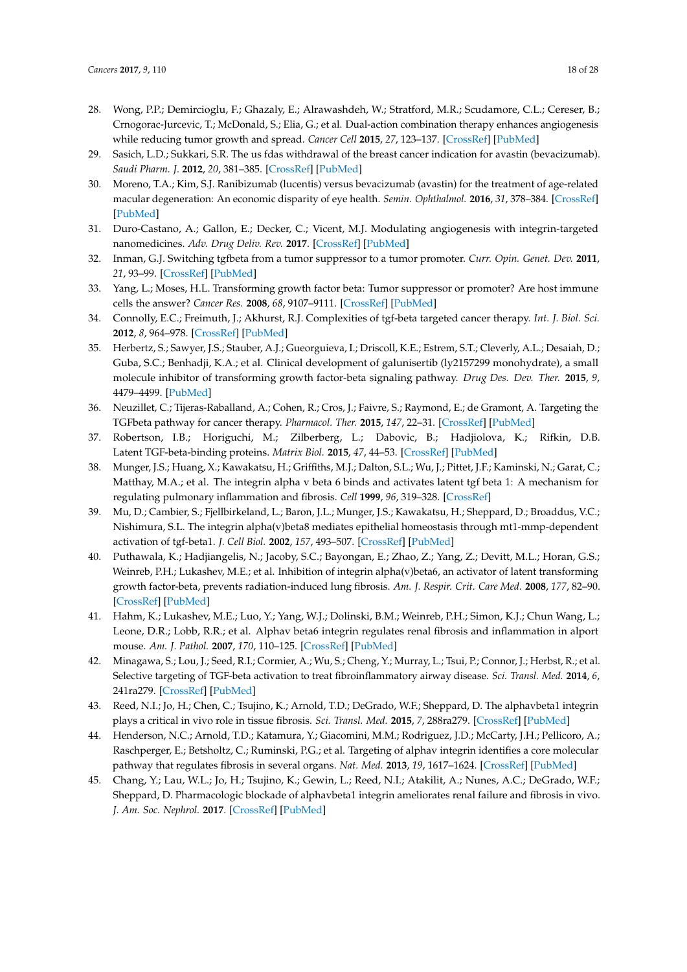- <span id="page-17-0"></span>28. Wong, P.P.; Demircioglu, F.; Ghazaly, E.; Alrawashdeh, W.; Stratford, M.R.; Scudamore, C.L.; Cereser, B.; Crnogorac-Jurcevic, T.; McDonald, S.; Elia, G.; et al. Dual-action combination therapy enhances angiogenesis while reducing tumor growth and spread. *Cancer Cell* **2015**, *27*, 123–137. [\[CrossRef\]](http://dx.doi.org/10.1016/j.ccell.2014.10.015) [\[PubMed\]](http://www.ncbi.nlm.nih.gov/pubmed/25584895)
- <span id="page-17-1"></span>29. Sasich, L.D.; Sukkari, S.R. The us fdas withdrawal of the breast cancer indication for avastin (bevacizumab). *Saudi Pharm. J.* **2012**, *20*, 381–385. [\[CrossRef\]](http://dx.doi.org/10.1016/j.jsps.2011.12.001) [\[PubMed\]](http://www.ncbi.nlm.nih.gov/pubmed/23960813)
- <span id="page-17-2"></span>30. Moreno, T.A.; Kim, S.J. Ranibizumab (lucentis) versus bevacizumab (avastin) for the treatment of age-related macular degeneration: An economic disparity of eye health. *Semin. Ophthalmol.* **2016**, *31*, 378–384. [\[CrossRef\]](http://dx.doi.org/10.3109/08820538.2016.1154174) [\[PubMed\]](http://www.ncbi.nlm.nih.gov/pubmed/27116030)
- <span id="page-17-3"></span>31. Duro-Castano, A.; Gallon, E.; Decker, C.; Vicent, M.J. Modulating angiogenesis with integrin-targeted nanomedicines. *Adv. Drug Deliv. Rev.* **2017**. [\[CrossRef\]](http://dx.doi.org/10.1016/j.addr.2017.05.008) [\[PubMed\]](http://www.ncbi.nlm.nih.gov/pubmed/28502767)
- <span id="page-17-4"></span>32. Inman, G.J. Switching tgfbeta from a tumor suppressor to a tumor promoter. *Curr. Opin. Genet. Dev.* **2011**, *21*, 93–99. [\[CrossRef\]](http://dx.doi.org/10.1016/j.gde.2010.12.004) [\[PubMed\]](http://www.ncbi.nlm.nih.gov/pubmed/21251810)
- 33. Yang, L.; Moses, H.L. Transforming growth factor beta: Tumor suppressor or promoter? Are host immune cells the answer? *Cancer Res.* **2008**, *68*, 9107–9111. [\[CrossRef\]](http://dx.doi.org/10.1158/0008-5472.CAN-08-2556) [\[PubMed\]](http://www.ncbi.nlm.nih.gov/pubmed/19010878)
- <span id="page-17-5"></span>34. Connolly, E.C.; Freimuth, J.; Akhurst, R.J. Complexities of tgf-beta targeted cancer therapy. *Int. J. Biol. Sci.* **2012**, *8*, 964–978. [\[CrossRef\]](http://dx.doi.org/10.7150/ijbs.4564) [\[PubMed\]](http://www.ncbi.nlm.nih.gov/pubmed/22811618)
- <span id="page-17-6"></span>35. Herbertz, S.; Sawyer, J.S.; Stauber, A.J.; Gueorguieva, I.; Driscoll, K.E.; Estrem, S.T.; Cleverly, A.L.; Desaiah, D.; Guba, S.C.; Benhadji, K.A.; et al. Clinical development of galunisertib (ly2157299 monohydrate), a small molecule inhibitor of transforming growth factor-beta signaling pathway. *Drug Des. Dev. Ther.* **2015**, *9*, 4479–4499. [\[PubMed\]](http://www.ncbi.nlm.nih.gov/pubmed/26309397)
- <span id="page-17-7"></span>36. Neuzillet, C.; Tijeras-Raballand, A.; Cohen, R.; Cros, J.; Faivre, S.; Raymond, E.; de Gramont, A. Targeting the TGFbeta pathway for cancer therapy. *Pharmacol. Ther.* **2015**, *147*, 22–31. [\[CrossRef\]](http://dx.doi.org/10.1016/j.pharmthera.2014.11.001) [\[PubMed\]](http://www.ncbi.nlm.nih.gov/pubmed/25444759)
- <span id="page-17-8"></span>37. Robertson, I.B.; Horiguchi, M.; Zilberberg, L.; Dabovic, B.; Hadjiolova, K.; Rifkin, D.B. Latent TGF-beta-binding proteins. *Matrix Biol.* **2015**, *47*, 44–53. [\[CrossRef\]](http://dx.doi.org/10.1016/j.matbio.2015.05.005) [\[PubMed\]](http://www.ncbi.nlm.nih.gov/pubmed/25960419)
- <span id="page-17-9"></span>38. Munger, J.S.; Huang, X.; Kawakatsu, H.; Griffiths, M.J.; Dalton, S.L.; Wu, J.; Pittet, J.F.; Kaminski, N.; Garat, C.; Matthay, M.A.; et al. The integrin alpha v beta 6 binds and activates latent tgf beta 1: A mechanism for regulating pulmonary inflammation and fibrosis. *Cell* **1999**, *96*, 319–328. [\[CrossRef\]](http://dx.doi.org/10.1016/S0092-8674(00)80545-0)
- <span id="page-17-10"></span>39. Mu, D.; Cambier, S.; Fjellbirkeland, L.; Baron, J.L.; Munger, J.S.; Kawakatsu, H.; Sheppard, D.; Broaddus, V.C.; Nishimura, S.L. The integrin alpha(v)beta8 mediates epithelial homeostasis through mt1-mmp-dependent activation of tgf-beta1. *J. Cell Biol.* **2002**, *157*, 493–507. [\[CrossRef\]](http://dx.doi.org/10.1083/jcb.200109100) [\[PubMed\]](http://www.ncbi.nlm.nih.gov/pubmed/11970960)
- <span id="page-17-11"></span>40. Puthawala, K.; Hadjiangelis, N.; Jacoby, S.C.; Bayongan, E.; Zhao, Z.; Yang, Z.; Devitt, M.L.; Horan, G.S.; Weinreb, P.H.; Lukashev, M.E.; et al. Inhibition of integrin alpha(v)beta6, an activator of latent transforming growth factor-beta, prevents radiation-induced lung fibrosis. *Am. J. Respir. Crit. Care Med.* **2008**, *177*, 82–90. [\[CrossRef\]](http://dx.doi.org/10.1164/rccm.200706-806OC) [\[PubMed\]](http://www.ncbi.nlm.nih.gov/pubmed/17916808)
- <span id="page-17-12"></span>41. Hahm, K.; Lukashev, M.E.; Luo, Y.; Yang, W.J.; Dolinski, B.M.; Weinreb, P.H.; Simon, K.J.; Chun Wang, L.; Leone, D.R.; Lobb, R.R.; et al. Alphav beta6 integrin regulates renal fibrosis and inflammation in alport mouse. *Am. J. Pathol.* **2007**, *170*, 110–125. [\[CrossRef\]](http://dx.doi.org/10.2353/ajpath.2007.060158) [\[PubMed\]](http://www.ncbi.nlm.nih.gov/pubmed/17200187)
- <span id="page-17-13"></span>42. Minagawa, S.; Lou, J.; Seed, R.I.; Cormier, A.; Wu, S.; Cheng, Y.; Murray, L.; Tsui, P.; Connor, J.; Herbst, R.; et al. Selective targeting of TGF-beta activation to treat fibroinflammatory airway disease. *Sci. Transl. Med.* **2014**, *6*, 241ra279. [\[CrossRef\]](http://dx.doi.org/10.1126/scitranslmed.3008074) [\[PubMed\]](http://www.ncbi.nlm.nih.gov/pubmed/24944194)
- <span id="page-17-14"></span>43. Reed, N.I.; Jo, H.; Chen, C.; Tsujino, K.; Arnold, T.D.; DeGrado, W.F.; Sheppard, D. The alphavbeta1 integrin plays a critical in vivo role in tissue fibrosis. *Sci. Transl. Med.* **2015**, *7*, 288ra279. [\[CrossRef\]](http://dx.doi.org/10.1126/scitranslmed.aaa5094) [\[PubMed\]](http://www.ncbi.nlm.nih.gov/pubmed/25995225)
- <span id="page-17-15"></span>44. Henderson, N.C.; Arnold, T.D.; Katamura, Y.; Giacomini, M.M.; Rodriguez, J.D.; McCarty, J.H.; Pellicoro, A.; Raschperger, E.; Betsholtz, C.; Ruminski, P.G.; et al. Targeting of alphav integrin identifies a core molecular pathway that regulates fibrosis in several organs. *Nat. Med.* **2013**, *19*, 1617–1624. [\[CrossRef\]](http://dx.doi.org/10.1038/nm.3282) [\[PubMed\]](http://www.ncbi.nlm.nih.gov/pubmed/24216753)
- <span id="page-17-16"></span>45. Chang, Y.; Lau, W.L.; Jo, H.; Tsujino, K.; Gewin, L.; Reed, N.I.; Atakilit, A.; Nunes, A.C.; DeGrado, W.F.; Sheppard, D. Pharmacologic blockade of alphavbeta1 integrin ameliorates renal failure and fibrosis in vivo. *J. Am. Soc. Nephrol.* **2017**. [\[CrossRef\]](http://dx.doi.org/10.1681/ASN.2015050585) [\[PubMed\]](http://www.ncbi.nlm.nih.gov/pubmed/28220032)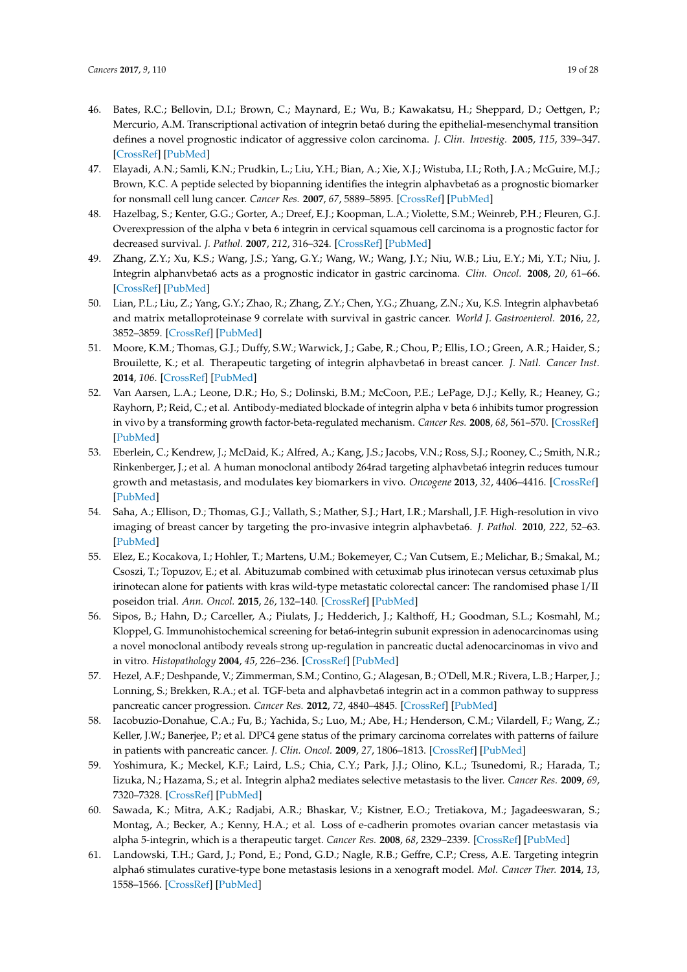- <span id="page-18-0"></span>46. Bates, R.C.; Bellovin, D.I.; Brown, C.; Maynard, E.; Wu, B.; Kawakatsu, H.; Sheppard, D.; Oettgen, P.; Mercurio, A.M. Transcriptional activation of integrin beta6 during the epithelial-mesenchymal transition defines a novel prognostic indicator of aggressive colon carcinoma. *J. Clin. Investig.* **2005**, *115*, 339–347. [\[CrossRef\]](http://dx.doi.org/10.1172/JCI200523183) [\[PubMed\]](http://www.ncbi.nlm.nih.gov/pubmed/15668738)
- 47. Elayadi, A.N.; Samli, K.N.; Prudkin, L.; Liu, Y.H.; Bian, A.; Xie, X.J.; Wistuba, I.I.; Roth, J.A.; McGuire, M.J.; Brown, K.C. A peptide selected by biopanning identifies the integrin alphavbeta6 as a prognostic biomarker for nonsmall cell lung cancer. *Cancer Res.* **2007**, *67*, 5889–5895. [\[CrossRef\]](http://dx.doi.org/10.1158/0008-5472.CAN-07-0245) [\[PubMed\]](http://www.ncbi.nlm.nih.gov/pubmed/17575158)
- <span id="page-18-3"></span>48. Hazelbag, S.; Kenter, G.G.; Gorter, A.; Dreef, E.J.; Koopman, L.A.; Violette, S.M.; Weinreb, P.H.; Fleuren, G.J. Overexpression of the alpha v beta 6 integrin in cervical squamous cell carcinoma is a prognostic factor for decreased survival. *J. Pathol.* **2007**, *212*, 316–324. [\[CrossRef\]](http://dx.doi.org/10.1002/path.2168) [\[PubMed\]](http://www.ncbi.nlm.nih.gov/pubmed/17503414)
- 49. Zhang, Z.Y.; Xu, K.S.; Wang, J.S.; Yang, G.Y.; Wang, W.; Wang, J.Y.; Niu, W.B.; Liu, E.Y.; Mi, Y.T.; Niu, J. Integrin alphanvbeta6 acts as a prognostic indicator in gastric carcinoma. *Clin. Oncol.* **2008**, *20*, 61–66. [\[CrossRef\]](http://dx.doi.org/10.1016/j.clon.2007.09.008) [\[PubMed\]](http://www.ncbi.nlm.nih.gov/pubmed/17981018)
- 50. Lian, P.L.; Liu, Z.; Yang, G.Y.; Zhao, R.; Zhang, Z.Y.; Chen, Y.G.; Zhuang, Z.N.; Xu, K.S. Integrin alphavbeta6 and matrix metalloproteinase 9 correlate with survival in gastric cancer. *World J. Gastroenterol.* **2016**, *22*, 3852–3859. [\[CrossRef\]](http://dx.doi.org/10.3748/wjg.v22.i14.3852) [\[PubMed\]](http://www.ncbi.nlm.nih.gov/pubmed/27076771)
- <span id="page-18-1"></span>51. Moore, K.M.; Thomas, G.J.; Duffy, S.W.; Warwick, J.; Gabe, R.; Chou, P.; Ellis, I.O.; Green, A.R.; Haider, S.; Brouilette, K.; et al. Therapeutic targeting of integrin alphavbeta6 in breast cancer. *J. Natl. Cancer Inst.* **2014**, *106*. [\[CrossRef\]](http://dx.doi.org/10.1093/jnci/dju169) [\[PubMed\]](http://www.ncbi.nlm.nih.gov/pubmed/24974129)
- <span id="page-18-4"></span>52. Van Aarsen, L.A.; Leone, D.R.; Ho, S.; Dolinski, B.M.; McCoon, P.E.; LePage, D.J.; Kelly, R.; Heaney, G.; Rayhorn, P.; Reid, C.; et al. Antibody-mediated blockade of integrin alpha v beta 6 inhibits tumor progression in vivo by a transforming growth factor-beta-regulated mechanism. *Cancer Res.* **2008**, *68*, 561–570. [\[CrossRef\]](http://dx.doi.org/10.1158/0008-5472.CAN-07-2307) [\[PubMed\]](http://www.ncbi.nlm.nih.gov/pubmed/18199553)
- <span id="page-18-2"></span>53. Eberlein, C.; Kendrew, J.; McDaid, K.; Alfred, A.; Kang, J.S.; Jacobs, V.N.; Ross, S.J.; Rooney, C.; Smith, N.R.; Rinkenberger, J.; et al. A human monoclonal antibody 264rad targeting alphavbeta6 integrin reduces tumour growth and metastasis, and modulates key biomarkers in vivo. *Oncogene* **2013**, *32*, 4406–4416. [\[CrossRef\]](http://dx.doi.org/10.1038/onc.2012.460) [\[PubMed\]](http://www.ncbi.nlm.nih.gov/pubmed/23108397)
- <span id="page-18-5"></span>54. Saha, A.; Ellison, D.; Thomas, G.J.; Vallath, S.; Mather, S.J.; Hart, I.R.; Marshall, J.F. High-resolution in vivo imaging of breast cancer by targeting the pro-invasive integrin alphavbeta6. *J. Pathol.* **2010**, *222*, 52–63. [\[PubMed\]](http://www.ncbi.nlm.nih.gov/pubmed/20629113)
- <span id="page-18-6"></span>55. Elez, E.; Kocakova, I.; Hohler, T.; Martens, U.M.; Bokemeyer, C.; Van Cutsem, E.; Melichar, B.; Smakal, M.; Csoszi, T.; Topuzov, E.; et al. Abituzumab combined with cetuximab plus irinotecan versus cetuximab plus irinotecan alone for patients with kras wild-type metastatic colorectal cancer: The randomised phase I/II poseidon trial. *Ann. Oncol.* **2015**, *26*, 132–140. [\[CrossRef\]](http://dx.doi.org/10.1093/annonc/mdu474) [\[PubMed\]](http://www.ncbi.nlm.nih.gov/pubmed/25319061)
- <span id="page-18-7"></span>56. Sipos, B.; Hahn, D.; Carceller, A.; Piulats, J.; Hedderich, J.; Kalthoff, H.; Goodman, S.L.; Kosmahl, M.; Kloppel, G. Immunohistochemical screening for beta6-integrin subunit expression in adenocarcinomas using a novel monoclonal antibody reveals strong up-regulation in pancreatic ductal adenocarcinomas in vivo and in vitro. *Histopathology* **2004**, *45*, 226–236. [\[CrossRef\]](http://dx.doi.org/10.1111/j.1365-2559.2004.01919.x) [\[PubMed\]](http://www.ncbi.nlm.nih.gov/pubmed/15330800)
- <span id="page-18-8"></span>57. Hezel, A.F.; Deshpande, V.; Zimmerman, S.M.; Contino, G.; Alagesan, B.; O'Dell, M.R.; Rivera, L.B.; Harper, J.; Lonning, S.; Brekken, R.A.; et al. TGF-beta and alphavbeta6 integrin act in a common pathway to suppress pancreatic cancer progression. *Cancer Res.* **2012**, *72*, 4840–4845. [\[CrossRef\]](http://dx.doi.org/10.1158/0008-5472.CAN-12-0634) [\[PubMed\]](http://www.ncbi.nlm.nih.gov/pubmed/22787119)
- <span id="page-18-9"></span>58. Iacobuzio-Donahue, C.A.; Fu, B.; Yachida, S.; Luo, M.; Abe, H.; Henderson, C.M.; Vilardell, F.; Wang, Z.; Keller, J.W.; Banerjee, P.; et al. DPC4 gene status of the primary carcinoma correlates with patterns of failure in patients with pancreatic cancer. *J. Clin. Oncol.* **2009**, *27*, 1806–1813. [\[CrossRef\]](http://dx.doi.org/10.1200/JCO.2008.17.7188) [\[PubMed\]](http://www.ncbi.nlm.nih.gov/pubmed/19273710)
- <span id="page-18-10"></span>59. Yoshimura, K.; Meckel, K.F.; Laird, L.S.; Chia, C.Y.; Park, J.J.; Olino, K.L.; Tsunedomi, R.; Harada, T.; Iizuka, N.; Hazama, S.; et al. Integrin alpha2 mediates selective metastasis to the liver. *Cancer Res.* **2009**, *69*, 7320–7328. [\[CrossRef\]](http://dx.doi.org/10.1158/0008-5472.CAN-09-0315) [\[PubMed\]](http://www.ncbi.nlm.nih.gov/pubmed/19738067)
- <span id="page-18-11"></span>60. Sawada, K.; Mitra, A.K.; Radjabi, A.R.; Bhaskar, V.; Kistner, E.O.; Tretiakova, M.; Jagadeeswaran, S.; Montag, A.; Becker, A.; Kenny, H.A.; et al. Loss of e-cadherin promotes ovarian cancer metastasis via alpha 5-integrin, which is a therapeutic target. *Cancer Res.* **2008**, *68*, 2329–2339. [\[CrossRef\]](http://dx.doi.org/10.1158/0008-5472.CAN-07-5167) [\[PubMed\]](http://www.ncbi.nlm.nih.gov/pubmed/18381440)
- <span id="page-18-12"></span>61. Landowski, T.H.; Gard, J.; Pond, E.; Pond, G.D.; Nagle, R.B.; Geffre, C.P.; Cress, A.E. Targeting integrin alpha6 stimulates curative-type bone metastasis lesions in a xenograft model. *Mol. Cancer Ther.* **2014**, *13*, 1558–1566. [\[CrossRef\]](http://dx.doi.org/10.1158/1535-7163.MCT-13-0962) [\[PubMed\]](http://www.ncbi.nlm.nih.gov/pubmed/24739392)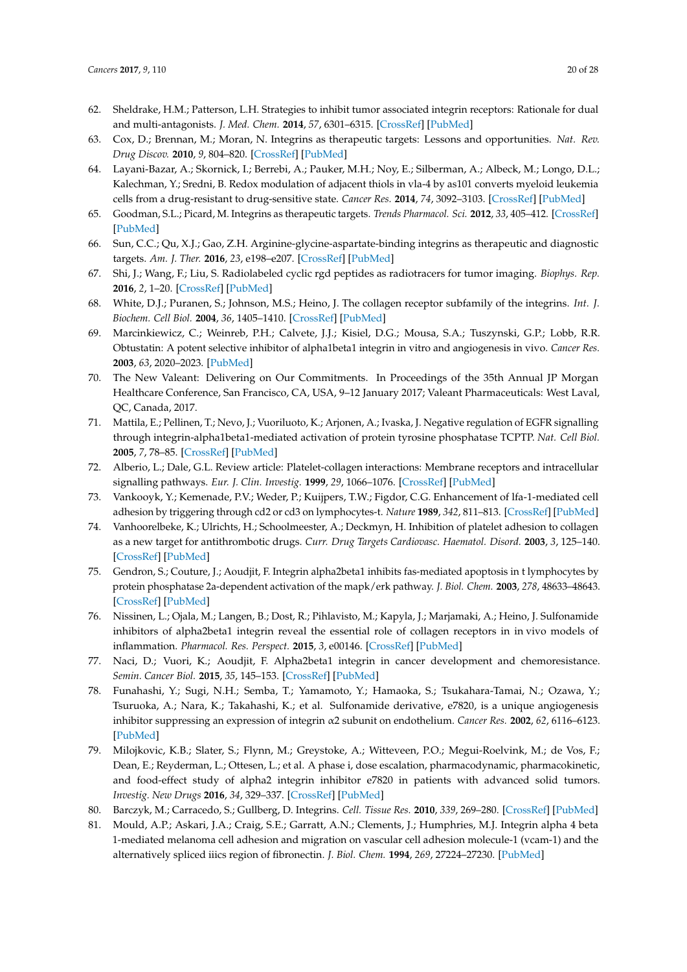- <span id="page-19-0"></span>62. Sheldrake, H.M.; Patterson, L.H. Strategies to inhibit tumor associated integrin receptors: Rationale for dual and multi-antagonists. *J. Med. Chem.* **2014**, *57*, 6301–6315. [\[CrossRef\]](http://dx.doi.org/10.1021/jm5000547) [\[PubMed\]](http://www.ncbi.nlm.nih.gov/pubmed/24568695)
- <span id="page-19-1"></span>63. Cox, D.; Brennan, M.; Moran, N. Integrins as therapeutic targets: Lessons and opportunities. *Nat. Rev. Drug Discov.* **2010**, *9*, 804–820. [\[CrossRef\]](http://dx.doi.org/10.1038/nrd3266) [\[PubMed\]](http://www.ncbi.nlm.nih.gov/pubmed/20885411)
- <span id="page-19-2"></span>64. Layani-Bazar, A.; Skornick, I.; Berrebi, A.; Pauker, M.H.; Noy, E.; Silberman, A.; Albeck, M.; Longo, D.L.; Kalechman, Y.; Sredni, B. Redox modulation of adjacent thiols in vla-4 by as101 converts myeloid leukemia cells from a drug-resistant to drug-sensitive state. *Cancer Res.* **2014**, *74*, 3092–3103. [\[CrossRef\]](http://dx.doi.org/10.1158/0008-5472.CAN-13-2159) [\[PubMed\]](http://www.ncbi.nlm.nih.gov/pubmed/24699624)
- <span id="page-19-3"></span>65. Goodman, S.L.; Picard, M. Integrins as therapeutic targets. *Trends Pharmacol. Sci.* **2012**, *33*, 405–412. [\[CrossRef\]](http://dx.doi.org/10.1016/j.tips.2012.04.002) [\[PubMed\]](http://www.ncbi.nlm.nih.gov/pubmed/22633092)
- <span id="page-19-4"></span>66. Sun, C.C.; Qu, X.J.; Gao, Z.H. Arginine-glycine-aspartate-binding integrins as therapeutic and diagnostic targets. *Am. J. Ther.* **2016**, *23*, e198–e207. [\[CrossRef\]](http://dx.doi.org/10.1097/MJT.0000000000000053) [\[PubMed\]](http://www.ncbi.nlm.nih.gov/pubmed/24621642)
- <span id="page-19-5"></span>67. Shi, J.; Wang, F.; Liu, S. Radiolabeled cyclic rgd peptides as radiotracers for tumor imaging. *Biophys. Rep.* **2016**, *2*, 1–20. [\[CrossRef\]](http://dx.doi.org/10.1007/s41048-016-0021-8) [\[PubMed\]](http://www.ncbi.nlm.nih.gov/pubmed/27819026)
- <span id="page-19-6"></span>68. White, D.J.; Puranen, S.; Johnson, M.S.; Heino, J. The collagen receptor subfamily of the integrins. *Int. J. Biochem. Cell Biol.* **2004**, *36*, 1405–1410. [\[CrossRef\]](http://dx.doi.org/10.1016/j.biocel.2003.08.016) [\[PubMed\]](http://www.ncbi.nlm.nih.gov/pubmed/15147720)
- <span id="page-19-7"></span>69. Marcinkiewicz, C.; Weinreb, P.H.; Calvete, J.J.; Kisiel, D.G.; Mousa, S.A.; Tuszynski, G.P.; Lobb, R.R. Obtustatin: A potent selective inhibitor of alpha1beta1 integrin in vitro and angiogenesis in vivo. *Cancer Res.* **2003**, *63*, 2020–2023. [\[PubMed\]](http://www.ncbi.nlm.nih.gov/pubmed/12727812)
- <span id="page-19-8"></span>70. The New Valeant: Delivering on Our Commitments. In Proceedings of the 35th Annual JP Morgan Healthcare Conference, San Francisco, CA, USA, 9–12 January 2017; Valeant Pharmaceuticals: West Laval, QC, Canada, 2017.
- <span id="page-19-9"></span>71. Mattila, E.; Pellinen, T.; Nevo, J.; Vuoriluoto, K.; Arjonen, A.; Ivaska, J. Negative regulation of EGFR signalling through integrin-alpha1beta1-mediated activation of protein tyrosine phosphatase TCPTP. *Nat. Cell Biol.* **2005**, *7*, 78–85. [\[CrossRef\]](http://dx.doi.org/10.1038/ncb1209) [\[PubMed\]](http://www.ncbi.nlm.nih.gov/pubmed/15592458)
- <span id="page-19-10"></span>72. Alberio, L.; Dale, G.L. Review article: Platelet-collagen interactions: Membrane receptors and intracellular signalling pathways. *Eur. J. Clin. Investig.* **1999**, *29*, 1066–1076. [\[CrossRef\]](http://dx.doi.org/10.1046/j.1365-2362.1999.00570.x) [\[PubMed\]](http://www.ncbi.nlm.nih.gov/pubmed/10583456)
- <span id="page-19-11"></span>73. Vankooyk, Y.; Kemenade, P.V.; Weder, P.; Kuijpers, T.W.; Figdor, C.G. Enhancement of lfa-1-mediated cell adhesion by triggering through cd2 or cd3 on lymphocytes-t. *Nature* **1989**, *342*, 811–813. [\[CrossRef\]](http://dx.doi.org/10.1038/342811a0) [\[PubMed\]](http://www.ncbi.nlm.nih.gov/pubmed/2574829)
- <span id="page-19-12"></span>74. Vanhoorelbeke, K.; Ulrichts, H.; Schoolmeester, A.; Deckmyn, H. Inhibition of platelet adhesion to collagen as a new target for antithrombotic drugs. *Curr. Drug Targets Cardiovasc. Haematol. Disord.* **2003**, *3*, 125–140. [\[CrossRef\]](http://dx.doi.org/10.2174/1568006033481500) [\[PubMed\]](http://www.ncbi.nlm.nih.gov/pubmed/12769639)
- <span id="page-19-13"></span>75. Gendron, S.; Couture, J.; Aoudjit, F. Integrin alpha2beta1 inhibits fas-mediated apoptosis in t lymphocytes by protein phosphatase 2a-dependent activation of the mapk/erk pathway. *J. Biol. Chem.* **2003**, *278*, 48633–48643. [\[CrossRef\]](http://dx.doi.org/10.1074/jbc.M305169200) [\[PubMed\]](http://www.ncbi.nlm.nih.gov/pubmed/13679375)
- <span id="page-19-14"></span>76. Nissinen, L.; Ojala, M.; Langen, B.; Dost, R.; Pihlavisto, M.; Kapyla, J.; Marjamaki, A.; Heino, J. Sulfonamide inhibitors of alpha2beta1 integrin reveal the essential role of collagen receptors in in vivo models of inflammation. *Pharmacol. Res. Perspect.* **2015**, *3*, e00146. [\[CrossRef\]](http://dx.doi.org/10.1002/prp2.146) [\[PubMed\]](http://www.ncbi.nlm.nih.gov/pubmed/26171226)
- <span id="page-19-15"></span>77. Naci, D.; Vuori, K.; Aoudjit, F. Alpha2beta1 integrin in cancer development and chemoresistance. *Semin. Cancer Biol.* **2015**, *35*, 145–153. [\[CrossRef\]](http://dx.doi.org/10.1016/j.semcancer.2015.08.004) [\[PubMed\]](http://www.ncbi.nlm.nih.gov/pubmed/26297892)
- <span id="page-19-16"></span>78. Funahashi, Y.; Sugi, N.H.; Semba, T.; Yamamoto, Y.; Hamaoka, S.; Tsukahara-Tamai, N.; Ozawa, Y.; Tsuruoka, A.; Nara, K.; Takahashi, K.; et al. Sulfonamide derivative, e7820, is a unique angiogenesis inhibitor suppressing an expression of integrin α2 subunit on endothelium. *Cancer Res.* **2002**, *62*, 6116–6123. [\[PubMed\]](http://www.ncbi.nlm.nih.gov/pubmed/12414636)
- <span id="page-19-17"></span>79. Milojkovic, K.B.; Slater, S.; Flynn, M.; Greystoke, A.; Witteveen, P.O.; Megui-Roelvink, M.; de Vos, F.; Dean, E.; Reyderman, L.; Ottesen, L.; et al. A phase i, dose escalation, pharmacodynamic, pharmacokinetic, and food-effect study of alpha2 integrin inhibitor e7820 in patients with advanced solid tumors. *Investig. New Drugs* **2016**, *34*, 329–337. [\[CrossRef\]](http://dx.doi.org/10.1007/s10637-016-0344-9) [\[PubMed\]](http://www.ncbi.nlm.nih.gov/pubmed/27039386)
- <span id="page-19-18"></span>80. Barczyk, M.; Carracedo, S.; Gullberg, D. Integrins. *Cell. Tissue Res.* **2010**, *339*, 269–280. [\[CrossRef\]](http://dx.doi.org/10.1007/s00441-009-0834-6) [\[PubMed\]](http://www.ncbi.nlm.nih.gov/pubmed/19693543)
- <span id="page-19-19"></span>81. Mould, A.P.; Askari, J.A.; Craig, S.E.; Garratt, A.N.; Clements, J.; Humphries, M.J. Integrin alpha 4 beta 1-mediated melanoma cell adhesion and migration on vascular cell adhesion molecule-1 (vcam-1) and the alternatively spliced iiics region of fibronectin. *J. Biol. Chem.* **1994**, *269*, 27224–27230. [\[PubMed\]](http://www.ncbi.nlm.nih.gov/pubmed/7525548)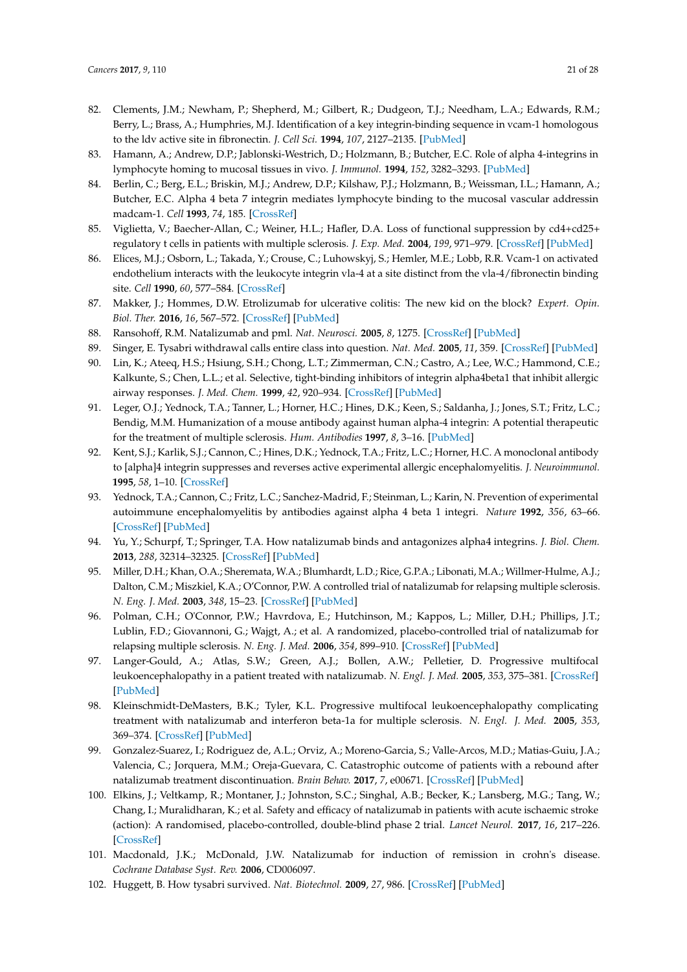- <span id="page-20-0"></span>82. Clements, J.M.; Newham, P.; Shepherd, M.; Gilbert, R.; Dudgeon, T.J.; Needham, L.A.; Edwards, R.M.; Berry, L.; Brass, A.; Humphries, M.J. Identification of a key integrin-binding sequence in vcam-1 homologous to the ldv active site in fibronectin. *J. Cell Sci.* **1994**, *107*, 2127–2135. [\[PubMed\]](http://www.ncbi.nlm.nih.gov/pubmed/7527054)
- <span id="page-20-1"></span>83. Hamann, A.; Andrew, D.P.; Jablonski-Westrich, D.; Holzmann, B.; Butcher, E.C. Role of alpha 4-integrins in lymphocyte homing to mucosal tissues in vivo. *J. Immunol.* **1994**, *152*, 3282–3293. [\[PubMed\]](http://www.ncbi.nlm.nih.gov/pubmed/7511642)
- <span id="page-20-2"></span>84. Berlin, C.; Berg, E.L.; Briskin, M.J.; Andrew, D.P.; Kilshaw, P.J.; Holzmann, B.; Weissman, I.L.; Hamann, A.; Butcher, E.C. Alpha 4 beta 7 integrin mediates lymphocyte binding to the mucosal vascular addressin madcam-1. *Cell* **1993**, *74*, 185. [\[CrossRef\]](http://dx.doi.org/10.1016/0092-8674(93)90305-A)
- <span id="page-20-3"></span>85. Viglietta, V.; Baecher-Allan, C.; Weiner, H.L.; Hafler, D.A. Loss of functional suppression by cd4+cd25+ regulatory t cells in patients with multiple sclerosis. *J. Exp. Med.* **2004**, *199*, 971–979. [\[CrossRef\]](http://dx.doi.org/10.1084/jem.20031579) [\[PubMed\]](http://www.ncbi.nlm.nih.gov/pubmed/15067033)
- <span id="page-20-4"></span>86. Elices, M.J.; Osborn, L.; Takada, Y.; Crouse, C.; Luhowskyj, S.; Hemler, M.E.; Lobb, R.R. Vcam-1 on activated endothelium interacts with the leukocyte integrin vla-4 at a site distinct from the vla-4/fibronectin binding site. *Cell* **1990**, *60*, 577–584. [\[CrossRef\]](http://dx.doi.org/10.1016/0092-8674(90)90661-W)
- <span id="page-20-5"></span>87. Makker, J.; Hommes, D.W. Etrolizumab for ulcerative colitis: The new kid on the block? *Expert. Opin. Biol. Ther.* **2016**, *16*, 567–572. [\[CrossRef\]](http://dx.doi.org/10.1517/14712598.2016.1158807) [\[PubMed\]](http://www.ncbi.nlm.nih.gov/pubmed/26914639)
- <span id="page-20-6"></span>88. Ransohoff, R.M. Natalizumab and pml. *Nat. Neurosci.* **2005**, *8*, 1275. [\[CrossRef\]](http://dx.doi.org/10.1038/nn1005-1275) [\[PubMed\]](http://www.ncbi.nlm.nih.gov/pubmed/16189528)
- <span id="page-20-7"></span>89. Singer, E. Tysabri withdrawal calls entire class into question. *Nat. Med.* **2005**, *11*, 359. [\[CrossRef\]](http://dx.doi.org/10.1038/nm0405-359a) [\[PubMed\]](http://www.ncbi.nlm.nih.gov/pubmed/15812500)
- <span id="page-20-8"></span>90. Lin, K.; Ateeq, H.S.; Hsiung, S.H.; Chong, L.T.; Zimmerman, C.N.; Castro, A.; Lee, W.C.; Hammond, C.E.; Kalkunte, S.; Chen, L.L.; et al. Selective, tight-binding inhibitors of integrin alpha4beta1 that inhibit allergic airway responses. *J. Med. Chem.* **1999**, *42*, 920–934. [\[CrossRef\]](http://dx.doi.org/10.1021/jm980673g) [\[PubMed\]](http://www.ncbi.nlm.nih.gov/pubmed/10072689)
- <span id="page-20-9"></span>91. Leger, O.J.; Yednock, T.A.; Tanner, L.; Horner, H.C.; Hines, D.K.; Keen, S.; Saldanha, J.; Jones, S.T.; Fritz, L.C.; Bendig, M.M. Humanization of a mouse antibody against human alpha-4 integrin: A potential therapeutic for the treatment of multiple sclerosis. *Hum. Antibodies* **1997**, *8*, 3–16. [\[PubMed\]](http://www.ncbi.nlm.nih.gov/pubmed/9265500)
- <span id="page-20-10"></span>92. Kent, S.J.; Karlik, S.J.; Cannon, C.; Hines, D.K.; Yednock, T.A.; Fritz, L.C.; Horner, H.C. A monoclonal antibody to [alpha]4 integrin suppresses and reverses active experimental allergic encephalomyelitis. *J. Neuroimmunol.* **1995**, *58*, 1–10. [\[CrossRef\]](http://dx.doi.org/10.1016/0165-5728(94)00165-K)
- <span id="page-20-11"></span>93. Yednock, T.A.; Cannon, C.; Fritz, L.C.; Sanchez-Madrid, F.; Steinman, L.; Karin, N. Prevention of experimental autoimmune encephalomyelitis by antibodies against alpha 4 beta 1 integri. *Nature* **1992**, *356*, 63–66. [\[CrossRef\]](http://dx.doi.org/10.1038/356063a0) [\[PubMed\]](http://www.ncbi.nlm.nih.gov/pubmed/1538783)
- <span id="page-20-12"></span>94. Yu, Y.; Schurpf, T.; Springer, T.A. How natalizumab binds and antagonizes alpha4 integrins. *J. Biol. Chem.* **2013**, *288*, 32314–32325. [\[CrossRef\]](http://dx.doi.org/10.1074/jbc.M113.501668) [\[PubMed\]](http://www.ncbi.nlm.nih.gov/pubmed/24047894)
- <span id="page-20-13"></span>95. Miller, D.H.; Khan, O.A.; Sheremata, W.A.; Blumhardt, L.D.; Rice, G.P.A.; Libonati, M.A.; Willmer-Hulme, A.J.; Dalton, C.M.; Miszkiel, K.A.; O'Connor, P.W. A controlled trial of natalizumab for relapsing multiple sclerosis. *N. Eng. J. Med.* **2003**, *348*, 15–23. [\[CrossRef\]](http://dx.doi.org/10.1056/NEJMoa020696) [\[PubMed\]](http://www.ncbi.nlm.nih.gov/pubmed/12510038)
- <span id="page-20-14"></span>96. Polman, C.H.; O'Connor, P.W.; Havrdova, E.; Hutchinson, M.; Kappos, L.; Miller, D.H.; Phillips, J.T.; Lublin, F.D.; Giovannoni, G.; Wajgt, A.; et al. A randomized, placebo-controlled trial of natalizumab for relapsing multiple sclerosis. *N. Eng. J. Med.* **2006**, *354*, 899–910. [\[CrossRef\]](http://dx.doi.org/10.1056/NEJMoa044397) [\[PubMed\]](http://www.ncbi.nlm.nih.gov/pubmed/16510744)
- <span id="page-20-15"></span>97. Langer-Gould, A.; Atlas, S.W.; Green, A.J.; Bollen, A.W.; Pelletier, D. Progressive multifocal leukoencephalopathy in a patient treated with natalizumab. *N. Engl. J. Med.* **2005**, *353*, 375–381. [\[CrossRef\]](http://dx.doi.org/10.1056/NEJMoa051847) [\[PubMed\]](http://www.ncbi.nlm.nih.gov/pubmed/15947078)
- <span id="page-20-16"></span>98. Kleinschmidt-DeMasters, B.K.; Tyler, K.L. Progressive multifocal leukoencephalopathy complicating treatment with natalizumab and interferon beta-1a for multiple sclerosis. *N. Engl. J. Med.* **2005**, *353*, 369–374. [\[CrossRef\]](http://dx.doi.org/10.1056/NEJMoa051782) [\[PubMed\]](http://www.ncbi.nlm.nih.gov/pubmed/15947079)
- <span id="page-20-17"></span>99. Gonzalez-Suarez, I.; Rodriguez de, A.L.; Orviz, A.; Moreno-Garcia, S.; Valle-Arcos, M.D.; Matias-Guiu, J.A.; Valencia, C.; Jorquera, M.M.; Oreja-Guevara, C. Catastrophic outcome of patients with a rebound after natalizumab treatment discontinuation. *Brain Behav.* **2017**, *7*, e00671. [\[CrossRef\]](http://dx.doi.org/10.1002/brb3.671) [\[PubMed\]](http://www.ncbi.nlm.nih.gov/pubmed/28413713)
- <span id="page-20-18"></span>100. Elkins, J.; Veltkamp, R.; Montaner, J.; Johnston, S.C.; Singhal, A.B.; Becker, K.; Lansberg, M.G.; Tang, W.; Chang, I.; Muralidharan, K.; et al. Safety and efficacy of natalizumab in patients with acute ischaemic stroke (action): A randomised, placebo-controlled, double-blind phase 2 trial. *Lancet Neurol.* **2017**, *16*, 217–226. [\[CrossRef\]](http://dx.doi.org/10.1016/S1474-4422(16)30357-X)
- <span id="page-20-19"></span>101. Macdonald, J.K.; McDonald, J.W. Natalizumab for induction of remission in crohn's disease. *Cochrane Database Syst. Rev.* **2006**, CD006097.
- <span id="page-20-20"></span>102. Huggett, B. How tysabri survived. *Nat. Biotechnol.* **2009**, *27*, 986. [\[CrossRef\]](http://dx.doi.org/10.1038/nbt1109-986) [\[PubMed\]](http://www.ncbi.nlm.nih.gov/pubmed/19898447)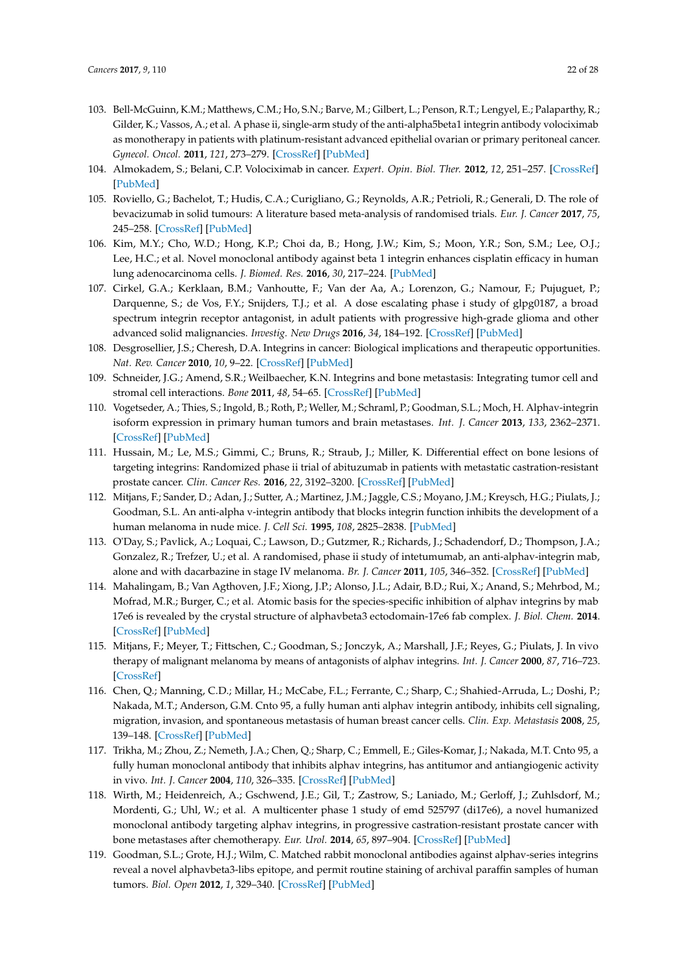- <span id="page-21-0"></span>103. Bell-McGuinn, K.M.; Matthews, C.M.; Ho, S.N.; Barve, M.; Gilbert, L.; Penson, R.T.; Lengyel, E.; Palaparthy, R.; Gilder, K.; Vassos, A.; et al. A phase ii, single-arm study of the anti-alpha5beta1 integrin antibody volociximab as monotherapy in patients with platinum-resistant advanced epithelial ovarian or primary peritoneal cancer. *Gynecol. Oncol.* **2011**, *121*, 273–279. [\[CrossRef\]](http://dx.doi.org/10.1016/j.ygyno.2010.12.362) [\[PubMed\]](http://www.ncbi.nlm.nih.gov/pubmed/21276608)
- <span id="page-21-1"></span>104. Almokadem, S.; Belani, C.P. Volociximab in cancer. *Expert. Opin. Biol. Ther.* **2012**, *12*, 251–257. [\[CrossRef\]](http://dx.doi.org/10.1517/14712598.2012.646985) [\[PubMed\]](http://www.ncbi.nlm.nih.gov/pubmed/22192080)
- <span id="page-21-2"></span>105. Roviello, G.; Bachelot, T.; Hudis, C.A.; Curigliano, G.; Reynolds, A.R.; Petrioli, R.; Generali, D. The role of bevacizumab in solid tumours: A literature based meta-analysis of randomised trials. *Eur. J. Cancer* **2017**, *75*, 245–258. [\[CrossRef\]](http://dx.doi.org/10.1016/j.ejca.2017.01.026) [\[PubMed\]](http://www.ncbi.nlm.nih.gov/pubmed/28242502)
- <span id="page-21-3"></span>106. Kim, M.Y.; Cho, W.D.; Hong, K.P.; Choi da, B.; Hong, J.W.; Kim, S.; Moon, Y.R.; Son, S.M.; Lee, O.J.; Lee, H.C.; et al. Novel monoclonal antibody against beta 1 integrin enhances cisplatin efficacy in human lung adenocarcinoma cells. *J. Biomed. Res.* **2016**, *30*, 217–224. [\[PubMed\]](http://www.ncbi.nlm.nih.gov/pubmed/27533932)
- <span id="page-21-4"></span>107. Cirkel, G.A.; Kerklaan, B.M.; Vanhoutte, F.; Van der Aa, A.; Lorenzon, G.; Namour, F.; Pujuguet, P.; Darquenne, S.; de Vos, F.Y.; Snijders, T.J.; et al. A dose escalating phase i study of glpg0187, a broad spectrum integrin receptor antagonist, in adult patients with progressive high-grade glioma and other advanced solid malignancies. *Investig. New Drugs* **2016**, *34*, 184–192. [\[CrossRef\]](http://dx.doi.org/10.1007/s10637-015-0320-9) [\[PubMed\]](http://www.ncbi.nlm.nih.gov/pubmed/26792581)
- <span id="page-21-5"></span>108. Desgrosellier, J.S.; Cheresh, D.A. Integrins in cancer: Biological implications and therapeutic opportunities. *Nat. Rev. Cancer* **2010**, *10*, 9–22. [\[CrossRef\]](http://dx.doi.org/10.1038/nrc2748) [\[PubMed\]](http://www.ncbi.nlm.nih.gov/pubmed/20029421)
- <span id="page-21-6"></span>109. Schneider, J.G.; Amend, S.R.; Weilbaecher, K.N. Integrins and bone metastasis: Integrating tumor cell and stromal cell interactions. *Bone* **2011**, *48*, 54–65. [\[CrossRef\]](http://dx.doi.org/10.1016/j.bone.2010.09.016) [\[PubMed\]](http://www.ncbi.nlm.nih.gov/pubmed/20850578)
- <span id="page-21-7"></span>110. Vogetseder, A.; Thies, S.; Ingold, B.; Roth, P.; Weller, M.; Schraml, P.; Goodman, S.L.; Moch, H. Alphav-integrin isoform expression in primary human tumors and brain metastases. *Int. J. Cancer* **2013**, *133*, 2362–2371. [\[CrossRef\]](http://dx.doi.org/10.1002/ijc.28267) [\[PubMed\]](http://www.ncbi.nlm.nih.gov/pubmed/23661241)
- <span id="page-21-8"></span>111. Hussain, M.; Le, M.S.; Gimmi, C.; Bruns, R.; Straub, J.; Miller, K. Differential effect on bone lesions of targeting integrins: Randomized phase ii trial of abituzumab in patients with metastatic castration-resistant prostate cancer. *Clin. Cancer Res.* **2016**, *22*, 3192–3200. [\[CrossRef\]](http://dx.doi.org/10.1158/1078-0432.CCR-15-2512) [\[PubMed\]](http://www.ncbi.nlm.nih.gov/pubmed/26839144)
- <span id="page-21-9"></span>112. Mitjans, F.; Sander, D.; Adan, J.; Sutter, A.; Martinez, J.M.; Jaggle, C.S.; Moyano, J.M.; Kreysch, H.G.; Piulats, J.; Goodman, S.L. An anti-alpha v-integrin antibody that blocks integrin function inhibits the development of a human melanoma in nude mice. *J. Cell Sci.* **1995**, *108*, 2825–2838. [\[PubMed\]](http://www.ncbi.nlm.nih.gov/pubmed/7593323)
- <span id="page-21-10"></span>113. O'Day, S.; Pavlick, A.; Loquai, C.; Lawson, D.; Gutzmer, R.; Richards, J.; Schadendorf, D.; Thompson, J.A.; Gonzalez, R.; Trefzer, U.; et al. A randomised, phase ii study of intetumumab, an anti-alphav-integrin mab, alone and with dacarbazine in stage IV melanoma. *Br. J. Cancer* **2011**, *105*, 346–352. [\[CrossRef\]](http://dx.doi.org/10.1038/bjc.2011.183) [\[PubMed\]](http://www.ncbi.nlm.nih.gov/pubmed/21750555)
- <span id="page-21-11"></span>114. Mahalingam, B.; Van Agthoven, J.F.; Xiong, J.P.; Alonso, J.L.; Adair, B.D.; Rui, X.; Anand, S.; Mehrbod, M.; Mofrad, M.R.; Burger, C.; et al. Atomic basis for the species-specific inhibition of alphav integrins by mab 17e6 is revealed by the crystal structure of alphavbeta3 ectodomain-17e6 fab complex. *J. Biol. Chem.* **2014**. [\[CrossRef\]](http://dx.doi.org/10.1074/jbc.M113.546929) [\[PubMed\]](http://www.ncbi.nlm.nih.gov/pubmed/24692540)
- <span id="page-21-12"></span>115. Mitjans, F.; Meyer, T.; Fittschen, C.; Goodman, S.; Jonczyk, A.; Marshall, J.F.; Reyes, G.; Piulats, J. In vivo therapy of malignant melanoma by means of antagonists of alphav integrins. *Int. J. Cancer* **2000**, *87*, 716–723. [\[CrossRef\]](http://dx.doi.org/10.1002/1097-0215(20000901)87:5<716::AID-IJC14>3.0.CO;2-R)
- 116. Chen, Q.; Manning, C.D.; Millar, H.; McCabe, F.L.; Ferrante, C.; Sharp, C.; Shahied-Arruda, L.; Doshi, P.; Nakada, M.T.; Anderson, G.M. Cnto 95, a fully human anti alphav integrin antibody, inhibits cell signaling, migration, invasion, and spontaneous metastasis of human breast cancer cells. *Clin. Exp. Metastasis* **2008**, *25*, 139–148. [\[CrossRef\]](http://dx.doi.org/10.1007/s10585-007-9132-4) [\[PubMed\]](http://www.ncbi.nlm.nih.gov/pubmed/18064530)
- <span id="page-21-13"></span>117. Trikha, M.; Zhou, Z.; Nemeth, J.A.; Chen, Q.; Sharp, C.; Emmell, E.; Giles-Komar, J.; Nakada, M.T. Cnto 95, a fully human monoclonal antibody that inhibits alphav integrins, has antitumor and antiangiogenic activity in vivo. *Int. J. Cancer* **2004**, *110*, 326–335. [\[CrossRef\]](http://dx.doi.org/10.1002/ijc.20116) [\[PubMed\]](http://www.ncbi.nlm.nih.gov/pubmed/15095296)
- <span id="page-21-14"></span>118. Wirth, M.; Heidenreich, A.; Gschwend, J.E.; Gil, T.; Zastrow, S.; Laniado, M.; Gerloff, J.; Zuhlsdorf, M.; Mordenti, G.; Uhl, W.; et al. A multicenter phase 1 study of emd 525797 (di17e6), a novel humanized monoclonal antibody targeting alphav integrins, in progressive castration-resistant prostate cancer with bone metastases after chemotherapy. *Eur. Urol.* **2014**, *65*, 897–904. [\[CrossRef\]](http://dx.doi.org/10.1016/j.eururo.2013.05.051) [\[PubMed\]](http://www.ncbi.nlm.nih.gov/pubmed/23791392)
- <span id="page-21-15"></span>119. Goodman, S.L.; Grote, H.J.; Wilm, C. Matched rabbit monoclonal antibodies against alphav-series integrins reveal a novel alphavbeta3-libs epitope, and permit routine staining of archival paraffin samples of human tumors. *Biol. Open* **2012**, *1*, 329–340. [\[CrossRef\]](http://dx.doi.org/10.1242/bio.2012364) [\[PubMed\]](http://www.ncbi.nlm.nih.gov/pubmed/23213423)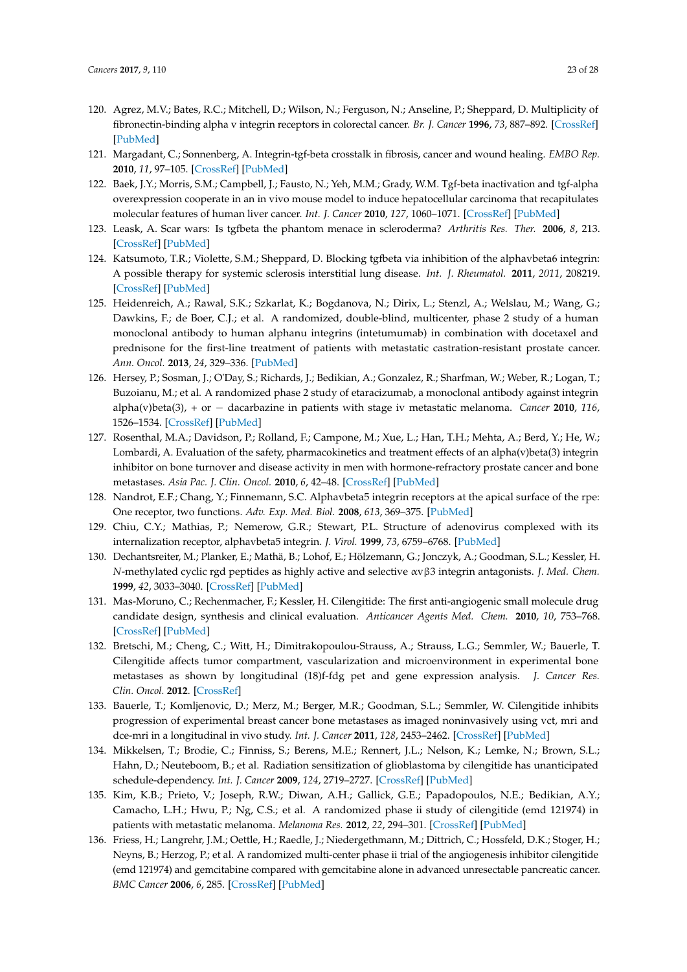- <span id="page-22-0"></span>120. Agrez, M.V.; Bates, R.C.; Mitchell, D.; Wilson, N.; Ferguson, N.; Anseline, P.; Sheppard, D. Multiplicity of fibronectin-binding alpha v integrin receptors in colorectal cancer. *Br. J. Cancer* **1996**, *73*, 887–892. [\[CrossRef\]](http://dx.doi.org/10.1038/bjc.1996.158) [\[PubMed\]](http://www.ncbi.nlm.nih.gov/pubmed/8611401)
- <span id="page-22-1"></span>121. Margadant, C.; Sonnenberg, A. Integrin-tgf-beta crosstalk in fibrosis, cancer and wound healing. *EMBO Rep.* **2010**, *11*, 97–105. [\[CrossRef\]](http://dx.doi.org/10.1038/embor.2009.276) [\[PubMed\]](http://www.ncbi.nlm.nih.gov/pubmed/20075988)
- <span id="page-22-2"></span>122. Baek, J.Y.; Morris, S.M.; Campbell, J.; Fausto, N.; Yeh, M.M.; Grady, W.M. Tgf-beta inactivation and tgf-alpha overexpression cooperate in an in vivo mouse model to induce hepatocellular carcinoma that recapitulates molecular features of human liver cancer. *Int. J. Cancer* **2010**, *127*, 1060–1071. [\[CrossRef\]](http://dx.doi.org/10.1002/ijc.25127) [\[PubMed\]](http://www.ncbi.nlm.nih.gov/pubmed/20020490)
- <span id="page-22-3"></span>123. Leask, A. Scar wars: Is tgfbeta the phantom menace in scleroderma? *Arthritis Res. Ther.* **2006**, *8*, 213. [\[CrossRef\]](http://dx.doi.org/10.1186/ar1976) [\[PubMed\]](http://www.ncbi.nlm.nih.gov/pubmed/16774692)
- <span id="page-22-4"></span>124. Katsumoto, T.R.; Violette, S.M.; Sheppard, D. Blocking tgfbeta via inhibition of the alphavbeta6 integrin: A possible therapy for systemic sclerosis interstitial lung disease. *Int. J. Rheumatol.* **2011**, *2011*, 208219. [\[CrossRef\]](http://dx.doi.org/10.1155/2011/208219) [\[PubMed\]](http://www.ncbi.nlm.nih.gov/pubmed/22013449)
- <span id="page-22-5"></span>125. Heidenreich, A.; Rawal, S.K.; Szkarlat, K.; Bogdanova, N.; Dirix, L.; Stenzl, A.; Welslau, M.; Wang, G.; Dawkins, F.; de Boer, C.J.; et al. A randomized, double-blind, multicenter, phase 2 study of a human monoclonal antibody to human alphanu integrins (intetumumab) in combination with docetaxel and prednisone for the first-line treatment of patients with metastatic castration-resistant prostate cancer. *Ann. Oncol.* **2013**, *24*, 329–336. [\[PubMed\]](http://www.ncbi.nlm.nih.gov/pubmed/23104724)
- <span id="page-22-6"></span>126. Hersey, P.; Sosman, J.; O'Day, S.; Richards, J.; Bedikian, A.; Gonzalez, R.; Sharfman, W.; Weber, R.; Logan, T.; Buzoianu, M.; et al. A randomized phase 2 study of etaracizumab, a monoclonal antibody against integrin alpha(v)beta(3), + or − dacarbazine in patients with stage iv metastatic melanoma. *Cancer* **2010**, *116*, 1526–1534. [\[CrossRef\]](http://dx.doi.org/10.1002/cncr.24821) [\[PubMed\]](http://www.ncbi.nlm.nih.gov/pubmed/20108344)
- <span id="page-22-7"></span>127. Rosenthal, M.A.; Davidson, P.; Rolland, F.; Campone, M.; Xue, L.; Han, T.H.; Mehta, A.; Berd, Y.; He, W.; Lombardi, A. Evaluation of the safety, pharmacokinetics and treatment effects of an alpha(v)beta(3) integrin inhibitor on bone turnover and disease activity in men with hormone-refractory prostate cancer and bone metastases. *Asia Pac. J. Clin. Oncol.* **2010**, *6*, 42–48. [\[CrossRef\]](http://dx.doi.org/10.1111/j.1743-7563.2009.01266.x) [\[PubMed\]](http://www.ncbi.nlm.nih.gov/pubmed/20398037)
- <span id="page-22-8"></span>128. Nandrot, E.F.; Chang, Y.; Finnemann, S.C. Alphavbeta5 integrin receptors at the apical surface of the rpe: One receptor, two functions. *Adv. Exp. Med. Biol.* **2008**, *613*, 369–375. [\[PubMed\]](http://www.ncbi.nlm.nih.gov/pubmed/18188966)
- <span id="page-22-9"></span>129. Chiu, C.Y.; Mathias, P.; Nemerow, G.R.; Stewart, P.L. Structure of adenovirus complexed with its internalization receptor, alphavbeta5 integrin. *J. Virol.* **1999**, *73*, 6759–6768. [\[PubMed\]](http://www.ncbi.nlm.nih.gov/pubmed/10400774)
- <span id="page-22-10"></span>130. Dechantsreiter, M.; Planker, E.; Mathä, B.; Lohof, E.; Hölzemann, G.; Jonczyk, A.; Goodman, S.L.; Kessler, H. *N*-methylated cyclic rgd peptides as highly active and selective αvβ3 integrin antagonists. *J. Med. Chem.* **1999**, *42*, 3033–3040. [\[CrossRef\]](http://dx.doi.org/10.1021/jm970832g) [\[PubMed\]](http://www.ncbi.nlm.nih.gov/pubmed/10447947)
- <span id="page-22-11"></span>131. Mas-Moruno, C.; Rechenmacher, F.; Kessler, H. Cilengitide: The first anti-angiogenic small molecule drug candidate design, synthesis and clinical evaluation. *Anticancer Agents Med. Chem.* **2010**, *10*, 753–768. [\[CrossRef\]](http://dx.doi.org/10.2174/187152010794728639) [\[PubMed\]](http://www.ncbi.nlm.nih.gov/pubmed/21269250)
- <span id="page-22-12"></span>132. Bretschi, M.; Cheng, C.; Witt, H.; Dimitrakopoulou-Strauss, A.; Strauss, L.G.; Semmler, W.; Bauerle, T. Cilengitide affects tumor compartment, vascularization and microenvironment in experimental bone metastases as shown by longitudinal (18)f-fdg pet and gene expression analysis. *J. Cancer Res. Clin. Oncol.* **2012**. [\[CrossRef\]](http://dx.doi.org/10.1007/s00432-012-1360-6)
- <span id="page-22-13"></span>133. Bauerle, T.; Komljenovic, D.; Merz, M.; Berger, M.R.; Goodman, S.L.; Semmler, W. Cilengitide inhibits progression of experimental breast cancer bone metastases as imaged noninvasively using vct, mri and dce-mri in a longitudinal in vivo study. *Int. J. Cancer* **2011**, *128*, 2453–2462. [\[CrossRef\]](http://dx.doi.org/10.1002/ijc.25563) [\[PubMed\]](http://www.ncbi.nlm.nih.gov/pubmed/20648558)
- <span id="page-22-14"></span>134. Mikkelsen, T.; Brodie, C.; Finniss, S.; Berens, M.E.; Rennert, J.L.; Nelson, K.; Lemke, N.; Brown, S.L.; Hahn, D.; Neuteboom, B.; et al. Radiation sensitization of glioblastoma by cilengitide has unanticipated schedule-dependency. *Int. J. Cancer* **2009**, *124*, 2719–2727. [\[CrossRef\]](http://dx.doi.org/10.1002/ijc.24240) [\[PubMed\]](http://www.ncbi.nlm.nih.gov/pubmed/19199360)
- <span id="page-22-15"></span>135. Kim, K.B.; Prieto, V.; Joseph, R.W.; Diwan, A.H.; Gallick, G.E.; Papadopoulos, N.E.; Bedikian, A.Y.; Camacho, L.H.; Hwu, P.; Ng, C.S.; et al. A randomized phase ii study of cilengitide (emd 121974) in patients with metastatic melanoma. *Melanoma Res.* **2012**, *22*, 294–301. [\[CrossRef\]](http://dx.doi.org/10.1097/CMR.0b013e32835312e4) [\[PubMed\]](http://www.ncbi.nlm.nih.gov/pubmed/22668797)
- <span id="page-22-16"></span>136. Friess, H.; Langrehr, J.M.; Oettle, H.; Raedle, J.; Niedergethmann, M.; Dittrich, C.; Hossfeld, D.K.; Stoger, H.; Neyns, B.; Herzog, P.; et al. A randomized multi-center phase ii trial of the angiogenesis inhibitor cilengitide (emd 121974) and gemcitabine compared with gemcitabine alone in advanced unresectable pancreatic cancer. *BMC Cancer* **2006**, *6*, 285. [\[CrossRef\]](http://dx.doi.org/10.1186/1471-2407-6-285) [\[PubMed\]](http://www.ncbi.nlm.nih.gov/pubmed/17156477)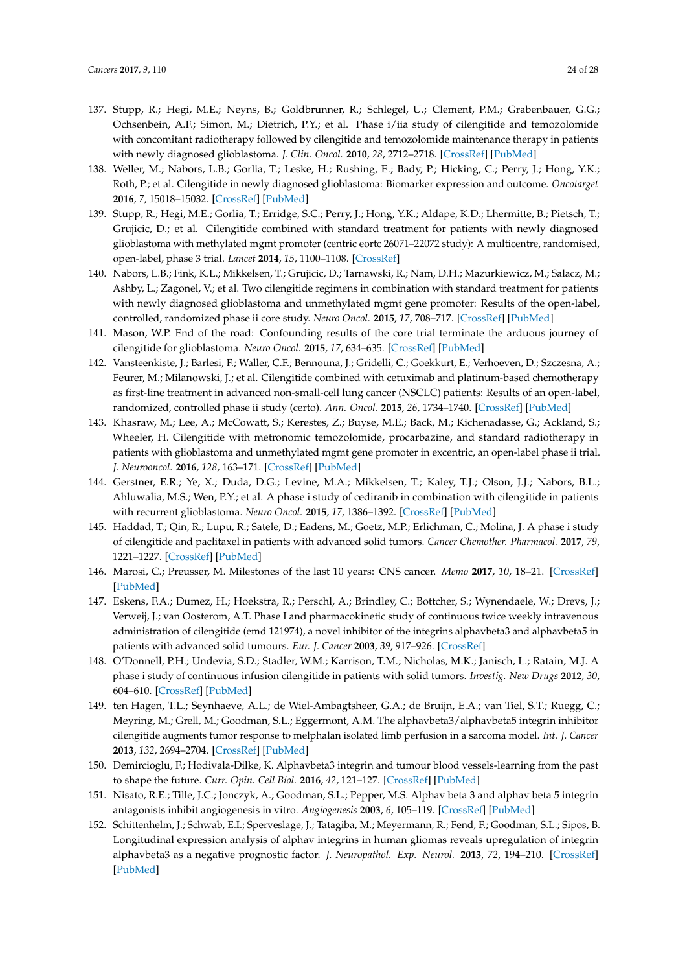- <span id="page-23-0"></span>137. Stupp, R.; Hegi, M.E.; Neyns, B.; Goldbrunner, R.; Schlegel, U.; Clement, P.M.; Grabenbauer, G.G.; Ochsenbein, A.F.; Simon, M.; Dietrich, P.Y.; et al. Phase i/iia study of cilengitide and temozolomide with concomitant radiotherapy followed by cilengitide and temozolomide maintenance therapy in patients with newly diagnosed glioblastoma. *J. Clin. Oncol.* **2010**, *28*, 2712–2718. [\[CrossRef\]](http://dx.doi.org/10.1200/JCO.2009.26.6650) [\[PubMed\]](http://www.ncbi.nlm.nih.gov/pubmed/20439646)
- <span id="page-23-1"></span>138. Weller, M.; Nabors, L.B.; Gorlia, T.; Leske, H.; Rushing, E.; Bady, P.; Hicking, C.; Perry, J.; Hong, Y.K.; Roth, P.; et al. Cilengitide in newly diagnosed glioblastoma: Biomarker expression and outcome. *Oncotarget* **2016**, *7*, 15018–15032. [\[CrossRef\]](http://dx.doi.org/10.18632/oncotarget.7588) [\[PubMed\]](http://www.ncbi.nlm.nih.gov/pubmed/26918452)
- 139. Stupp, R.; Hegi, M.E.; Gorlia, T.; Erridge, S.C.; Perry, J.; Hong, Y.K.; Aldape, K.D.; Lhermitte, B.; Pietsch, T.; Grujicic, D.; et al. Cilengitide combined with standard treatment for patients with newly diagnosed glioblastoma with methylated mgmt promoter (centric eortc 26071–22072 study): A multicentre, randomised, open-label, phase 3 trial. *Lancet* **2014**, *15*, 1100–1108. [\[CrossRef\]](http://dx.doi.org/10.1016/S1470-2045(14)70379-1)
- 140. Nabors, L.B.; Fink, K.L.; Mikkelsen, T.; Grujicic, D.; Tarnawski, R.; Nam, D.H.; Mazurkiewicz, M.; Salacz, M.; Ashby, L.; Zagonel, V.; et al. Two cilengitide regimens in combination with standard treatment for patients with newly diagnosed glioblastoma and unmethylated mgmt gene promoter: Results of the open-label, controlled, randomized phase ii core study. *Neuro Oncol.* **2015**, *17*, 708–717. [\[CrossRef\]](http://dx.doi.org/10.1093/neuonc/nou356) [\[PubMed\]](http://www.ncbi.nlm.nih.gov/pubmed/25762461)
- <span id="page-23-11"></span>141. Mason, W.P. End of the road: Confounding results of the core trial terminate the arduous journey of cilengitide for glioblastoma. *Neuro Oncol.* **2015**, *17*, 634–635. [\[CrossRef\]](http://dx.doi.org/10.1093/neuonc/nov018) [\[PubMed\]](http://www.ncbi.nlm.nih.gov/pubmed/25681307)
- <span id="page-23-2"></span>142. Vansteenkiste, J.; Barlesi, F.; Waller, C.F.; Bennouna, J.; Gridelli, C.; Goekkurt, E.; Verhoeven, D.; Szczesna, A.; Feurer, M.; Milanowski, J.; et al. Cilengitide combined with cetuximab and platinum-based chemotherapy as first-line treatment in advanced non-small-cell lung cancer (NSCLC) patients: Results of an open-label, randomized, controlled phase ii study (certo). *Ann. Oncol.* **2015**, *26*, 1734–1740. [\[CrossRef\]](http://dx.doi.org/10.1093/annonc/mdv219) [\[PubMed\]](http://www.ncbi.nlm.nih.gov/pubmed/25939894)
- <span id="page-23-3"></span>143. Khasraw, M.; Lee, A.; McCowatt, S.; Kerestes, Z.; Buyse, M.E.; Back, M.; Kichenadasse, G.; Ackland, S.; Wheeler, H. Cilengitide with metronomic temozolomide, procarbazine, and standard radiotherapy in patients with glioblastoma and unmethylated mgmt gene promoter in excentric, an open-label phase ii trial. *J. Neurooncol.* **2016**, *128*, 163–171. [\[CrossRef\]](http://dx.doi.org/10.1007/s11060-016-2094-0) [\[PubMed\]](http://www.ncbi.nlm.nih.gov/pubmed/26935578)
- <span id="page-23-4"></span>144. Gerstner, E.R.; Ye, X.; Duda, D.G.; Levine, M.A.; Mikkelsen, T.; Kaley, T.J.; Olson, J.J.; Nabors, B.L.; Ahluwalia, M.S.; Wen, P.Y.; et al. A phase i study of cediranib in combination with cilengitide in patients with recurrent glioblastoma. *Neuro Oncol.* **2015**, *17*, 1386–1392. [\[CrossRef\]](http://dx.doi.org/10.1093/neuonc/nov085) [\[PubMed\]](http://www.ncbi.nlm.nih.gov/pubmed/26008604)
- <span id="page-23-5"></span>145. Haddad, T.; Qin, R.; Lupu, R.; Satele, D.; Eadens, M.; Goetz, M.P.; Erlichman, C.; Molina, J. A phase i study of cilengitide and paclitaxel in patients with advanced solid tumors. *Cancer Chemother. Pharmacol.* **2017**, *79*, 1221–1227. [\[CrossRef\]](http://dx.doi.org/10.1007/s00280-017-3322-9) [\[PubMed\]](http://www.ncbi.nlm.nih.gov/pubmed/28477227)
- <span id="page-23-6"></span>146. Marosi, C.; Preusser, M. Milestones of the last 10 years: CNS cancer. *Memo* **2017**, *10*, 18–21. [\[CrossRef\]](http://dx.doi.org/10.1007/s12254-016-0309-x) [\[PubMed\]](http://www.ncbi.nlm.nih.gov/pubmed/28367251)
- <span id="page-23-7"></span>147. Eskens, F.A.; Dumez, H.; Hoekstra, R.; Perschl, A.; Brindley, C.; Bottcher, S.; Wynendaele, W.; Drevs, J.; Verweij, J.; van Oosterom, A.T. Phase I and pharmacokinetic study of continuous twice weekly intravenous administration of cilengitide (emd 121974), a novel inhibitor of the integrins alphavbeta3 and alphavbeta5 in patients with advanced solid tumours. *Eur. J. Cancer* **2003**, *39*, 917–926. [\[CrossRef\]](http://dx.doi.org/10.1016/S0959-8049(03)00057-1)
- <span id="page-23-8"></span>148. O'Donnell, P.H.; Undevia, S.D.; Stadler, W.M.; Karrison, T.M.; Nicholas, M.K.; Janisch, L.; Ratain, M.J. A phase i study of continuous infusion cilengitide in patients with solid tumors. *Investig. New Drugs* **2012**, *30*, 604–610. [\[CrossRef\]](http://dx.doi.org/10.1007/s10637-010-9537-9) [\[PubMed\]](http://www.ncbi.nlm.nih.gov/pubmed/20839028)
- <span id="page-23-9"></span>149. ten Hagen, T.L.; Seynhaeve, A.L.; de Wiel-Ambagtsheer, G.A.; de Bruijn, E.A.; van Tiel, S.T.; Ruegg, C.; Meyring, M.; Grell, M.; Goodman, S.L.; Eggermont, A.M. The alphavbeta3/alphavbeta5 integrin inhibitor cilengitide augments tumor response to melphalan isolated limb perfusion in a sarcoma model. *Int. J. Cancer* **2013**, *132*, 2694–2704. [\[CrossRef\]](http://dx.doi.org/10.1002/ijc.27940) [\[PubMed\]](http://www.ncbi.nlm.nih.gov/pubmed/23152080)
- <span id="page-23-10"></span>150. Demircioglu, F.; Hodivala-Dilke, K. Alphavbeta3 integrin and tumour blood vessels-learning from the past to shape the future. *Curr. Opin. Cell Biol.* **2016**, *42*, 121–127. [\[CrossRef\]](http://dx.doi.org/10.1016/j.ceb.2016.07.008) [\[PubMed\]](http://www.ncbi.nlm.nih.gov/pubmed/27474973)
- <span id="page-23-12"></span>151. Nisato, R.E.; Tille, J.C.; Jonczyk, A.; Goodman, S.L.; Pepper, M.S. Alphav beta 3 and alphav beta 5 integrin antagonists inhibit angiogenesis in vitro. *Angiogenesis* **2003**, *6*, 105–119. [\[CrossRef\]](http://dx.doi.org/10.1023/B:AGEN.0000011801.98187.f2) [\[PubMed\]](http://www.ncbi.nlm.nih.gov/pubmed/14739617)
- <span id="page-23-13"></span>152. Schittenhelm, J.; Schwab, E.I.; Sperveslage, J.; Tatagiba, M.; Meyermann, R.; Fend, F.; Goodman, S.L.; Sipos, B. Longitudinal expression analysis of alphav integrins in human gliomas reveals upregulation of integrin alphavbeta3 as a negative prognostic factor. *J. Neuropathol. Exp. Neurol.* **2013**, *72*, 194–210. [\[CrossRef\]](http://dx.doi.org/10.1097/NEN.0b013e3182851019) [\[PubMed\]](http://www.ncbi.nlm.nih.gov/pubmed/23399898)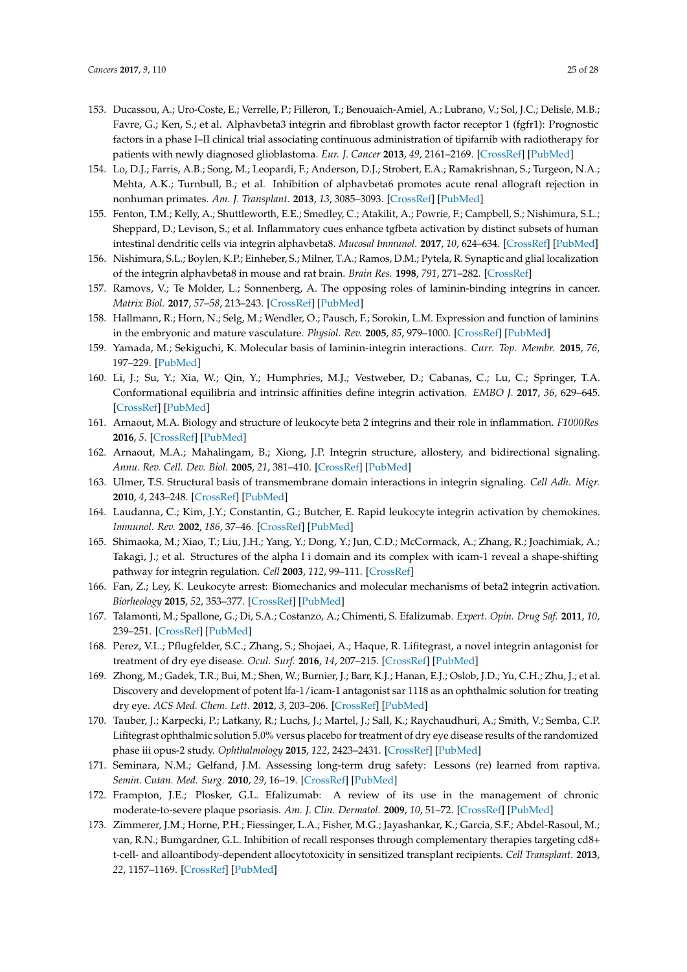- <span id="page-24-0"></span>153. Ducassou, A.; Uro-Coste, E.; Verrelle, P.; Filleron, T.; Benouaich-Amiel, A.; Lubrano, V.; Sol, J.C.; Delisle, M.B.; Favre, G.; Ken, S.; et al. Alphavbeta3 integrin and fibroblast growth factor receptor 1 (fgfr1): Prognostic factors in a phase I–II clinical trial associating continuous administration of tipifarnib with radiotherapy for patients with newly diagnosed glioblastoma. *Eur. J. Cancer* **2013**, *49*, 2161–2169. [\[CrossRef\]](http://dx.doi.org/10.1016/j.ejca.2013.02.033) [\[PubMed\]](http://www.ncbi.nlm.nih.gov/pubmed/23566417)
- <span id="page-24-1"></span>154. Lo, D.J.; Farris, A.B.; Song, M.; Leopardi, F.; Anderson, D.J.; Strobert, E.A.; Ramakrishnan, S.; Turgeon, N.A.; Mehta, A.K.; Turnbull, B.; et al. Inhibition of alphavbeta6 promotes acute renal allograft rejection in nonhuman primates. *Am. J. Transplant.* **2013**, *13*, 3085–3093. [\[CrossRef\]](http://dx.doi.org/10.1111/ajt.12467) [\[PubMed\]](http://www.ncbi.nlm.nih.gov/pubmed/24119188)
- <span id="page-24-2"></span>155. Fenton, T.M.; Kelly, A.; Shuttleworth, E.E.; Smedley, C.; Atakilit, A.; Powrie, F.; Campbell, S.; Nishimura, S.L.; Sheppard, D.; Levison, S.; et al. Inflammatory cues enhance tgfbeta activation by distinct subsets of human intestinal dendritic cells via integrin alphavbeta8. *Mucosal Immunol.* **2017**, *10*, 624–634. [\[CrossRef\]](http://dx.doi.org/10.1038/mi.2016.94) [\[PubMed\]](http://www.ncbi.nlm.nih.gov/pubmed/27782111)
- <span id="page-24-3"></span>156. Nishimura, S.L.; Boylen, K.P.; Einheber, S.; Milner, T.A.; Ramos, D.M.; Pytela, R. Synaptic and glial localization of the integrin alphavbeta8 in mouse and rat brain. *Brain Res.* **1998**, *791*, 271–282. [\[CrossRef\]](http://dx.doi.org/10.1016/S0006-8993(98)00118-8)
- <span id="page-24-4"></span>157. Ramovs, V.; Te Molder, L.; Sonnenberg, A. The opposing roles of laminin-binding integrins in cancer. *Matrix Biol.* **2017**, *57–58*, 213–243. [\[CrossRef\]](http://dx.doi.org/10.1016/j.matbio.2016.08.007) [\[PubMed\]](http://www.ncbi.nlm.nih.gov/pubmed/27562932)
- <span id="page-24-5"></span>158. Hallmann, R.; Horn, N.; Selg, M.; Wendler, O.; Pausch, F.; Sorokin, L.M. Expression and function of laminins in the embryonic and mature vasculature. *Physiol. Rev.* **2005**, *85*, 979–1000. [\[CrossRef\]](http://dx.doi.org/10.1152/physrev.00014.2004) [\[PubMed\]](http://www.ncbi.nlm.nih.gov/pubmed/15987800)
- <span id="page-24-6"></span>159. Yamada, M.; Sekiguchi, K. Molecular basis of laminin-integrin interactions. *Curr. Top. Membr.* **2015**, *76*, 197–229. [\[PubMed\]](http://www.ncbi.nlm.nih.gov/pubmed/26610915)
- <span id="page-24-7"></span>160. Li, J.; Su, Y.; Xia, W.; Qin, Y.; Humphries, M.J.; Vestweber, D.; Cabanas, C.; Lu, C.; Springer, T.A. Conformational equilibria and intrinsic affinities define integrin activation. *EMBO J.* **2017**, *36*, 629–645. [\[CrossRef\]](http://dx.doi.org/10.15252/embj.201695803) [\[PubMed\]](http://www.ncbi.nlm.nih.gov/pubmed/28122868)
- 161. Arnaout, M.A. Biology and structure of leukocyte beta 2 integrins and their role in inflammation. *F1000Res* **2016**, *5*. [\[CrossRef\]](http://dx.doi.org/10.12688/f1000research.9415.1) [\[PubMed\]](http://www.ncbi.nlm.nih.gov/pubmed/27781085)
- <span id="page-24-12"></span>162. Arnaout, M.A.; Mahalingam, B.; Xiong, J.P. Integrin structure, allostery, and bidirectional signaling. *Annu. Rev. Cell. Dev. Biol.* **2005**, *21*, 381–410. [\[CrossRef\]](http://dx.doi.org/10.1146/annurev.cellbio.21.090704.151217) [\[PubMed\]](http://www.ncbi.nlm.nih.gov/pubmed/16212500)
- <span id="page-24-8"></span>163. Ulmer, T.S. Structural basis of transmembrane domain interactions in integrin signaling. *Cell Adh. Migr.* **2010**, *4*, 243–248. [\[CrossRef\]](http://dx.doi.org/10.4161/cam.4.2.10592) [\[PubMed\]](http://www.ncbi.nlm.nih.gov/pubmed/20168080)
- <span id="page-24-9"></span>164. Laudanna, C.; Kim, J.Y.; Constantin, G.; Butcher, E. Rapid leukocyte integrin activation by chemokines. *Immunol. Rev.* **2002**, *186*, 37–46. [\[CrossRef\]](http://dx.doi.org/10.1034/j.1600-065X.2002.18604.x) [\[PubMed\]](http://www.ncbi.nlm.nih.gov/pubmed/12234360)
- <span id="page-24-10"></span>165. Shimaoka, M.; Xiao, T.; Liu, J.H.; Yang, Y.; Dong, Y.; Jun, C.D.; McCormack, A.; Zhang, R.; Joachimiak, A.; Takagi, J.; et al. Structures of the alpha l i domain and its complex with icam-1 reveal a shape-shifting pathway for integrin regulation. *Cell* **2003**, *112*, 99–111. [\[CrossRef\]](http://dx.doi.org/10.1016/S0092-8674(02)01257-6)
- <span id="page-24-11"></span>166. Fan, Z.; Ley, K. Leukocyte arrest: Biomechanics and molecular mechanisms of beta2 integrin activation. *Biorheology* **2015**, *52*, 353–377. [\[CrossRef\]](http://dx.doi.org/10.3233/BIR-15085) [\[PubMed\]](http://www.ncbi.nlm.nih.gov/pubmed/26684674)
- <span id="page-24-13"></span>167. Talamonti, M.; Spallone, G.; Di, S.A.; Costanzo, A.; Chimenti, S. Efalizumab. *Expert. Opin. Drug Saf.* **2011**, *10*, 239–251. [\[CrossRef\]](http://dx.doi.org/10.1517/14740338.2011.524925) [\[PubMed\]](http://www.ncbi.nlm.nih.gov/pubmed/21214420)
- <span id="page-24-14"></span>168. Perez, V.L.; Pflugfelder, S.C.; Zhang, S.; Shojaei, A.; Haque, R. Lifitegrast, a novel integrin antagonist for treatment of dry eye disease. *Ocul. Surf.* **2016**, *14*, 207–215. [\[CrossRef\]](http://dx.doi.org/10.1016/j.jtos.2016.01.001) [\[PubMed\]](http://www.ncbi.nlm.nih.gov/pubmed/26807723)
- <span id="page-24-15"></span>169. Zhong, M.; Gadek, T.R.; Bui, M.; Shen, W.; Burnier, J.; Barr, K.J.; Hanan, E.J.; Oslob, J.D.; Yu, C.H.; Zhu, J.; et al. Discovery and development of potent lfa-1/icam-1 antagonist sar 1118 as an ophthalmic solution for treating dry eye. *ACS Med. Chem. Lett.* **2012**, *3*, 203–206. [\[CrossRef\]](http://dx.doi.org/10.1021/ml2002482) [\[PubMed\]](http://www.ncbi.nlm.nih.gov/pubmed/24900456)
- <span id="page-24-16"></span>170. Tauber, J.; Karpecki, P.; Latkany, R.; Luchs, J.; Martel, J.; Sall, K.; Raychaudhuri, A.; Smith, V.; Semba, C.P. Lifitegrast ophthalmic solution 5.0% versus placebo for treatment of dry eye disease results of the randomized phase iii opus-2 study. *Ophthalmology* **2015**, *122*, 2423–2431. [\[CrossRef\]](http://dx.doi.org/10.1016/j.ophtha.2015.08.001) [\[PubMed\]](http://www.ncbi.nlm.nih.gov/pubmed/26365210)
- <span id="page-24-17"></span>171. Seminara, N.M.; Gelfand, J.M. Assessing long-term drug safety: Lessons (re) learned from raptiva. *Semin. Cutan. Med. Surg.* **2010**, *29*, 16–19. [\[CrossRef\]](http://dx.doi.org/10.1016/j.sder.2010.01.001) [\[PubMed\]](http://www.ncbi.nlm.nih.gov/pubmed/20430303)
- <span id="page-24-18"></span>172. Frampton, J.E.; Plosker, G.L. Efalizumab: A review of its use in the management of chronic moderate-to-severe plaque psoriasis. *Am. J. Clin. Dermatol.* **2009**, *10*, 51–72. [\[CrossRef\]](http://dx.doi.org/10.2165/0128071-200910010-00009) [\[PubMed\]](http://www.ncbi.nlm.nih.gov/pubmed/19170413)
- <span id="page-24-19"></span>173. Zimmerer, J.M.; Horne, P.H.; Fiessinger, L.A.; Fisher, M.G.; Jayashankar, K.; Garcia, S.F.; Abdel-Rasoul, M.; van, R.N.; Bumgardner, G.L. Inhibition of recall responses through complementary therapies targeting cd8+ t-cell- and alloantibody-dependent allocytotoxicity in sensitized transplant recipients. *Cell Transplant.* **2013**, *22*, 1157–1169. [\[CrossRef\]](http://dx.doi.org/10.3727/096368912X657350) [\[PubMed\]](http://www.ncbi.nlm.nih.gov/pubmed/23069206)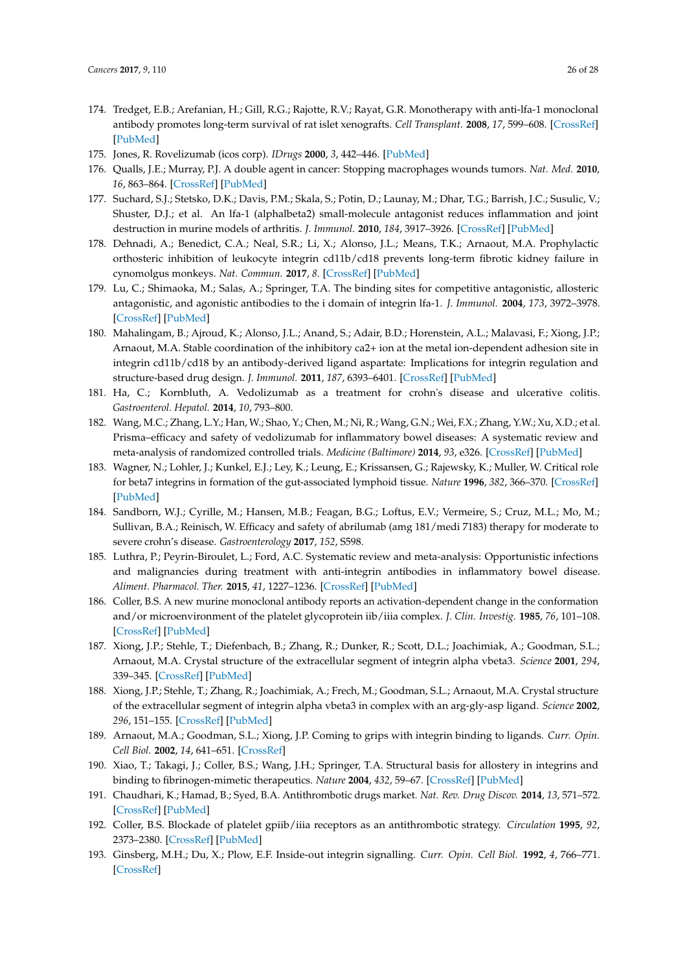- <span id="page-25-0"></span>174. Tredget, E.B.; Arefanian, H.; Gill, R.G.; Rajotte, R.V.; Rayat, G.R. Monotherapy with anti-lfa-1 monoclonal antibody promotes long-term survival of rat islet xenografts. *Cell Transplant.* **2008**, *17*, 599–608. [\[CrossRef\]](http://dx.doi.org/10.3727/096368908786092757) [\[PubMed\]](http://www.ncbi.nlm.nih.gov/pubmed/18819248)
- <span id="page-25-1"></span>175. Jones, R. Rovelizumab (icos corp). *IDrugs* **2000**, *3*, 442–446. [\[PubMed\]](http://www.ncbi.nlm.nih.gov/pubmed/16100700)
- <span id="page-25-2"></span>176. Qualls, J.E.; Murray, P.J. A double agent in cancer: Stopping macrophages wounds tumors. *Nat. Med.* **2010**, *16*, 863–864. [\[CrossRef\]](http://dx.doi.org/10.1038/nm0810-863) [\[PubMed\]](http://www.ncbi.nlm.nih.gov/pubmed/20689551)
- <span id="page-25-3"></span>177. Suchard, S.J.; Stetsko, D.K.; Davis, P.M.; Skala, S.; Potin, D.; Launay, M.; Dhar, T.G.; Barrish, J.C.; Susulic, V.; Shuster, D.J.; et al. An lfa-1 (alphalbeta2) small-molecule antagonist reduces inflammation and joint destruction in murine models of arthritis. *J. Immunol.* **2010**, *184*, 3917–3926. [\[CrossRef\]](http://dx.doi.org/10.4049/jimmunol.0901095) [\[PubMed\]](http://www.ncbi.nlm.nih.gov/pubmed/20190141)
- <span id="page-25-4"></span>178. Dehnadi, A.; Benedict, C.A.; Neal, S.R.; Li, X.; Alonso, J.L.; Means, T.K.; Arnaout, M.A. Prophylactic orthosteric inhibition of leukocyte integrin cd11b/cd18 prevents long-term fibrotic kidney failure in cynomolgus monkeys. *Nat. Commun.* **2017**, *8*. [\[CrossRef\]](http://dx.doi.org/10.1038/ncomms13899) [\[PubMed\]](http://www.ncbi.nlm.nih.gov/pubmed/28071653)
- <span id="page-25-5"></span>179. Lu, C.; Shimaoka, M.; Salas, A.; Springer, T.A. The binding sites for competitive antagonistic, allosteric antagonistic, and agonistic antibodies to the i domain of integrin lfa-1. *J. Immunol.* **2004**, *173*, 3972–3978. [\[CrossRef\]](http://dx.doi.org/10.4049/jimmunol.173.6.3972) [\[PubMed\]](http://www.ncbi.nlm.nih.gov/pubmed/15356146)
- <span id="page-25-6"></span>180. Mahalingam, B.; Ajroud, K.; Alonso, J.L.; Anand, S.; Adair, B.D.; Horenstein, A.L.; Malavasi, F.; Xiong, J.P.; Arnaout, M.A. Stable coordination of the inhibitory ca2+ ion at the metal ion-dependent adhesion site in integrin cd11b/cd18 by an antibody-derived ligand aspartate: Implications for integrin regulation and structure-based drug design. *J. Immunol.* **2011**, *187*, 6393–6401. [\[CrossRef\]](http://dx.doi.org/10.4049/jimmunol.1102394) [\[PubMed\]](http://www.ncbi.nlm.nih.gov/pubmed/22095715)
- <span id="page-25-7"></span>181. Ha, C.; Kornbluth, A. Vedolizumab as a treatment for crohn's disease and ulcerative colitis. *Gastroenterol. Hepatol.* **2014**, *10*, 793–800.
- <span id="page-25-8"></span>182. Wang, M.C.; Zhang, L.Y.; Han, W.; Shao, Y.; Chen, M.; Ni, R.; Wang, G.N.; Wei, F.X.; Zhang, Y.W.; Xu, X.D.; et al. Prisma–efficacy and safety of vedolizumab for inflammatory bowel diseases: A systematic review and meta-analysis of randomized controlled trials. *Medicine (Baltimore)* **2014**, *93*, e326. [\[CrossRef\]](http://dx.doi.org/10.1097/MD.0000000000000326) [\[PubMed\]](http://www.ncbi.nlm.nih.gov/pubmed/25526490)
- <span id="page-25-9"></span>183. Wagner, N.; Lohler, J.; Kunkel, E.J.; Ley, K.; Leung, E.; Krissansen, G.; Rajewsky, K.; Muller, W. Critical role for beta7 integrins in formation of the gut-associated lymphoid tissue. *Nature* **1996**, *382*, 366–370. [\[CrossRef\]](http://dx.doi.org/10.1038/382366a0) [\[PubMed\]](http://www.ncbi.nlm.nih.gov/pubmed/8684468)
- <span id="page-25-10"></span>184. Sandborn, W.J.; Cyrille, M.; Hansen, M.B.; Feagan, B.G.; Loftus, E.V.; Vermeire, S.; Cruz, M.L.; Mo, M.; Sullivan, B.A.; Reinisch, W. Efficacy and safety of abrilumab (amg 181/medi 7183) therapy for moderate to severe crohn's disease. *Gastroenterology* **2017**, *152*, S598.
- <span id="page-25-11"></span>185. Luthra, P.; Peyrin-Biroulet, L.; Ford, A.C. Systematic review and meta-analysis: Opportunistic infections and malignancies during treatment with anti-integrin antibodies in inflammatory bowel disease. *Aliment. Pharmacol. Ther.* **2015**, *41*, 1227–1236. [\[CrossRef\]](http://dx.doi.org/10.1111/apt.13215) [\[PubMed\]](http://www.ncbi.nlm.nih.gov/pubmed/25903741)
- <span id="page-25-12"></span>186. Coller, B.S. A new murine monoclonal antibody reports an activation-dependent change in the conformation and/or microenvironment of the platelet glycoprotein iib/iiia complex. *J. Clin. Investig.* **1985**, *76*, 101–108. [\[CrossRef\]](http://dx.doi.org/10.1172/JCI111931) [\[PubMed\]](http://www.ncbi.nlm.nih.gov/pubmed/2991335)
- <span id="page-25-13"></span>187. Xiong, J.P.; Stehle, T.; Diefenbach, B.; Zhang, R.; Dunker, R.; Scott, D.L.; Joachimiak, A.; Goodman, S.L.; Arnaout, M.A. Crystal structure of the extracellular segment of integrin alpha vbeta3. *Science* **2001**, *294*, 339–345. [\[CrossRef\]](http://dx.doi.org/10.1126/science.1064535) [\[PubMed\]](http://www.ncbi.nlm.nih.gov/pubmed/11546839)
- <span id="page-25-15"></span>188. Xiong, J.P.; Stehle, T.; Zhang, R.; Joachimiak, A.; Frech, M.; Goodman, S.L.; Arnaout, M.A. Crystal structure of the extracellular segment of integrin alpha vbeta3 in complex with an arg-gly-asp ligand. *Science* **2002**, *296*, 151–155. [\[CrossRef\]](http://dx.doi.org/10.1126/science.1069040) [\[PubMed\]](http://www.ncbi.nlm.nih.gov/pubmed/11884718)
- 189. Arnaout, M.A.; Goodman, S.L.; Xiong, J.P. Coming to grips with integrin binding to ligands. *Curr. Opin. Cell Biol.* **2002**, *14*, 641–651. [\[CrossRef\]](http://dx.doi.org/10.1016/S0955-0674(02)00371-X)
- <span id="page-25-14"></span>190. Xiao, T.; Takagi, J.; Coller, B.S.; Wang, J.H.; Springer, T.A. Structural basis for allostery in integrins and binding to fibrinogen-mimetic therapeutics. *Nature* **2004**, *432*, 59–67. [\[CrossRef\]](http://dx.doi.org/10.1038/nature02976) [\[PubMed\]](http://www.ncbi.nlm.nih.gov/pubmed/15378069)
- <span id="page-25-16"></span>191. Chaudhari, K.; Hamad, B.; Syed, B.A. Antithrombotic drugs market. *Nat. Rev. Drug Discov.* **2014**, *13*, 571–572. [\[CrossRef\]](http://dx.doi.org/10.1038/nrd4365) [\[PubMed\]](http://www.ncbi.nlm.nih.gov/pubmed/24994493)
- <span id="page-25-17"></span>192. Coller, B.S. Blockade of platelet gpiib/iiia receptors as an antithrombotic strategy. *Circulation* **1995**, *92*, 2373–2380. [\[CrossRef\]](http://dx.doi.org/10.1161/01.CIR.92.9.2373) [\[PubMed\]](http://www.ncbi.nlm.nih.gov/pubmed/7586333)
- <span id="page-25-18"></span>193. Ginsberg, M.H.; Du, X.; Plow, E.F. Inside-out integrin signalling. *Curr. Opin. Cell Biol.* **1992**, *4*, 766–771. [\[CrossRef\]](http://dx.doi.org/10.1016/0955-0674(92)90099-X)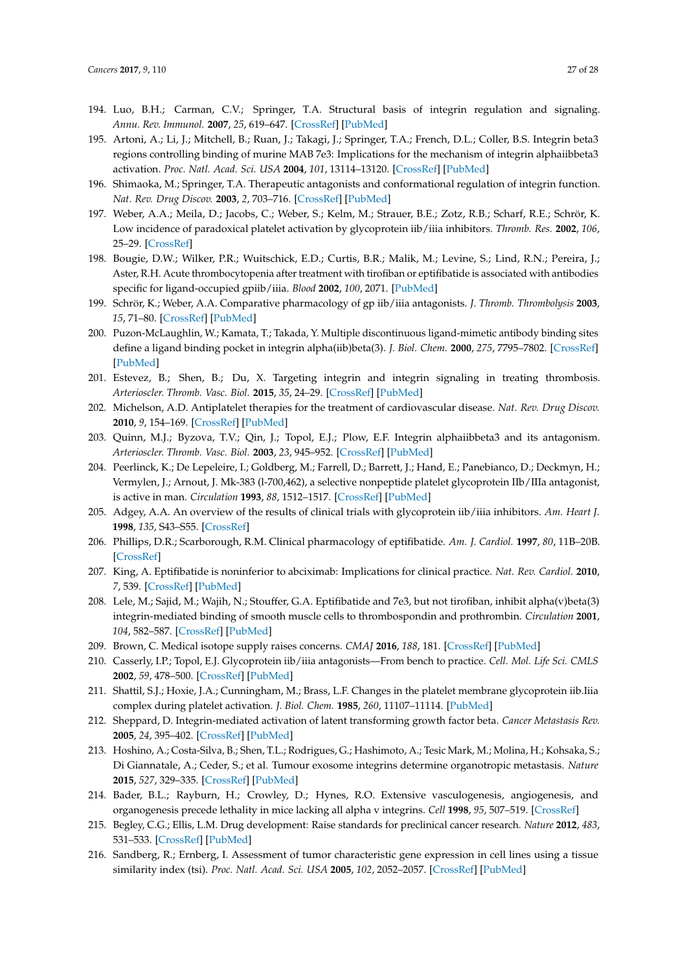- <span id="page-26-0"></span>194. Luo, B.H.; Carman, C.V.; Springer, T.A. Structural basis of integrin regulation and signaling. *Annu. Rev. Immunol.* **2007**, *25*, 619–647. [\[CrossRef\]](http://dx.doi.org/10.1146/annurev.immunol.25.022106.141618) [\[PubMed\]](http://www.ncbi.nlm.nih.gov/pubmed/17201681)
- <span id="page-26-5"></span>195. Artoni, A.; Li, J.; Mitchell, B.; Ruan, J.; Takagi, J.; Springer, T.A.; French, D.L.; Coller, B.S. Integrin beta3 regions controlling binding of murine MAB 7e3: Implications for the mechanism of integrin alphaiibbeta3 activation. *Proc. Natl. Acad. Sci. USA* **2004**, *101*, 13114–13120. [\[CrossRef\]](http://dx.doi.org/10.1073/pnas.0404201101) [\[PubMed\]](http://www.ncbi.nlm.nih.gov/pubmed/15277669)
- <span id="page-26-1"></span>196. Shimaoka, M.; Springer, T.A. Therapeutic antagonists and conformational regulation of integrin function. *Nat. Rev. Drug Discov.* **2003**, *2*, 703–716. [\[CrossRef\]](http://dx.doi.org/10.1038/nrd1174) [\[PubMed\]](http://www.ncbi.nlm.nih.gov/pubmed/12951577)
- <span id="page-26-2"></span>197. Weber, A.A.; Meila, D.; Jacobs, C.; Weber, S.; Kelm, M.; Strauer, B.E.; Zotz, R.B.; Scharf, R.E.; Schrör, K. Low incidence of paradoxical platelet activation by glycoprotein iib/iiia inhibitors. *Thromb. Res.* **2002**, *106*, 25–29. [\[CrossRef\]](http://dx.doi.org/10.1016/S0049-3848(02)00083-X)
- <span id="page-26-3"></span>198. Bougie, D.W.; Wilker, P.R.; Wuitschick, E.D.; Curtis, B.R.; Malik, M.; Levine, S.; Lind, R.N.; Pereira, J.; Aster, R.H. Acute thrombocytopenia after treatment with tirofiban or eptifibatide is associated with antibodies specific for ligand-occupied gpiib/iiia. *Blood* **2002**, *100*, 2071. [\[PubMed\]](http://www.ncbi.nlm.nih.gov/pubmed/12200368)
- <span id="page-26-4"></span>199. Schrör, K.; Weber, A.A. Comparative pharmacology of gp iib/iiia antagonists. *J. Thromb. Thrombolysis* **2003**, *15*, 71–80. [\[CrossRef\]](http://dx.doi.org/10.1023/B:THRO.0000003308.63022.8d) [\[PubMed\]](http://www.ncbi.nlm.nih.gov/pubmed/14618072)
- <span id="page-26-6"></span>200. Puzon-McLaughlin, W.; Kamata, T.; Takada, Y. Multiple discontinuous ligand-mimetic antibody binding sites define a ligand binding pocket in integrin alpha(iib)beta(3). *J. Biol. Chem.* **2000**, *275*, 7795–7802. [\[CrossRef\]](http://dx.doi.org/10.1074/jbc.275.11.7795) [\[PubMed\]](http://www.ncbi.nlm.nih.gov/pubmed/10713093)
- <span id="page-26-7"></span>201. Estevez, B.; Shen, B.; Du, X. Targeting integrin and integrin signaling in treating thrombosis. *Arterioscler. Thromb. Vasc. Biol.* **2015**, *35*, 24–29. [\[CrossRef\]](http://dx.doi.org/10.1161/ATVBAHA.114.303411) [\[PubMed\]](http://www.ncbi.nlm.nih.gov/pubmed/25256236)
- <span id="page-26-8"></span>202. Michelson, A.D. Antiplatelet therapies for the treatment of cardiovascular disease. *Nat. Rev. Drug Discov.* **2010**, *9*, 154–169. [\[CrossRef\]](http://dx.doi.org/10.1038/nrd2957) [\[PubMed\]](http://www.ncbi.nlm.nih.gov/pubmed/20118963)
- <span id="page-26-9"></span>203. Quinn, M.J.; Byzova, T.V.; Qin, J.; Topol, E.J.; Plow, E.F. Integrin alphaiibbeta3 and its antagonism. *Arterioscler. Thromb. Vasc. Biol.* **2003**, *23*, 945–952. [\[CrossRef\]](http://dx.doi.org/10.1161/01.ATV.0000066686.46338.F1) [\[PubMed\]](http://www.ncbi.nlm.nih.gov/pubmed/12637342)
- <span id="page-26-10"></span>204. Peerlinck, K.; De Lepeleire, I.; Goldberg, M.; Farrell, D.; Barrett, J.; Hand, E.; Panebianco, D.; Deckmyn, H.; Vermylen, J.; Arnout, J. Mk-383 (l-700,462), a selective nonpeptide platelet glycoprotein IIb/IIIa antagonist, is active in man. *Circulation* **1993**, *88*, 1512–1517. [\[CrossRef\]](http://dx.doi.org/10.1161/01.CIR.88.4.1512) [\[PubMed\]](http://www.ncbi.nlm.nih.gov/pubmed/8403299)
- <span id="page-26-11"></span>205. Adgey, A.A. An overview of the results of clinical trials with glycoprotein iib/iiia inhibitors. *Am. Heart J.* **1998**, *135*, S43–S55. [\[CrossRef\]](http://dx.doi.org/10.1016/S0002-8703(98)70297-2)
- <span id="page-26-12"></span>206. Phillips, D.R.; Scarborough, R.M. Clinical pharmacology of eptifibatide. *Am. J. Cardiol.* **1997**, *80*, 11B–20B. [\[CrossRef\]](http://dx.doi.org/10.1016/S0002-9149(97)00572-9)
- <span id="page-26-13"></span>207. King, A. Eptifibatide is noninferior to abciximab: Implications for clinical practice. *Nat. Rev. Cardiol.* **2010**, *7*, 539. [\[CrossRef\]](http://dx.doi.org/10.1038/nrcardio.2010.128) [\[PubMed\]](http://www.ncbi.nlm.nih.gov/pubmed/21080547)
- <span id="page-26-14"></span>208. Lele, M.; Sajid, M.; Wajih, N.; Stouffer, G.A. Eptifibatide and 7e3, but not tirofiban, inhibit alpha(v)beta(3) integrin-mediated binding of smooth muscle cells to thrombospondin and prothrombin. *Circulation* **2001**, *104*, 582–587. [\[CrossRef\]](http://dx.doi.org/10.1161/hc3101.092199) [\[PubMed\]](http://www.ncbi.nlm.nih.gov/pubmed/11479257)
- <span id="page-26-15"></span>209. Brown, C. Medical isotope supply raises concerns. *CMAJ* **2016**, *188*, 181. [\[CrossRef\]](http://dx.doi.org/10.1503/cmaj.109-5221) [\[PubMed\]](http://www.ncbi.nlm.nih.gov/pubmed/26811358)
- <span id="page-26-16"></span>210. Casserly, I.P.; Topol, E.J. Glycoprotein iib/iiia antagonists—From bench to practice. *Cell. Mol. Life Sci. CMLS* **2002**, *59*, 478–500. [\[CrossRef\]](http://dx.doi.org/10.1007/s00018-002-8440-8) [\[PubMed\]](http://www.ncbi.nlm.nih.gov/pubmed/11964126)
- <span id="page-26-17"></span>211. Shattil, S.J.; Hoxie, J.A.; Cunningham, M.; Brass, L.F. Changes in the platelet membrane glycoprotein iib.Iiia complex during platelet activation. *J. Biol. Chem.* **1985**, *260*, 11107–11114. [\[PubMed\]](http://www.ncbi.nlm.nih.gov/pubmed/2411729)
- <span id="page-26-18"></span>212. Sheppard, D. Integrin-mediated activation of latent transforming growth factor beta. *Cancer Metastasis Rev.* **2005**, *24*, 395–402. [\[CrossRef\]](http://dx.doi.org/10.1007/s10555-005-5131-6) [\[PubMed\]](http://www.ncbi.nlm.nih.gov/pubmed/16258727)
- <span id="page-26-19"></span>213. Hoshino, A.; Costa-Silva, B.; Shen, T.L.; Rodrigues, G.; Hashimoto, A.; Tesic Mark, M.; Molina, H.; Kohsaka, S.; Di Giannatale, A.; Ceder, S.; et al. Tumour exosome integrins determine organotropic metastasis. *Nature* **2015**, *527*, 329–335. [\[CrossRef\]](http://dx.doi.org/10.1038/nature15756) [\[PubMed\]](http://www.ncbi.nlm.nih.gov/pubmed/26524530)
- <span id="page-26-20"></span>214. Bader, B.L.; Rayburn, H.; Crowley, D.; Hynes, R.O. Extensive vasculogenesis, angiogenesis, and organogenesis precede lethality in mice lacking all alpha v integrins. *Cell* **1998**, *95*, 507–519. [\[CrossRef\]](http://dx.doi.org/10.1016/S0092-8674(00)81618-9)
- <span id="page-26-21"></span>215. Begley, C.G.; Ellis, L.M. Drug development: Raise standards for preclinical cancer research. *Nature* **2012**, *483*, 531–533. [\[CrossRef\]](http://dx.doi.org/10.1038/483531a) [\[PubMed\]](http://www.ncbi.nlm.nih.gov/pubmed/22460880)
- <span id="page-26-22"></span>216. Sandberg, R.; Ernberg, I. Assessment of tumor characteristic gene expression in cell lines using a tissue similarity index (tsi). *Proc. Natl. Acad. Sci. USA* **2005**, *102*, 2052–2057. [\[CrossRef\]](http://dx.doi.org/10.1073/pnas.0408105102) [\[PubMed\]](http://www.ncbi.nlm.nih.gov/pubmed/15671165)